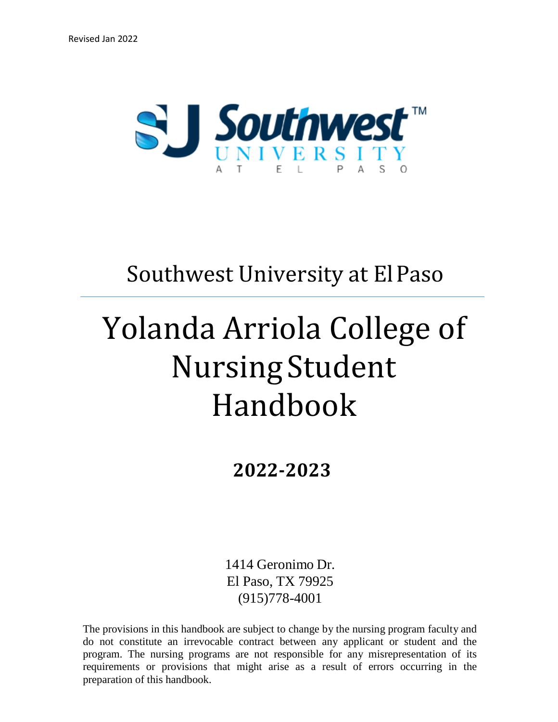

## Southwest University at ElPaso

# Yolanda Arriola College of Nursing Student Handbook

**2022-2023**

1414 Geronimo Dr. El Paso, TX 79925 (915)778-4001

The provisions in this handbook are subject to change by the nursing program faculty and do not constitute an irrevocable contract between any applicant or student and the program. The nursing programs are not responsible for any misrepresentation of its requirements or provisions that might arise as a result of errors occurring in the preparation of this handbook.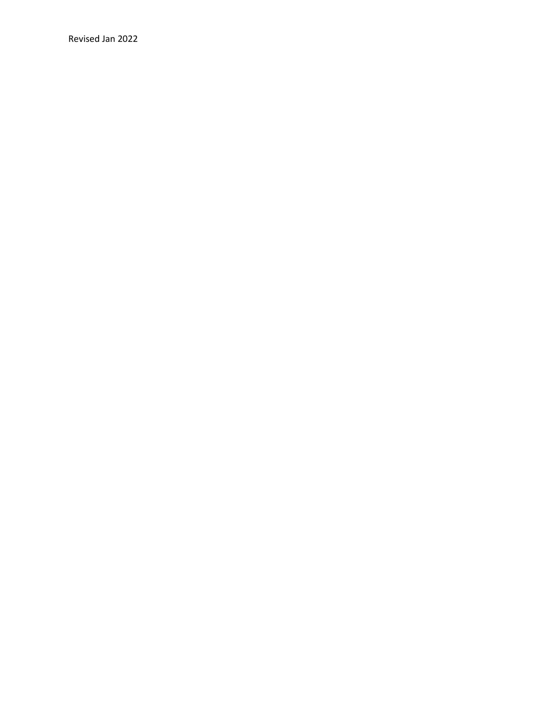Revised Jan 2022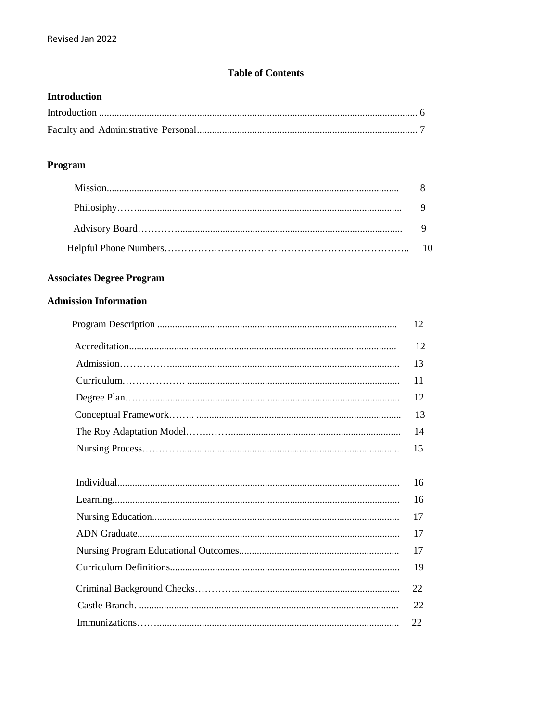#### **Table of Contents**

#### **Introduction**

#### Program

#### **Associates Degree Program**

#### **Admission Information**

| 12 <sup>2</sup> |
|-----------------|
| 12              |
| 13              |
|                 |
| 12              |
|                 |
| 14              |
|                 |

| 22 |
|----|
| 22 |
|    |
|    |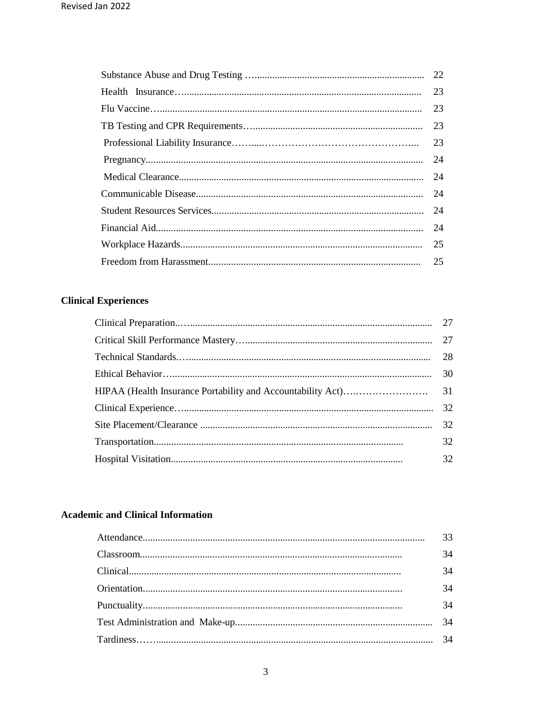| 23 |
|----|
| 23 |
|    |
| 23 |
|    |
| 24 |
| 24 |
|    |
|    |
| 25 |
| 25 |

#### **Clinical Experiences**

| 32 |
|----|
| 32 |

#### **Academic and Clinical Information**

| 33 |
|----|
| 34 |
| 34 |
| 34 |
| 34 |
| 34 |
|    |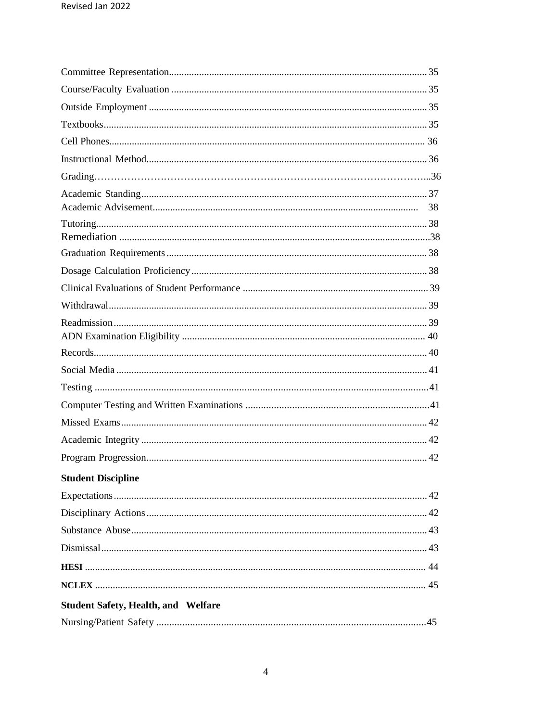| <b>Student Discipline</b>                  |  |
|--------------------------------------------|--|
|                                            |  |
|                                            |  |
|                                            |  |
|                                            |  |
|                                            |  |
|                                            |  |
| <b>Student Safety, Health, and Welfare</b> |  |
|                                            |  |
|                                            |  |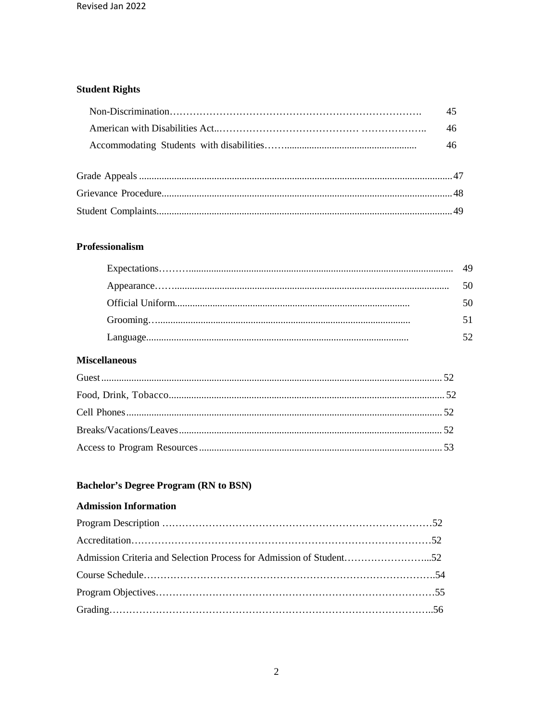#### **Student Rights**

| 46 |
|----|
| 46 |
|    |
|    |
|    |
|    |
|    |

#### Professionalism

| 50 |
|----|
|    |
|    |

#### **Miscellaneous**

#### **Bachelor's Degree Program (RN to BSN)**

#### **Admission Information**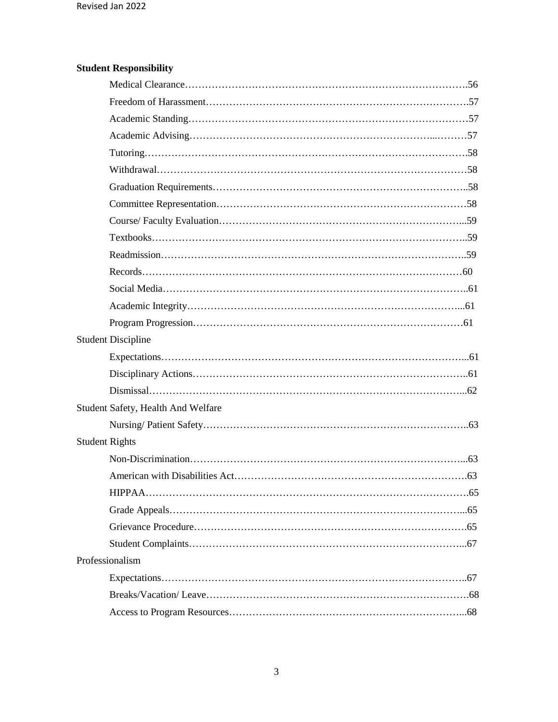### **Student Responsibility**

| <b>Student Discipline</b>          |  |
|------------------------------------|--|
|                                    |  |
|                                    |  |
|                                    |  |
| Student Safety, Health And Welfare |  |
|                                    |  |
| <b>Student Rights</b>              |  |
|                                    |  |
|                                    |  |
|                                    |  |
|                                    |  |
|                                    |  |
|                                    |  |
| Professionalism                    |  |
|                                    |  |
|                                    |  |
|                                    |  |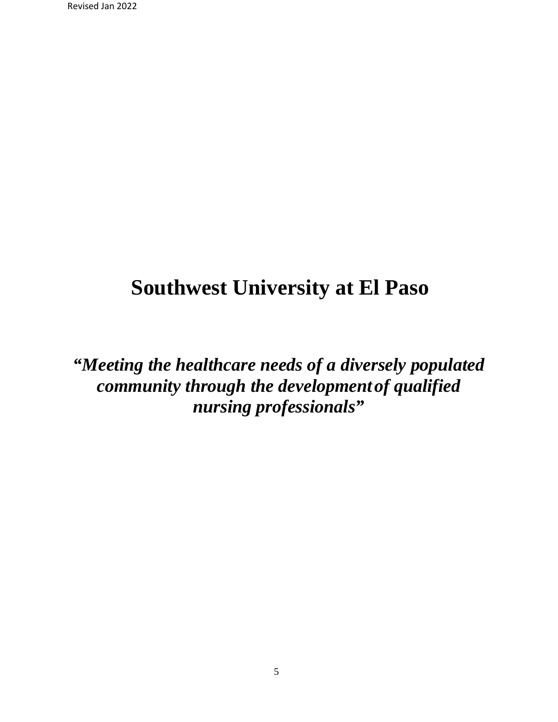## **Southwest University at El Paso**

*"Meeting the healthcare needs of a diversely populated community through the developmentof qualified nursing professionals"*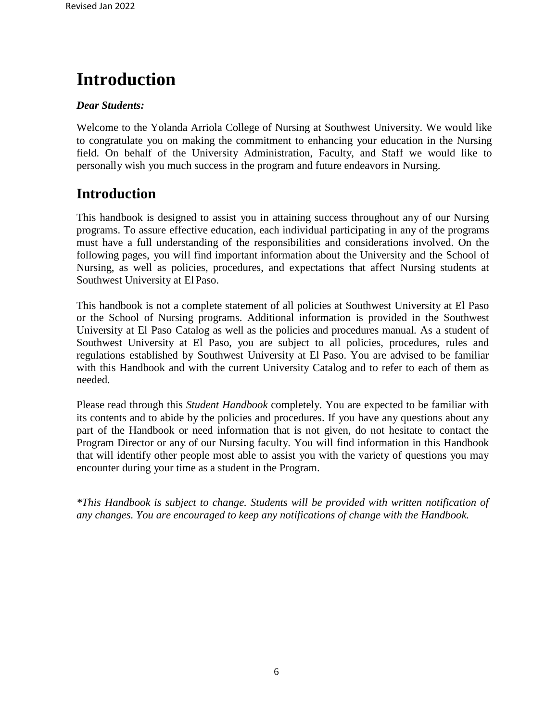## **Introduction**

#### *Dear Students:*

Welcome to the Yolanda Arriola College of Nursing at Southwest University. We would like to congratulate you on making the commitment to enhancing your education in the Nursing field. On behalf of the University Administration, Faculty, and Staff we would like to personally wish you much success in the program and future endeavors in Nursing.

### **Introduction**

This handbook is designed to assist you in attaining success throughout any of our Nursing programs. To assure effective education, each individual participating in any of the programs must have a full understanding of the responsibilities and considerations involved. On the following pages, you will find important information about the University and the School of Nursing, as well as policies, procedures, and expectations that affect Nursing students at Southwest University at El Paso.

This handbook is not a complete statement of all policies at Southwest University at El Paso or the School of Nursing programs. Additional information is provided in the Southwest University at El Paso Catalog as well as the policies and procedures manual. As a student of Southwest University at El Paso, you are subject to all policies, procedures, rules and regulations established by Southwest University at El Paso. You are advised to be familiar with this Handbook and with the current University Catalog and to refer to each of them as needed.

Please read through this *Student Handbook* completely. You are expected to be familiar with its contents and to abide by the policies and procedures. If you have any questions about any part of the Handbook or need information that is not given, do not hesitate to contact the Program Director or any of our Nursing faculty. You will find information in this Handbook that will identify other people most able to assist you with the variety of questions you may encounter during your time as a student in the Program.

*\*This Handbook is subject to change. Students will be provided with written notification of any changes. You are encouraged to keep any notifications of change with the Handbook.*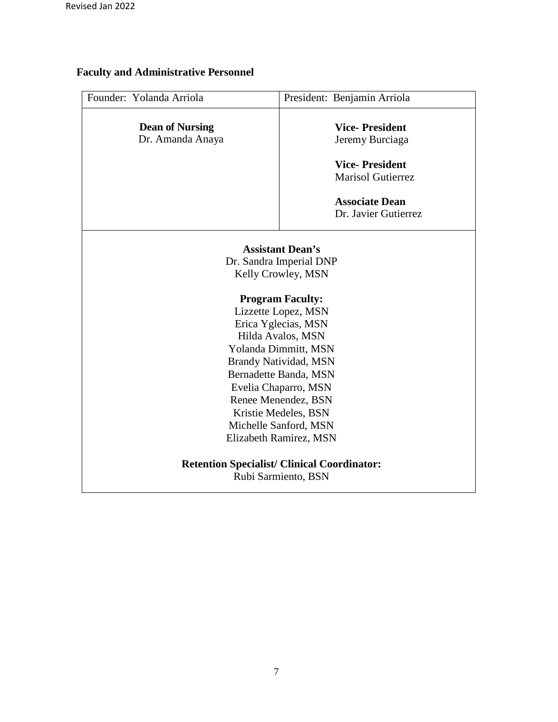### **Faculty and Administrative Personnel**

| Founder: Yolanda Arriola                                                                                                                                                                                                                                                                                                                                                                                                                | President: Benjamin Arriola |
|-----------------------------------------------------------------------------------------------------------------------------------------------------------------------------------------------------------------------------------------------------------------------------------------------------------------------------------------------------------------------------------------------------------------------------------------|-----------------------------|
|                                                                                                                                                                                                                                                                                                                                                                                                                                         |                             |
| <b>Dean of Nursing</b>                                                                                                                                                                                                                                                                                                                                                                                                                  | <b>Vice-President</b>       |
| Dr. Amanda Anaya                                                                                                                                                                                                                                                                                                                                                                                                                        | Jeremy Burciaga             |
|                                                                                                                                                                                                                                                                                                                                                                                                                                         |                             |
|                                                                                                                                                                                                                                                                                                                                                                                                                                         | <b>Vice-President</b>       |
|                                                                                                                                                                                                                                                                                                                                                                                                                                         | <b>Marisol Gutierrez</b>    |
|                                                                                                                                                                                                                                                                                                                                                                                                                                         | <b>Associate Dean</b>       |
|                                                                                                                                                                                                                                                                                                                                                                                                                                         |                             |
|                                                                                                                                                                                                                                                                                                                                                                                                                                         | Dr. Javier Gutierrez        |
| <b>Assistant Dean's</b><br>Dr. Sandra Imperial DNP<br>Kelly Crowley, MSN<br><b>Program Faculty:</b><br>Lizzette Lopez, MSN<br>Erica Yglecias, MSN<br>Hilda Avalos, MSN<br>Yolanda Dimmitt, MSN<br><b>Brandy Natividad, MSN</b><br>Bernadette Banda, MSN<br>Evelia Chaparro, MSN<br>Renee Menendez, BSN<br>Kristie Medeles, BSN<br>Michelle Sanford, MSN<br>Elizabeth Ramirez, MSN<br><b>Retention Specialist/ Clinical Coordinator:</b> |                             |
|                                                                                                                                                                                                                                                                                                                                                                                                                                         | Rubi Sarmiento, BSN         |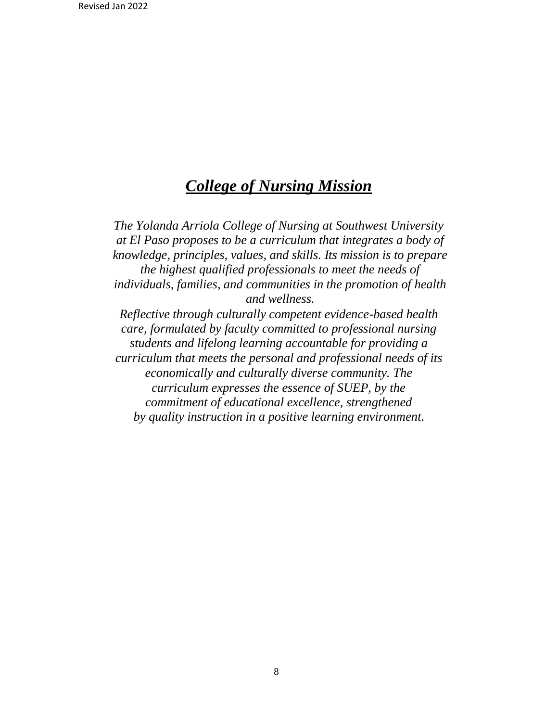## *College of Nursing Mission*

*The Yolanda Arriola College of Nursing at Southwest University at El Paso proposes to be a curriculum that integrates a body of knowledge, principles, values, and skills. Its mission is to prepare the highest qualified professionals to meet the needs of individuals, families, and communities in the promotion of health and wellness. Reflective through culturally competent evidence-based health care, formulated by faculty committed to professional nursing students and lifelong learning accountable for providing a curriculum that meets the personal and professional needs of its economically and culturally diverse community. The curriculum expresses the essence of SUEP, by the commitment of educational excellence, strengthened by quality instruction in a positive learning environment.*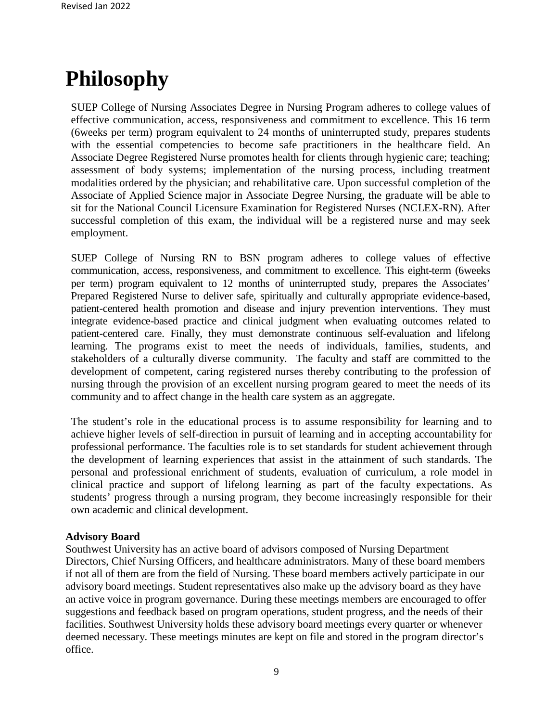## **Philosophy**

SUEP College of Nursing Associates Degree in Nursing Program adheres to college values of effective communication, access, responsiveness and commitment to excellence. This 16 term (6weeks per term) program equivalent to 24 months of uninterrupted study, prepares students with the essential competencies to become safe practitioners in the healthcare field. An Associate Degree Registered Nurse promotes health for clients through hygienic care; teaching; assessment of body systems; implementation of the nursing process, including treatment modalities ordered by the physician; and rehabilitative care. Upon successful completion of the Associate of Applied Science major in Associate Degree Nursing, the graduate will be able to sit for the National Council Licensure Examination for Registered Nurses (NCLEX-RN). After successful completion of this exam, the individual will be a registered nurse and may seek employment.

SUEP College of Nursing RN to BSN program adheres to college values of effective communication, access, responsiveness, and commitment to excellence. This eight-term (6weeks per term) program equivalent to 12 months of uninterrupted study, prepares the Associates' Prepared Registered Nurse to deliver safe, spiritually and culturally appropriate evidence-based, patient-centered health promotion and disease and injury prevention interventions. They must integrate evidence-based practice and clinical judgment when evaluating outcomes related to patient-centered care. Finally, they must demonstrate continuous self-evaluation and lifelong learning. The programs exist to meet the needs of individuals, families, students, and stakeholders of a culturally diverse community. The faculty and staff are committed to the development of competent, caring registered nurses thereby contributing to the profession of nursing through the provision of an excellent nursing program geared to meet the needs of its community and to affect change in the health care system as an aggregate.

The student's role in the educational process is to assume responsibility for learning and to achieve higher levels of self-direction in pursuit of learning and in accepting accountability for professional performance. The faculties role is to set standards for student achievement through the development of learning experiences that assist in the attainment of such standards. The personal and professional enrichment of students, evaluation of curriculum, a role model in clinical practice and support of lifelong learning as part of the faculty expectations. As students' progress through a nursing program, they become increasingly responsible for their own academic and clinical development.

#### **Advisory Board**

Southwest University has an active board of advisors composed of Nursing Department Directors, Chief Nursing Officers, and healthcare administrators. Many of these board members if not all of them are from the field of Nursing. These board members actively participate in our advisory board meetings. Student representatives also make up the advisory board as they have an active voice in program governance. During these meetings members are encouraged to offer suggestions and feedback based on program operations, student progress, and the needs of their facilities. Southwest University holds these advisory board meetings every quarter or whenever deemed necessary. These meetings minutes are kept on file and stored in the program director's office.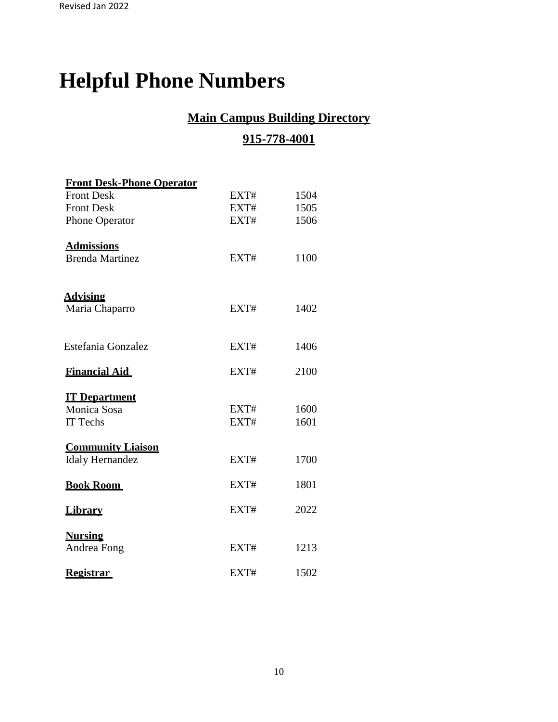# **Helpful Phone Numbers**

## **Main Campus Building Directory**

### **915-778-4001**

| <b>Front Desk-Phone Operator</b> |      |      |
|----------------------------------|------|------|
| <b>Front Desk</b>                | EXT# | 1504 |
| <b>Front Desk</b>                | EXT# | 1505 |
| <b>Phone Operator</b>            | EXT# | 1506 |
| <b>Admissions</b>                |      |      |
| <b>Brenda Martinez</b>           | EXT# | 1100 |
| <b>Advising</b>                  |      |      |
| Maria Chaparro                   | EXT# | 1402 |
| Estefania Gonzalez               | EXT# | 1406 |
|                                  |      |      |
| <b>Financial Aid</b>             | EXT# | 2100 |
| <b>IT Department</b>             |      |      |
| Monica Sosa                      | EXT# | 1600 |
| IT Techs                         | EXT# | 1601 |
| <b>Community Liaison</b>         |      |      |
| <b>Idaly Hernandez</b>           | EXT# | 1700 |
| <b>Book Room</b>                 | EXT# | 1801 |
| <b>Library</b>                   | EXT# | 2022 |
| <b>Nursing</b>                   |      |      |
| Andrea Fong                      | EXT# | 1213 |
| <b>Registrar</b>                 | EXT# | 1502 |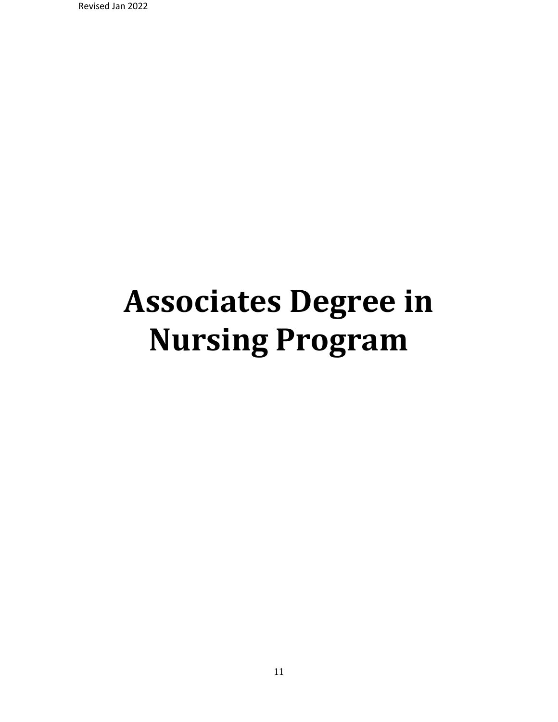Revised Jan 2022

# **Associates Degree in Nursing Program**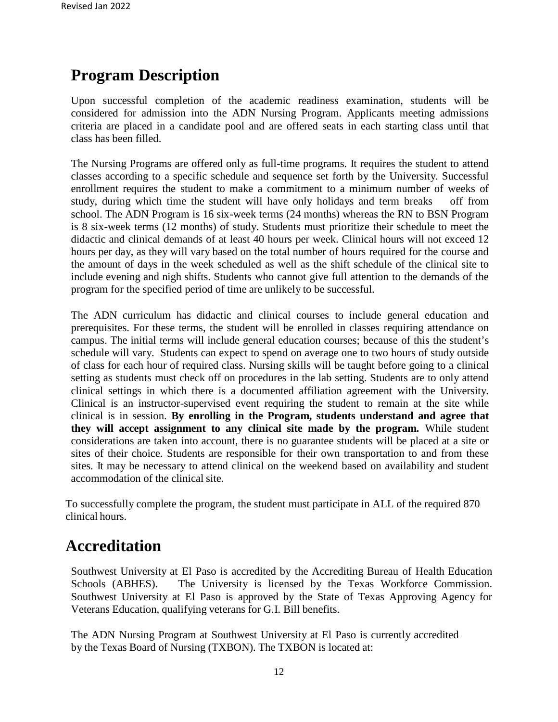## **Program Description**

Upon successful completion of the academic readiness examination, students will be considered for admission into the ADN Nursing Program. Applicants meeting admissions criteria are placed in a candidate pool and are offered seats in each starting class until that class has been filled.

The Nursing Programs are offered only as full-time programs. It requires the student to attend classes according to a specific schedule and sequence set forth by the University. Successful enrollment requires the student to make a commitment to a minimum number of weeks of study, during which time the student will have only holidays and term breaks off from school. The ADN Program is 16 six-week terms (24 months) whereas the RN to BSN Program is 8 six-week terms (12 months) of study. Students must prioritize their schedule to meet the didactic and clinical demands of at least 40 hours per week. Clinical hours will not exceed 12 hours per day, as they will vary based on the total number of hours required for the course and the amount of days in the week scheduled as well as the shift schedule of the clinical site to include evening and nigh shifts. Students who cannot give full attention to the demands of the program for the specified period of time are unlikely to be successful.

The ADN curriculum has didactic and clinical courses to include general education and prerequisites. For these terms, the student will be enrolled in classes requiring attendance on campus. The initial terms will include general education courses; because of this the student's schedule will vary. Students can expect to spend on average one to two hours of study outside of class for each hour of required class. Nursing skills will be taught before going to a clinical setting as students must check off on procedures in the lab setting. Students are to only attend clinical settings in which there is a documented affiliation agreement with the University. Clinical is an instructor-supervised event requiring the student to remain at the site while clinical is in session. **By enrolling in the Program, students understand and agree that they will accept assignment to any clinical site made by the program.** While student considerations are taken into account, there is no guarantee students will be placed at a site or sites of their choice. Students are responsible for their own transportation to and from these sites. It may be necessary to attend clinical on the weekend based on availability and student accommodation of the clinical site.

To successfully complete the program, the student must participate in ALL of the required 870 clinical hours.

## **Accreditation**

Southwest University at El Paso is accredited by the Accrediting Bureau of Health Education Schools (ABHES). The University is licensed by the Texas Workforce Commission. Southwest University at El Paso is approved by the State of Texas Approving Agency for Veterans Education, qualifying veterans for G.I. Bill benefits.

The ADN Nursing Program at Southwest University at El Paso is currently accredited by the Texas Board of Nursing (TXBON). The TXBON is located at: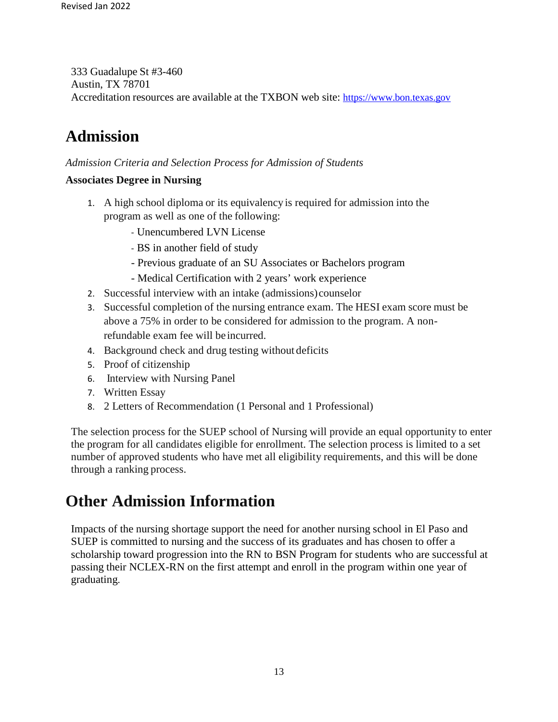333 Guadalupe St #3-460 Austin, TX 78701 Accreditation resources are available at the TXBON web site: [https://www.bon.texas.gov](https://www.bon.texas.gov/)

## **Admission**

*Admission Criteria and Selection Process for Admission of Students*

#### **Associates Degree in Nursing**

- 1. A high school diploma or its equivalency is required for admission into the program as well as one of the following:
	- Unencumbered LVN License
	- BS in another field of study
	- Previous graduate of an SU Associates or Bachelors program
	- Medical Certification with 2 years' work experience
- 2. Successful interview with an intake (admissions)counselor
- 3. Successful completion of the nursing entrance exam. The HESI exam score must be above a 75% in order to be considered for admission to the program. A nonrefundable exam fee will be incurred.
- 4. Background check and drug testing without deficits
- 5. Proof of citizenship
- 6. Interview with Nursing Panel
- 7. Written Essay
- 8. 2 Letters of Recommendation (1 Personal and 1 Professional)

The selection process for the SUEP school of Nursing will provide an equal opportunity to enter the program for all candidates eligible for enrollment. The selection process is limited to a set number of approved students who have met all eligibility requirements, and this will be done through a ranking process.

## **Other Admission Information**

Impacts of the nursing shortage support the need for another nursing school in El Paso and SUEP is committed to nursing and the success of its graduates and has chosen to offer a scholarship toward progression into the RN to BSN Program for students who are successful at passing their NCLEX-RN on the first attempt and enroll in the program within one year of graduating.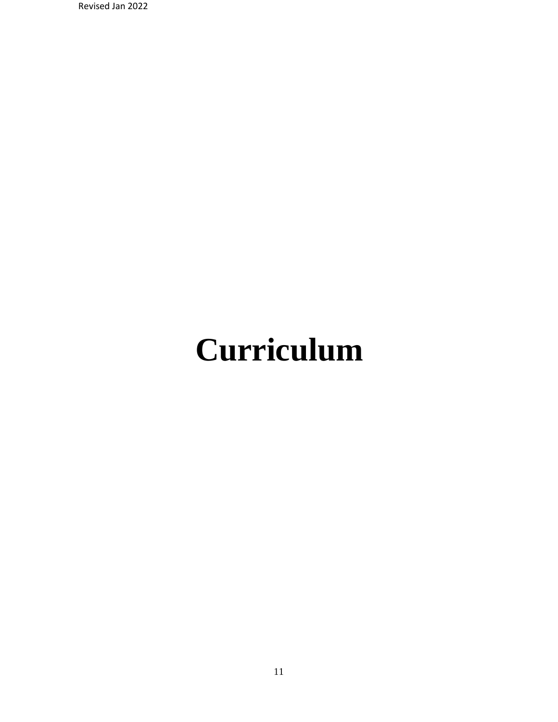Revised Jan 2022

# **Curriculum**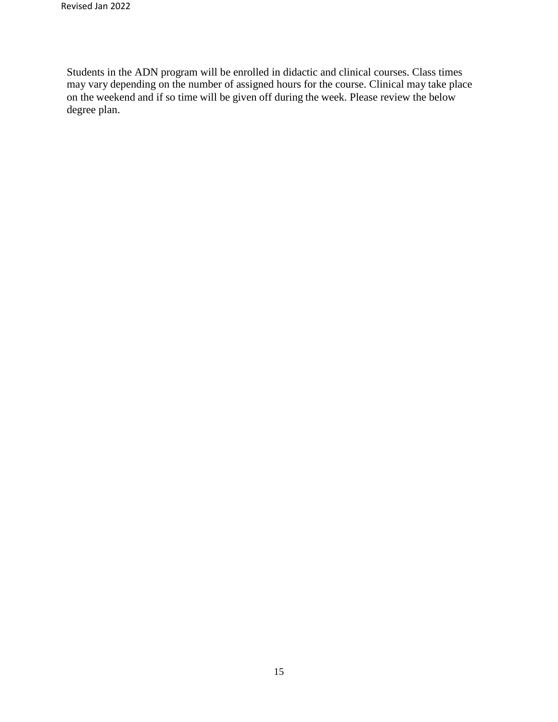Students in the ADN program will be enrolled in didactic and clinical courses. Class times may vary depending on the number of assigned hours for the course. Clinical may take place on the weekend and if so time will be given off during the week. Please review the below degree plan.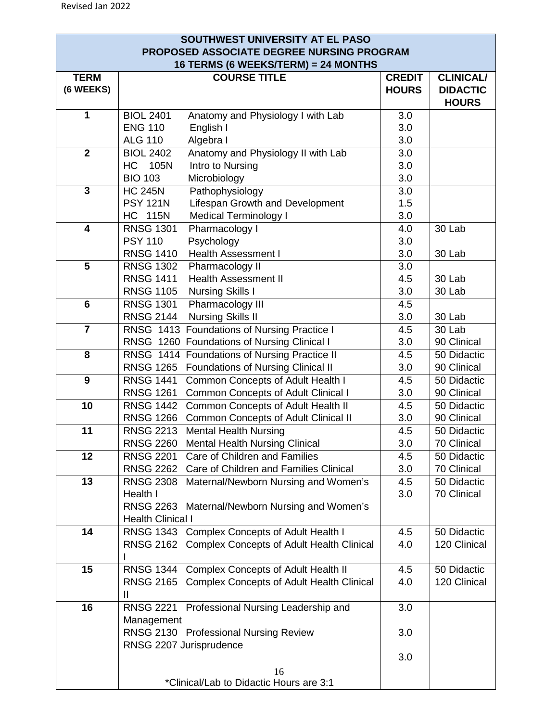| SOUTHWEST UNIVERSITY AT EL PASO<br>PROPOSED ASSOCIATE DEGREE NURSING PROGRAM |                                                                                              |                               |                                                     |
|------------------------------------------------------------------------------|----------------------------------------------------------------------------------------------|-------------------------------|-----------------------------------------------------|
| 16 TERMS (6 WEEKS/TERM) = 24 MONTHS                                          |                                                                                              |                               |                                                     |
| <b>TERM</b><br>(6 WEEKS)                                                     | <b>COURSE TITLE</b>                                                                          | <b>CREDIT</b><br><b>HOURS</b> | <b>CLINICAL/</b><br><b>DIDACTIC</b><br><b>HOURS</b> |
| 1                                                                            | <b>BIOL 2401</b><br>Anatomy and Physiology I with Lab                                        | 3.0                           |                                                     |
|                                                                              | <b>ENG 110</b><br>English I                                                                  | 3.0                           |                                                     |
|                                                                              | <b>ALG 110</b><br>Algebra I                                                                  | 3.0                           |                                                     |
| $\mathbf{2}$                                                                 | <b>BIOL 2402</b><br>Anatomy and Physiology II with Lab                                       | 3.0                           |                                                     |
|                                                                              | HC <b>H</b><br>105N<br>Intro to Nursing                                                      | 3.0                           |                                                     |
|                                                                              | <b>BIO 103</b><br>Microbiology                                                               | 3.0                           |                                                     |
| $\overline{\mathbf{3}}$                                                      | <b>HC 245N</b><br>Pathophysiology                                                            | 3.0                           |                                                     |
|                                                                              | Lifespan Growth and Development<br><b>PSY 121N</b>                                           | 1.5                           |                                                     |
| $\overline{\mathbf{4}}$                                                      | <b>HC 115N</b><br><b>Medical Terminology I</b><br><b>RNSG 1301</b><br>Pharmacology I         | 3.0<br>4.0                    | 30 Lab                                              |
|                                                                              | <b>PSY 110</b><br>Psychology                                                                 | 3.0                           |                                                     |
|                                                                              | <b>Health Assessment I</b><br><b>RNSG 1410</b>                                               | 3.0                           | 30 Lab                                              |
| $\overline{\mathbf{5}}$                                                      | <b>RNSG 1302</b><br>Pharmacology II                                                          | 3.0                           |                                                     |
|                                                                              | <b>RNSG 1411</b><br><b>Health Assessment II</b>                                              | 4.5                           | 30 Lab                                              |
|                                                                              | <b>RNSG 1105</b><br><b>Nursing Skills I</b>                                                  | 3.0                           | 30 Lab                                              |
| $6\phantom{1}$                                                               | <b>RNSG 1301</b><br>Pharmacology III                                                         | 4.5                           |                                                     |
|                                                                              | <b>RNSG 2144</b><br><b>Nursing Skills II</b>                                                 | 3.0                           | 30 Lab                                              |
| $\overline{7}$                                                               | RNSG 1413 Foundations of Nursing Practice I                                                  | 4.5                           | 30 Lab                                              |
|                                                                              | RNSG 1260 Foundations of Nursing Clinical I                                                  | 3.0                           | 90 Clinical                                         |
| 8                                                                            | RNSG 1414 Foundations of Nursing Practice II                                                 | 4.5                           | 50 Didactic                                         |
|                                                                              | <b>RNSG 1265</b><br><b>Foundations of Nursing Clinical II</b>                                | 3.0                           | 90 Clinical                                         |
| 9                                                                            | <b>RNSG 1441</b><br>Common Concepts of Adult Health I                                        | 4.5                           | 50 Didactic                                         |
|                                                                              | <b>RNSG 1261</b><br><b>Common Concepts of Adult Clinical I</b>                               | 3.0                           | 90 Clinical                                         |
| 10                                                                           | Common Concepts of Adult Health II<br><b>RNSG 1442</b>                                       | 4.5                           | 50 Didactic                                         |
|                                                                              | RNSG 1266 Common Concepts of Adult Clinical II                                               | 3.0                           | 90 Clinical                                         |
| 11                                                                           | <b>Mental Health Nursing</b><br><b>RNSG 2213</b><br>RNSG 2260 Mental Health Nursing Clinical | 4.5                           | 50 Didactic<br>70 Clinical                          |
| 12                                                                           | RNSG 2201 Care of Children and Families                                                      | 3.0<br>4.5                    | 50 Didactic                                         |
|                                                                              | RNSG 2262 Care of Children and Families Clinical                                             | 3.0                           | 70 Clinical                                         |
| 13                                                                           | <b>RNSG 2308</b><br>Maternal/Newborn Nursing and Women's                                     | 4.5                           | 50 Didactic                                         |
|                                                                              | Health I                                                                                     | 3.0                           | 70 Clinical                                         |
|                                                                              | RNSG 2263 Maternal/Newborn Nursing and Women's                                               |                               |                                                     |
|                                                                              | <b>Health Clinical I</b>                                                                     |                               |                                                     |
| 14                                                                           | RNSG 1343 Complex Concepts of Adult Health I                                                 | 4.5                           | 50 Didactic                                         |
|                                                                              | RNSG 2162 Complex Concepts of Adult Health Clinical                                          | 4.0                           | 120 Clinical                                        |
|                                                                              |                                                                                              |                               |                                                     |
| 15                                                                           | RNSG 1344 Complex Concepts of Adult Health II                                                | 4.5                           | 50 Didactic                                         |
|                                                                              | RNSG 2165 Complex Concepts of Adult Health Clinical                                          | 4.0                           | 120 Clinical                                        |
|                                                                              | Ш                                                                                            |                               |                                                     |
| 16                                                                           | RNSG 2221 Professional Nursing Leadership and                                                | 3.0                           |                                                     |
|                                                                              | Management                                                                                   |                               |                                                     |
|                                                                              | RNSG 2130 Professional Nursing Review                                                        | 3.0                           |                                                     |
|                                                                              | RNSG 2207 Jurisprudence                                                                      | 3.0                           |                                                     |
|                                                                              | 16                                                                                           |                               |                                                     |
|                                                                              | *Clinical/Lab to Didactic Hours are 3:1                                                      |                               |                                                     |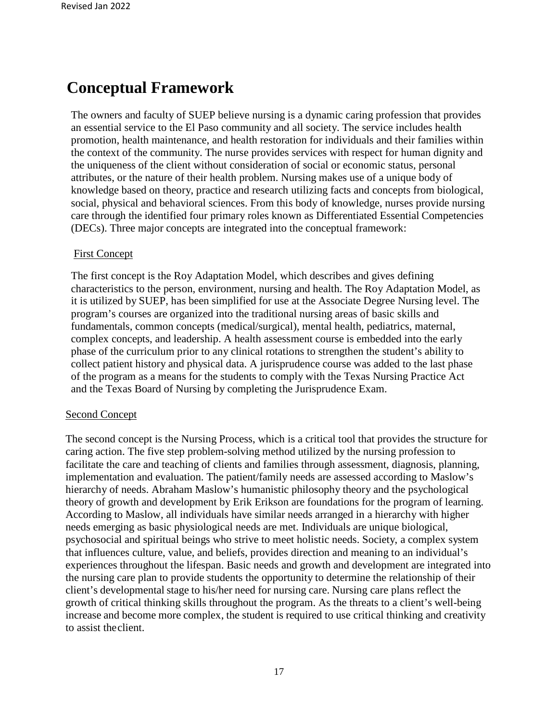## **Conceptual Framework**

The owners and faculty of SUEP believe nursing is a dynamic caring profession that provides an essential service to the El Paso community and all society. The service includes health promotion, health maintenance, and health restoration for individuals and their families within the context of the community. The nurse provides services with respect for human dignity and the uniqueness of the client without consideration of social or economic status, personal attributes, or the nature of their health problem. Nursing makes use of a unique body of knowledge based on theory, practice and research utilizing facts and concepts from biological, social, physical and behavioral sciences. From this body of knowledge, nurses provide nursing care through the identified four primary roles known as Differentiated Essential Competencies (DECs). Three major concepts are integrated into the conceptual framework:

#### First Concept

The first concept is the Roy Adaptation Model, which describes and gives defining characteristics to the person, environment, nursing and health. The Roy Adaptation Model, as it is utilized by SUEP, has been simplified for use at the Associate Degree Nursing level. The program's courses are organized into the traditional nursing areas of basic skills and fundamentals, common concepts (medical/surgical), mental health, pediatrics, maternal, complex concepts, and leadership. A health assessment course is embedded into the early phase of the curriculum prior to any clinical rotations to strengthen the student's ability to collect patient history and physical data. A jurisprudence course was added to the last phase of the program as a means for the students to comply with the Texas Nursing Practice Act and the Texas Board of Nursing by completing the Jurisprudence Exam.

#### Second Concept

The second concept is the Nursing Process, which is a critical tool that provides the structure for caring action. The five step problem-solving method utilized by the nursing profession to facilitate the care and teaching of clients and families through assessment, diagnosis, planning, implementation and evaluation. The patient/family needs are assessed according to Maslow's hierarchy of needs. Abraham Maslow's humanistic philosophy theory and the psychological theory of growth and development by Erik Erikson are foundations for the program of learning. According to Maslow, all individuals have similar needs arranged in a hierarchy with higher needs emerging as basic physiological needs are met. Individuals are unique biological, psychosocial and spiritual beings who strive to meet holistic needs. Society, a complex system that influences culture, value, and beliefs, provides direction and meaning to an individual's experiences throughout the lifespan. Basic needs and growth and development are integrated into the nursing care plan to provide students the opportunity to determine the relationship of their client's developmental stage to his/her need for nursing care. Nursing care plans reflect the growth of critical thinking skills throughout the program. As the threats to a client's well-being increase and become more complex, the student is required to use critical thinking and creativity to assist theclient.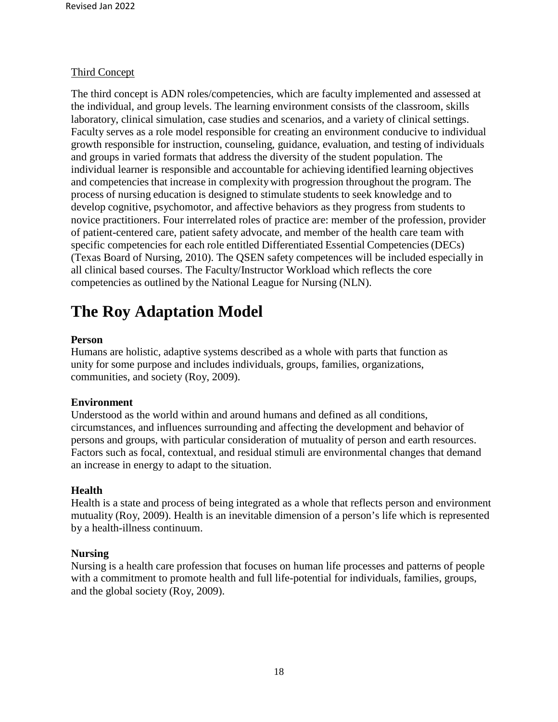#### Third Concept

The third concept is ADN roles/competencies, which are faculty implemented and assessed at the individual, and group levels. The learning environment consists of the classroom, skills laboratory, clinical simulation, case studies and scenarios, and a variety of clinical settings. Faculty serves as a role model responsible for creating an environment conducive to individual growth responsible for instruction, counseling, guidance, evaluation, and testing of individuals and groups in varied formats that address the diversity of the student population. The individual learner is responsible and accountable for achieving identified learning objectives and competencies that increase in complexitywith progression throughout the program. The process of nursing education is designed to stimulate students to seek knowledge and to develop cognitive, psychomotor, and affective behaviors as they progress from students to novice practitioners. Four interrelated roles of practice are: member of the profession, provider of patient-centered care, patient safety advocate, and member of the health care team with specific competencies for each role entitled Differentiated Essential Competencies (DECs) (Texas Board of Nursing, 2010). The QSEN safety competences will be included especially in all clinical based courses. The Faculty/Instructor Workload which reflects the core competencies as outlined by the National League for Nursing (NLN).

## **The Roy Adaptation Model**

#### **Person**

Humans are holistic, adaptive systems described as a whole with parts that function as unity for some purpose and includes individuals, groups, families, organizations, communities, and society (Roy, 2009).

#### **Environment**

Understood as the world within and around humans and defined as all conditions, circumstances, and influences surrounding and affecting the development and behavior of persons and groups, with particular consideration of mutuality of person and earth resources. Factors such as focal, contextual, and residual stimuli are environmental changes that demand an increase in energy to adapt to the situation.

#### **Health**

Health is a state and process of being integrated as a whole that reflects person and environment mutuality (Roy, 2009). Health is an inevitable dimension of a person's life which is represented by a health-illness continuum.

#### **Nursing**

Nursing is a health care profession that focuses on human life processes and patterns of people with a commitment to promote health and full life-potential for individuals, families, groups, and the global society (Roy, 2009).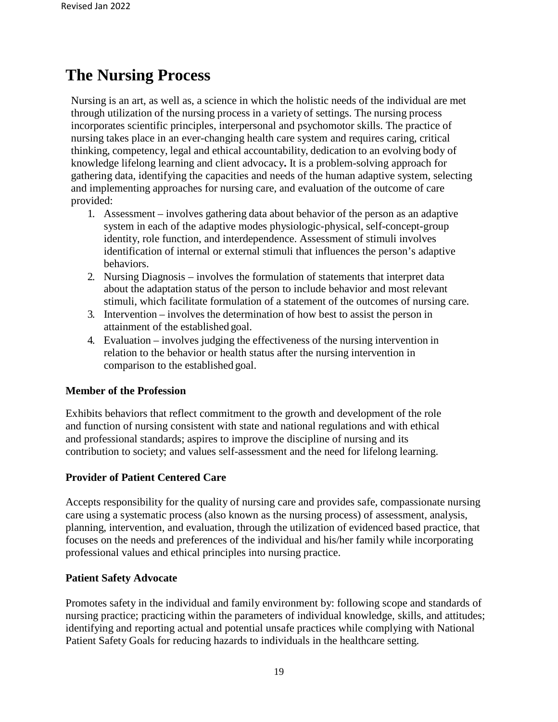## **The Nursing Process**

Nursing is an art, as well as, a science in which the holistic needs of the individual are met through utilization of the nursing process in a variety of settings. The nursing process incorporates scientific principles, interpersonal and psychomotor skills. The practice of nursing takes place in an ever-changing health care system and requires caring, critical thinking, competency, legal and ethical accountability, dedication to an evolving body of knowledge lifelong learning and client advocacy**.** It is a problem-solving approach for gathering data, identifying the capacities and needs of the human adaptive system, selecting and implementing approaches for nursing care, and evaluation of the outcome of care provided:

- 1. Assessment involves gathering data about behavior of the person as an adaptive system in each of the adaptive modes physiologic-physical, self-concept-group identity, role function, and interdependence. Assessment of stimuli involves identification of internal or external stimuli that influences the person's adaptive behaviors.
- 2. Nursing Diagnosis involves the formulation of statements that interpret data about the adaptation status of the person to include behavior and most relevant stimuli, which facilitate formulation of a statement of the outcomes of nursing care.
- 3. Intervention involves the determination of how best to assist the person in attainment of the established goal.
- 4. Evaluation involves judging the effectiveness of the nursing intervention in relation to the behavior or health status after the nursing intervention in comparison to the established goal.

#### **Member of the Profession**

Exhibits behaviors that reflect commitment to the growth and development of the role and function of nursing consistent with state and national regulations and with ethical and professional standards; aspires to improve the discipline of nursing and its contribution to society; and values self-assessment and the need for lifelong learning.

#### **Provider of Patient Centered Care**

Accepts responsibility for the quality of nursing care and provides safe, compassionate nursing care using a systematic process (also known as the nursing process) of assessment, analysis, planning, intervention, and evaluation, through the utilization of evidenced based practice, that focuses on the needs and preferences of the individual and his/her family while incorporating professional values and ethical principles into nursing practice.

#### **Patient Safety Advocate**

Promotes safety in the individual and family environment by: following scope and standards of nursing practice; practicing within the parameters of individual knowledge, skills, and attitudes; identifying and reporting actual and potential unsafe practices while complying with National Patient Safety Goals for reducing hazards to individuals in the healthcare setting.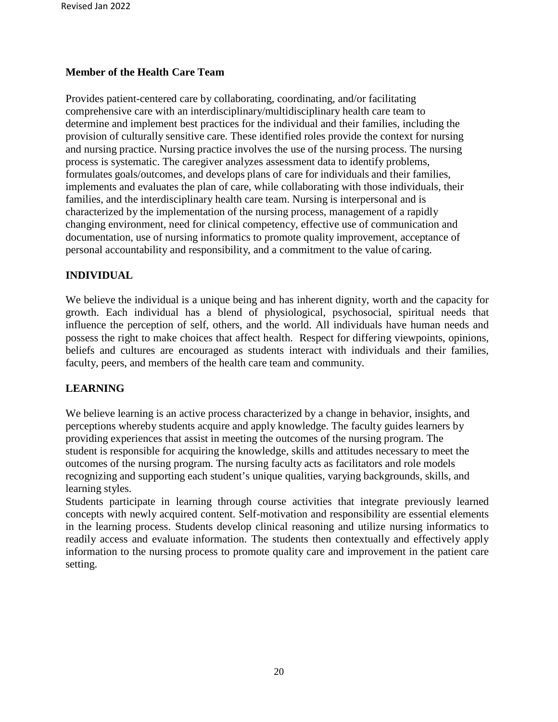#### **Member of the Health Care Team**

Provides patient-centered care by collaborating, coordinating, and/or facilitating comprehensive care with an interdisciplinary/multidisciplinary health care team to determine and implement best practices for the individual and their families, including the provision of culturally sensitive care. These identified roles provide the context for nursing and nursing practice. Nursing practice involves the use of the nursing process. The nursing process is systematic. The caregiver analyzes assessment data to identify problems, formulates goals/outcomes, and develops plans of care for individuals and their families, implements and evaluates the plan of care, while collaborating with those individuals, their families, and the interdisciplinary health care team. Nursing is interpersonal and is characterized by the implementation of the nursing process, management of a rapidly changing environment, need for clinical competency, effective use of communication and documentation, use of nursing informatics to promote quality improvement, acceptance of personal accountability and responsibility, and a commitment to the value of caring.

#### **INDIVIDUAL**

We believe the individual is a unique being and has inherent dignity, worth and the capacity for growth. Each individual has a blend of physiological, psychosocial, spiritual needs that influence the perception of self, others, and the world. All individuals have human needs and possess the right to make choices that affect health. Respect for differing viewpoints, opinions, beliefs and cultures are encouraged as students interact with individuals and their families, faculty, peers, and members of the health care team and community.

#### **LEARNING**

We believe learning is an active process characterized by a change in behavior, insights, and perceptions whereby students acquire and apply knowledge. The faculty guides learners by providing experiences that assist in meeting the outcomes of the nursing program. The student is responsible for acquiring the knowledge, skills and attitudes necessary to meet the outcomes of the nursing program. The nursing faculty acts as facilitators and role models recognizing and supporting each student's unique qualities, varying backgrounds, skills, and learning styles.

Students participate in learning through course activities that integrate previously learned concepts with newly acquired content. Self-motivation and responsibility are essential elements in the learning process. Students develop clinical reasoning and utilize nursing informatics to readily access and evaluate information. The students then contextually and effectively apply information to the nursing process to promote quality care and improvement in the patient care setting.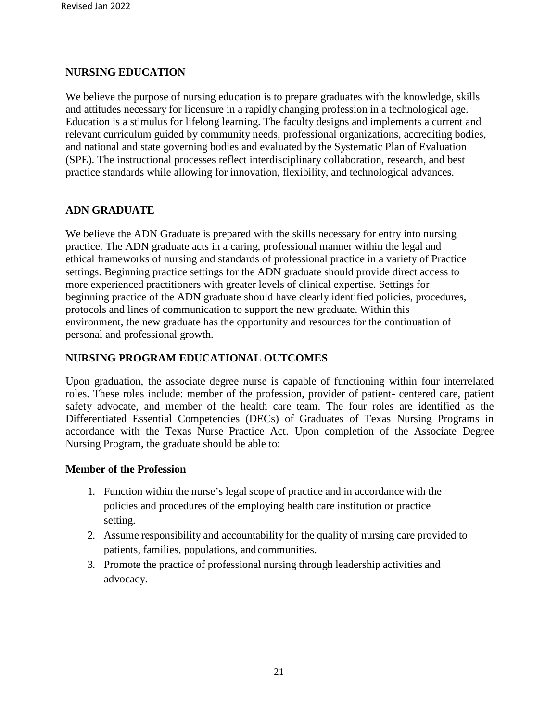#### **NURSING EDUCATION**

We believe the purpose of nursing education is to prepare graduates with the knowledge, skills and attitudes necessary for licensure in a rapidly changing profession in a technological age. Education is a stimulus for lifelong learning. The faculty designs and implements a current and relevant curriculum guided by community needs, professional organizations, accrediting bodies, and national and state governing bodies and evaluated by the Systematic Plan of Evaluation (SPE). The instructional processes reflect interdisciplinary collaboration, research, and best practice standards while allowing for innovation, flexibility, and technological advances.

#### **ADN GRADUATE**

We believe the ADN Graduate is prepared with the skills necessary for entry into nursing practice. The ADN graduate acts in a caring, professional manner within the legal and ethical frameworks of nursing and standards of professional practice in a variety of Practice settings. Beginning practice settings for the ADN graduate should provide direct access to more experienced practitioners with greater levels of clinical expertise. Settings for beginning practice of the ADN graduate should have clearly identified policies, procedures, protocols and lines of communication to support the new graduate. Within this environment, the new graduate has the opportunity and resources for the continuation of personal and professional growth.

#### **NURSING PROGRAM EDUCATIONAL OUTCOMES**

Upon graduation, the associate degree nurse is capable of functioning within four interrelated roles. These roles include: member of the profession, provider of patient- centered care, patient safety advocate, and member of the health care team. The four roles are identified as the Differentiated Essential Competencies (DECs) of Graduates of Texas Nursing Programs in accordance with the Texas Nurse Practice Act. Upon completion of the Associate Degree Nursing Program, the graduate should be able to:

#### **Member of the Profession**

- 1. Function within the nurse's legal scope of practice and in accordance with the policies and procedures of the employing health care institution or practice setting.
- 2. Assume responsibility and accountability for the quality of nursing care provided to patients, families, populations, and communities.
- 3. Promote the practice of professional nursing through leadership activities and advocacy.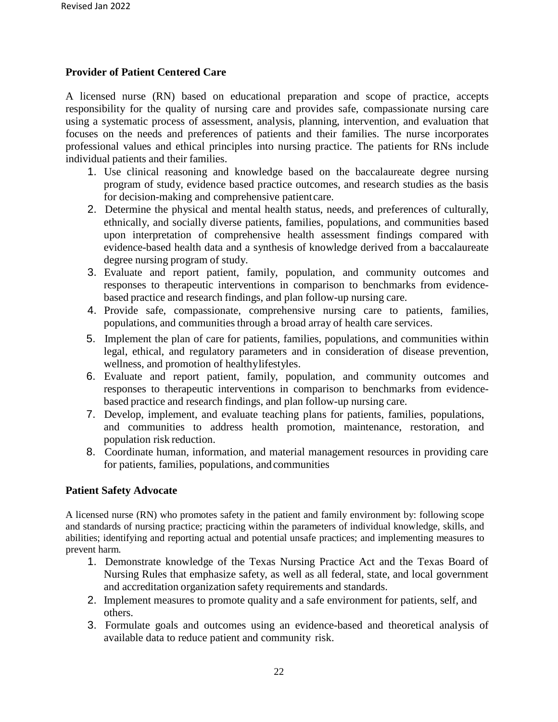#### **Provider of Patient Centered Care**

A licensed nurse (RN) based on educational preparation and scope of practice, accepts responsibility for the quality of nursing care and provides safe, compassionate nursing care using a systematic process of assessment, analysis, planning, intervention, and evaluation that focuses on the needs and preferences of patients and their families. The nurse incorporates professional values and ethical principles into nursing practice. The patients for RNs include individual patients and their families.

- 1. Use clinical reasoning and knowledge based on the baccalaureate degree nursing program of study, evidence based practice outcomes, and research studies as the basis for decision-making and comprehensive patientcare.
- 2. Determine the physical and mental health status, needs, and preferences of culturally, ethnically, and socially diverse patients, families, populations, and communities based upon interpretation of comprehensive health assessment findings compared with evidence-based health data and a synthesis of knowledge derived from a baccalaureate degree nursing program of study.
- 3. Evaluate and report patient, family, population, and community outcomes and responses to therapeutic interventions in comparison to benchmarks from evidencebased practice and research findings, and plan follow-up nursing care.
- 4. Provide safe, compassionate, comprehensive nursing care to patients, families, populations, and communities through a broad array of health care services.
- 5. Implement the plan of care for patients, families, populations, and communities within legal, ethical, and regulatory parameters and in consideration of disease prevention, wellness, and promotion of healthylifestyles.
- 6. Evaluate and report patient, family, population, and community outcomes and responses to therapeutic interventions in comparison to benchmarks from evidencebased practice and research findings, and plan follow-up nursing care.
- 7. Develop, implement, and evaluate teaching plans for patients, families, populations, and communities to address health promotion, maintenance, restoration, and population risk reduction.
- 8. Coordinate human, information, and material management resources in providing care for patients, families, populations, and communities

#### **Patient Safety Advocate**

A licensed nurse (RN) who promotes safety in the patient and family environment by: following scope and standards of nursing practice; practicing within the parameters of individual knowledge, skills, and abilities; identifying and reporting actual and potential unsafe practices; and implementing measures to prevent harm.

- 1. Demonstrate knowledge of the Texas Nursing Practice Act and the Texas Board of Nursing Rules that emphasize safety, as well as all federal, state, and local government and accreditation organization safety requirements and standards.
- 2. Implement measures to promote quality and a safe environment for patients, self, and others.
- 3. Formulate goals and outcomes using an evidence-based and theoretical analysis of available data to reduce patient and community risk.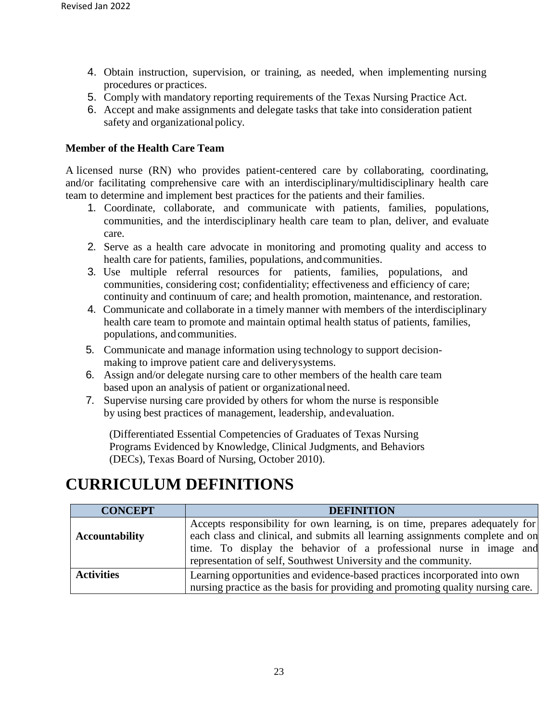- 4. Obtain instruction, supervision, or training, as needed, when implementing nursing procedures or practices.
- 5. Comply with mandatory reporting requirements of the Texas Nursing Practice Act.
- 6. Accept and make assignments and delegate tasks that take into consideration patient safety and organizational policy.

#### **Member of the Health Care Team**

A licensed nurse (RN) who provides patient-centered care by collaborating, coordinating, and/or facilitating comprehensive care with an interdisciplinary/multidisciplinary health care team to determine and implement best practices for the patients and their families.

- 1. Coordinate, collaborate, and communicate with patients, families, populations, communities, and the interdisciplinary health care team to plan, deliver, and evaluate care.
- 2. Serve as a health care advocate in monitoring and promoting quality and access to health care for patients, families, populations, andcommunities.
- 3. Use multiple referral resources for patients, families, populations, and communities, considering cost; confidentiality; effectiveness and efficiency of care; continuity and continuum of care; and health promotion, maintenance, and restoration.
- 4. Communicate and collaborate in a timely manner with members of the interdisciplinary health care team to promote and maintain optimal health status of patients, families, populations, and communities.
- 5. Communicate and manage information using technology to support decisionmaking to improve patient care and deliverysystems.
- 6. Assign and/or delegate nursing care to other members of the health care team based upon an analysis of patient or organizationalneed.
- 7. Supervise nursing care provided by others for whom the nurse is responsible by using best practices of management, leadership, andevaluation.

(Differentiated Essential Competencies of Graduates of Texas Nursing Programs Evidenced by Knowledge, Clinical Judgments, and Behaviors (DECs), Texas Board of Nursing, October 2010).

## **CURRICULUM DEFINITIONS**

| <b>CONCEPT</b>        | <b>DEFINITION</b>                                                                                                                                                                                                                                                                                      |  |
|-----------------------|--------------------------------------------------------------------------------------------------------------------------------------------------------------------------------------------------------------------------------------------------------------------------------------------------------|--|
| <b>Accountability</b> | Accepts responsibility for own learning, is on time, prepares adequately for<br>each class and clinical, and submits all learning assignments complete and on<br>time. To display the behavior of a professional nurse in image and<br>representation of self, Southwest University and the community. |  |
| <b>Activities</b>     | Learning opportunities and evidence-based practices incorporated into own<br>nursing practice as the basis for providing and promoting quality nursing care.                                                                                                                                           |  |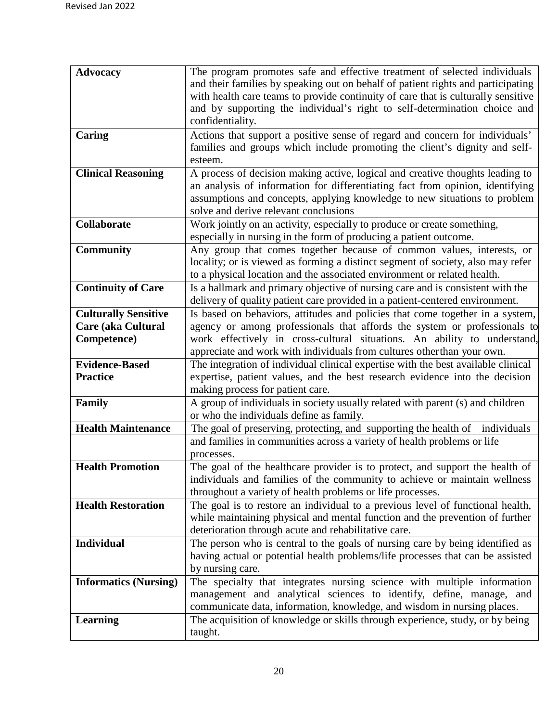| <b>Advocacy</b>              | The program promotes safe and effective treatment of selected individuals                                                                                      |
|------------------------------|----------------------------------------------------------------------------------------------------------------------------------------------------------------|
|                              | and their families by speaking out on behalf of patient rights and participating                                                                               |
|                              | with health care teams to provide continuity of care that is culturally sensitive                                                                              |
|                              | and by supporting the individual's right to self-determination choice and                                                                                      |
|                              | confidentiality.                                                                                                                                               |
| Caring                       | Actions that support a positive sense of regard and concern for individuals'                                                                                   |
|                              | families and groups which include promoting the client's dignity and self-                                                                                     |
|                              | esteem.                                                                                                                                                        |
| <b>Clinical Reasoning</b>    | A process of decision making active, logical and creative thoughts leading to<br>an analysis of information for differentiating fact from opinion, identifying |
|                              | assumptions and concepts, applying knowledge to new situations to problem                                                                                      |
|                              | solve and derive relevant conclusions                                                                                                                          |
| Collaborate                  | Work jointly on an activity, especially to produce or create something,                                                                                        |
|                              | especially in nursing in the form of producing a patient outcome.                                                                                              |
| <b>Community</b>             | Any group that comes together because of common values, interests, or                                                                                          |
|                              | locality; or is viewed as forming a distinct segment of society, also may refer                                                                                |
|                              | to a physical location and the associated environment or related health.                                                                                       |
| <b>Continuity of Care</b>    | Is a hallmark and primary objective of nursing care and is consistent with the                                                                                 |
|                              | delivery of quality patient care provided in a patient-centered environment.                                                                                   |
| <b>Culturally Sensitive</b>  | Is based on behaviors, attitudes and policies that come together in a system,                                                                                  |
| <b>Care (aka Cultural</b>    | agency or among professionals that affords the system or professionals to                                                                                      |
| Competence)                  | work effectively in cross-cultural situations. An ability to understand,                                                                                       |
|                              | appreciate and work with individuals from cultures other than your own.                                                                                        |
| <b>Evidence-Based</b>        | The integration of individual clinical expertise with the best available clinical                                                                              |
| <b>Practice</b>              | expertise, patient values, and the best research evidence into the decision                                                                                    |
|                              | making process for patient care.                                                                                                                               |
| Family                       | A group of individuals in society usually related with parent (s) and children                                                                                 |
| <b>Health Maintenance</b>    | or who the individuals define as family.<br>The goal of preserving, protecting, and supporting the health of individuals                                       |
|                              | and families in communities across a variety of health problems or life                                                                                        |
|                              | processes.                                                                                                                                                     |
| <b>Health Promotion</b>      | The goal of the healthcare provider is to protect, and support the health of                                                                                   |
|                              | individuals and families of the community to achieve or maintain wellness                                                                                      |
|                              | throughout a variety of health problems or life processes.                                                                                                     |
| <b>Health Restoration</b>    | The goal is to restore an individual to a previous level of functional health,                                                                                 |
|                              | while maintaining physical and mental function and the prevention of further                                                                                   |
|                              | deterioration through acute and rehabilitative care.                                                                                                           |
| <b>Individual</b>            | The person who is central to the goals of nursing care by being identified as                                                                                  |
|                              | having actual or potential health problems/life processes that can be assisted                                                                                 |
|                              | by nursing care.                                                                                                                                               |
| <b>Informatics (Nursing)</b> | The specialty that integrates nursing science with multiple information                                                                                        |
|                              | management and analytical sciences to identify, define, manage, and                                                                                            |
|                              | communicate data, information, knowledge, and wisdom in nursing places.                                                                                        |
| <b>Learning</b>              | The acquisition of knowledge or skills through experience, study, or by being                                                                                  |
|                              | taught.                                                                                                                                                        |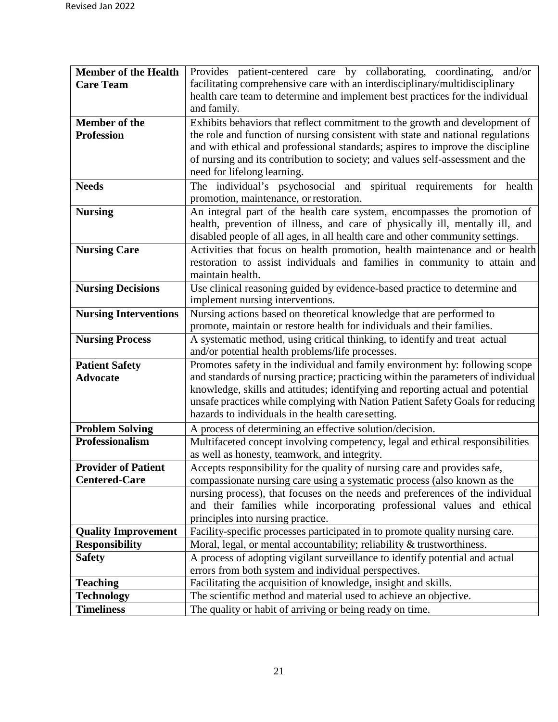| <b>Member of the Health</b>  | Provides patient-centered care by collaborating, coordinating, and/or                                                          |  |  |
|------------------------------|--------------------------------------------------------------------------------------------------------------------------------|--|--|
| <b>Care Team</b>             | facilitating comprehensive care with an interdisciplinary/multidisciplinary                                                    |  |  |
|                              | health care team to determine and implement best practices for the individual                                                  |  |  |
|                              | and family.                                                                                                                    |  |  |
| <b>Member of the</b>         | Exhibits behaviors that reflect commitment to the growth and development of                                                    |  |  |
| <b>Profession</b>            | the role and function of nursing consistent with state and national regulations                                                |  |  |
|                              | and with ethical and professional standards; aspires to improve the discipline                                                 |  |  |
|                              | of nursing and its contribution to society; and values self-assessment and the                                                 |  |  |
|                              | need for lifelong learning.                                                                                                    |  |  |
| <b>Needs</b>                 | The individual's psychosocial and spiritual requirements for<br>health                                                         |  |  |
|                              | promotion, maintenance, or restoration.                                                                                        |  |  |
| <b>Nursing</b>               | An integral part of the health care system, encompasses the promotion of                                                       |  |  |
|                              | health, prevention of illness, and care of physically ill, mentally ill, and                                                   |  |  |
|                              | disabled people of all ages, in all health care and other community settings.                                                  |  |  |
| <b>Nursing Care</b>          | Activities that focus on health promotion, health maintenance and or health                                                    |  |  |
|                              | restoration to assist individuals and families in community to attain and                                                      |  |  |
|                              | maintain health.                                                                                                               |  |  |
| <b>Nursing Decisions</b>     | Use clinical reasoning guided by evidence-based practice to determine and                                                      |  |  |
|                              | implement nursing interventions.                                                                                               |  |  |
| <b>Nursing Interventions</b> | Nursing actions based on theoretical knowledge that are performed to                                                           |  |  |
|                              | promote, maintain or restore health for individuals and their families.                                                        |  |  |
| <b>Nursing Process</b>       | A systematic method, using critical thinking, to identify and treat actual<br>and/or potential health problems/life processes. |  |  |
| <b>Patient Safety</b>        | Promotes safety in the individual and family environment by: following scope                                                   |  |  |
| <b>Advocate</b>              | and standards of nursing practice; practicing within the parameters of individual                                              |  |  |
|                              | knowledge, skills and attitudes; identifying and reporting actual and potential                                                |  |  |
|                              | unsafe practices while complying with Nation Patient Safety Goals for reducing                                                 |  |  |
|                              | hazards to individuals in the health care setting.                                                                             |  |  |
| <b>Problem Solving</b>       | A process of determining an effective solution/decision.                                                                       |  |  |
| Professionalism              | Multifaceted concept involving competency, legal and ethical responsibilities                                                  |  |  |
|                              | as well as honesty, teamwork, and integrity.                                                                                   |  |  |
| <b>Provider of Patient</b>   | Accepts responsibility for the quality of nursing care and provides safe,                                                      |  |  |
| <b>Centered-Care</b>         | compassionate nursing care using a systematic process (also known as the                                                       |  |  |
|                              | nursing process), that focuses on the needs and preferences of the individual                                                  |  |  |
|                              | and their families while incorporating professional values and ethical                                                         |  |  |
|                              | principles into nursing practice.                                                                                              |  |  |
| <b>Quality Improvement</b>   | Facility-specific processes participated in to promote quality nursing care.                                                   |  |  |
| <b>Responsibility</b>        | Moral, legal, or mental accountability; reliability & trustworthiness.                                                         |  |  |
| <b>Safety</b>                | A process of adopting vigilant surveillance to identify potential and actual                                                   |  |  |
|                              | errors from both system and individual perspectives.                                                                           |  |  |
| <b>Teaching</b>              | Facilitating the acquisition of knowledge, insight and skills.                                                                 |  |  |
| <b>Technology</b>            | The scientific method and material used to achieve an objective.                                                               |  |  |
| <b>Timeliness</b>            | The quality or habit of arriving or being ready on time.                                                                       |  |  |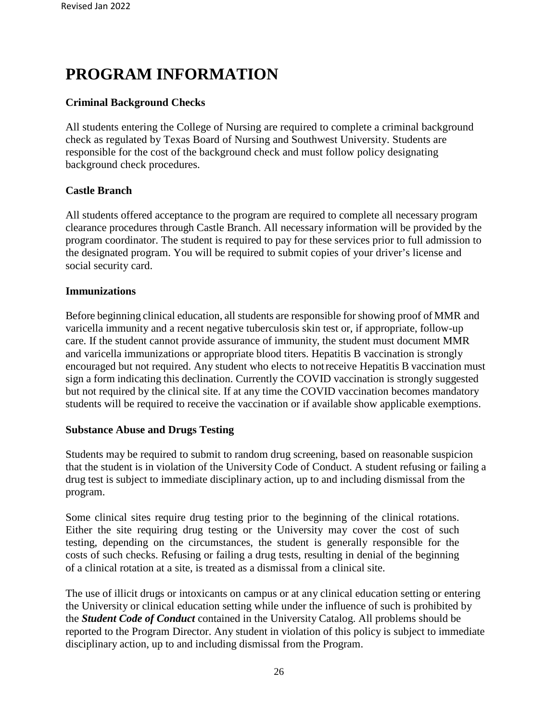## **PROGRAM INFORMATION**

#### **Criminal Background Checks**

All students entering the College of Nursing are required to complete a criminal background check as regulated by Texas Board of Nursing and Southwest University. Students are responsible for the cost of the background check and must follow policy designating background check procedures.

#### **Castle Branch**

All students offered acceptance to the program are required to complete all necessary program clearance procedures through Castle Branch. All necessary information will be provided by the program coordinator. The student is required to pay for these services prior to full admission to the designated program. You will be required to submit copies of your driver's license and social security card.

#### **Immunizations**

Before beginning clinical education, all students are responsible for showing proof of MMR and varicella immunity and a recent negative tuberculosis skin test or, if appropriate, follow-up care. If the student cannot provide assurance of immunity, the student must document MMR and varicella immunizations or appropriate blood titers. Hepatitis B vaccination is strongly encouraged but not required. Any student who elects to notreceive Hepatitis B vaccination must sign a form indicating this declination. Currently the COVID vaccination is strongly suggested but not required by the clinical site. If at any time the COVID vaccination becomes mandatory students will be required to receive the vaccination or if available show applicable exemptions.

#### **Substance Abuse and Drugs Testing**

Students may be required to submit to random drug screening, based on reasonable suspicion that the student is in violation of the University Code of Conduct. A student refusing or failing a drug test is subject to immediate disciplinary action, up to and including dismissal from the program.

Some clinical sites require drug testing prior to the beginning of the clinical rotations. Either the site requiring drug testing or the University may cover the cost of such testing, depending on the circumstances, the student is generally responsible for the costs of such checks. Refusing or failing a drug tests, resulting in denial of the beginning of a clinical rotation at a site, is treated as a dismissal from a clinical site.

The use of illicit drugs or intoxicants on campus or at any clinical education setting or entering the University or clinical education setting while under the influence of such is prohibited by the *Student Code of Conduct* contained in the University Catalog. All problems should be reported to the Program Director. Any student in violation of this policy is subject to immediate disciplinary action, up to and including dismissal from the Program.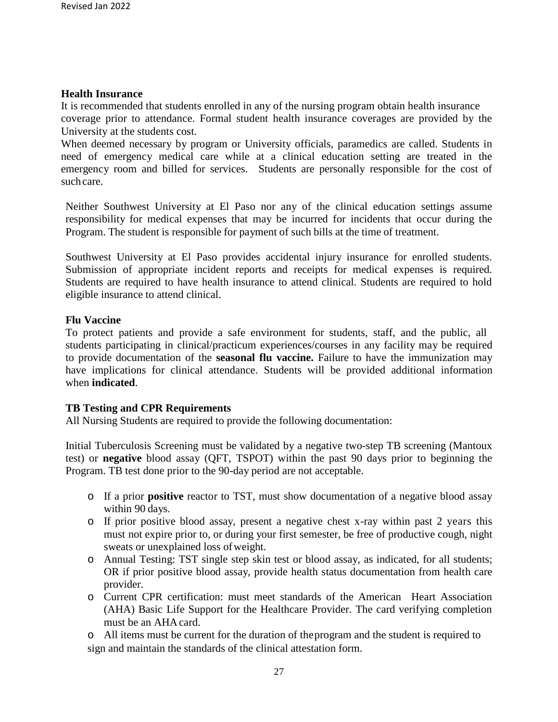#### **Health Insurance**

It is recommended that students enrolled in any of the nursing program obtain health insurance coverage prior to attendance. Formal student health insurance coverages are provided by the University at the students cost.

When deemed necessary by program or University officials, paramedics are called. Students in need of emergency medical care while at a clinical education setting are treated in the emergency room and billed for services. Students are personally responsible for the cost of such care.

Neither Southwest University at El Paso nor any of the clinical education settings assume responsibility for medical expenses that may be incurred for incidents that occur during the Program. The student is responsible for payment of such bills at the time of treatment.

Southwest University at El Paso provides accidental injury insurance for enrolled students. Submission of appropriate incident reports and receipts for medical expenses is required. Students are required to have health insurance to attend clinical. Students are required to hold eligible insurance to attend clinical.

#### **Flu Vaccine**

To protect patients and provide a safe environment for students, staff, and the public, all students participating in clinical/practicum experiences/courses in any facility may be required to provide documentation of the **seasonal flu vaccine.** Failure to have the immunization may have implications for clinical attendance. Students will be provided additional information when **indicated**.

#### **TB Testing and CPR Requirements**

All Nursing Students are required to provide the following documentation:

Initial Tuberculosis Screening must be validated by a negative two-step TB screening (Mantoux test) or **negative** blood assay (QFT, TSPOT) within the past 90 days prior to beginning the Program. TB test done prior to the 90-day period are not acceptable.

- o If a prior **positive** reactor to TST, must show documentation of a negative blood assay within 90 days.
- o If prior positive blood assay, present a negative chest x-ray within past 2 years this must not expire prior to, or during your first semester, be free of productive cough, night sweats or unexplained loss ofweight.
- o Annual Testing: TST single step skin test or blood assay, as indicated, for all students; OR if prior positive blood assay, provide health status documentation from health care provider.
- o Current CPR certification: must meet standards of the American Heart Association (AHA) Basic Life Support for the Healthcare Provider. The card verifying completion must be an AHAcard.

o All items must be current for the duration of theprogram and the student is required to sign and maintain the standards of the clinical attestation form.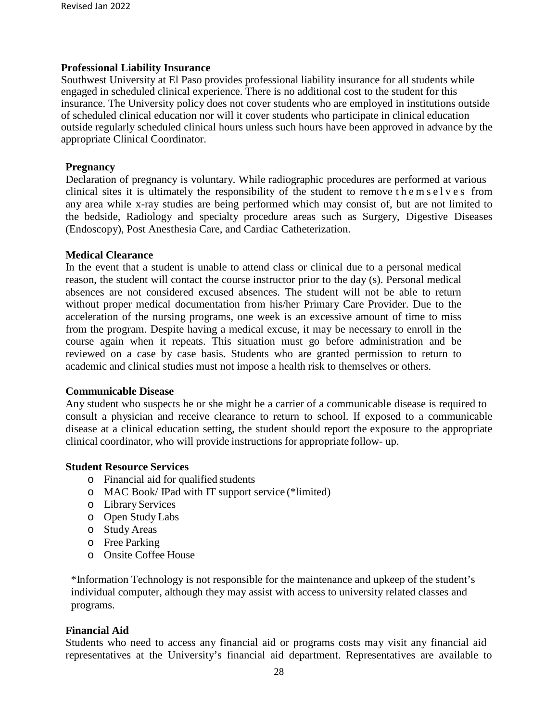#### **Professional Liability Insurance**

Southwest University at El Paso provides professional liability insurance for all students while engaged in scheduled clinical experience. There is no additional cost to the student for this insurance. The University policy does not cover students who are employed in institutions outside of scheduled clinical education nor will it cover students who participate in clinical education outside regularly scheduled clinical hours unless such hours have been approved in advance by the appropriate Clinical Coordinator.

#### **Pregnancy**

Declaration of pregnancy is voluntary. While radiographic procedures are performed at various clinical sites it is ultimately the responsibility of the student to remove themselves from any area while x-ray studies are being performed which may consist of, but are not limited to the bedside, Radiology and specialty procedure areas such as Surgery, Digestive Diseases (Endoscopy), Post Anesthesia Care, and Cardiac Catheterization.

#### **Medical Clearance**

In the event that a student is unable to attend class or clinical due to a personal medical reason, the student will contact the course instructor prior to the day (s). Personal medical absences are not considered excused absences. The student will not be able to return without proper medical documentation from his/her Primary Care Provider. Due to the acceleration of the nursing programs, one week is an excessive amount of time to miss from the program. Despite having a medical excuse, it may be necessary to enroll in the course again when it repeats. This situation must go before administration and be reviewed on a case by case basis. Students who are granted permission to return to academic and clinical studies must not impose a health risk to themselves or others.

#### **Communicable Disease**

Any student who suspects he or she might be a carrier of a communicable disease is required to consult a physician and receive clearance to return to school. If exposed to a communicable disease at a clinical education setting, the student should report the exposure to the appropriate clinical coordinator, who will provide instructions for appropriate follow- up.

#### **Student Resource Services**

- o Financial aid for qualified students
- o MAC Book/ IPad with IT support service (\*limited)
- o Library Services
- o Open Study Labs
- o Study Areas
- o Free Parking
- o Onsite Coffee House

\*Information Technology is not responsible for the maintenance and upkeep of the student's individual computer, although they may assist with access to university related classes and programs.

#### **Financial Aid**

Students who need to access any financial aid or programs costs may visit any financial aid representatives at the University's financial aid department. Representatives are available to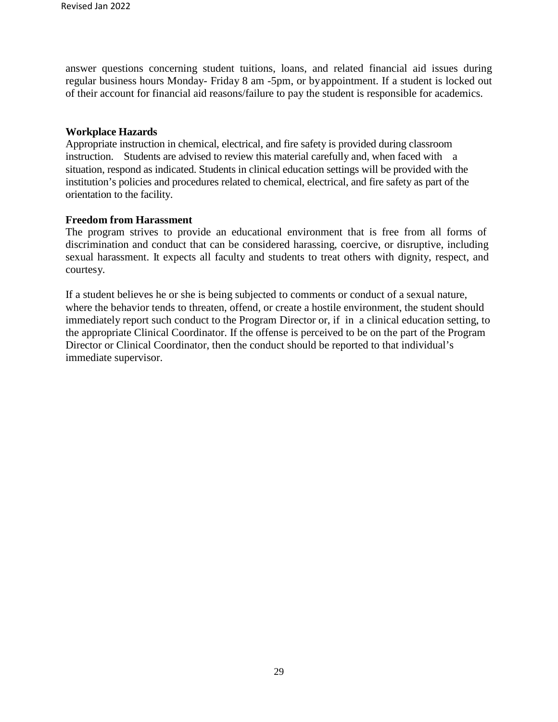answer questions concerning student tuitions, loans, and related financial aid issues during regular business hours Monday- Friday 8 am -5pm, or byappointment. If a student is locked out of their account for financial aid reasons/failure to pay the student is responsible for academics.

#### **Workplace Hazards**

Appropriate instruction in chemical, electrical, and fire safety is provided during classroom instruction. Students are advised to review this material carefully and, when faced with a situation, respond as indicated. Students in clinical education settings will be provided with the institution's policies and procedures related to chemical, electrical, and fire safety as part of the orientation to the facility.

#### **Freedom from Harassment**

The program strives to provide an educational environment that is free from all forms of discrimination and conduct that can be considered harassing, coercive, or disruptive, including sexual harassment. It expects all faculty and students to treat others with dignity, respect, and courtesy.

If a student believes he or she is being subjected to comments or conduct of a sexual nature, where the behavior tends to threaten, offend, or create a hostile environment, the student should immediately report such conduct to the Program Director or, if in a clinical education setting, to the appropriate Clinical Coordinator. If the offense is perceived to be on the part of the Program Director or Clinical Coordinator, then the conduct should be reported to that individual's immediate supervisor.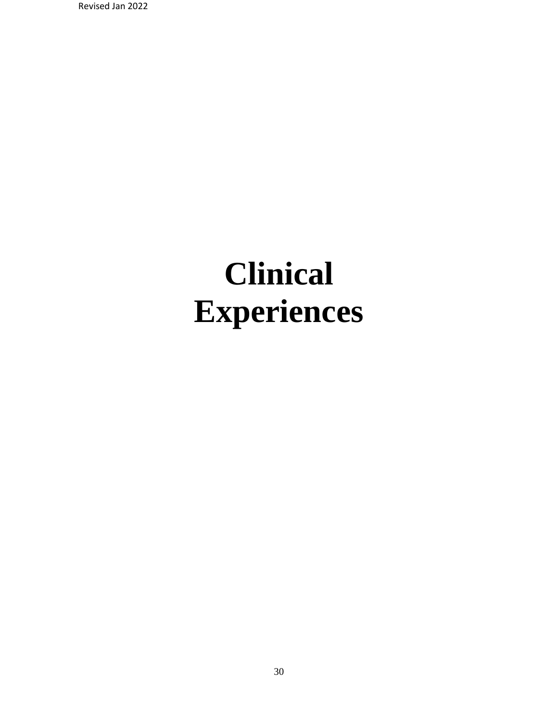Revised Jan 2022

# **Clinical Experiences**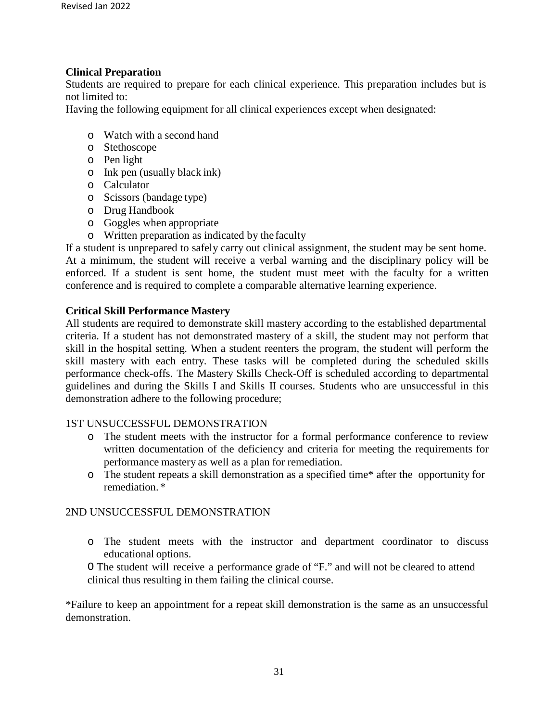#### **Clinical Preparation**

Students are required to prepare for each clinical experience. This preparation includes but is not limited to:

Having the following equipment for all clinical experiences except when designated:

- o Watch with a second hand
- o Stethoscope
- o Pen light
- o Ink pen (usually black ink)
- o Calculator
- o Scissors (bandage type)
- o Drug Handbook
- o Goggles when appropriate
- o Written preparation as indicated by the faculty

If a student is unprepared to safely carry out clinical assignment, the student may be sent home. At a minimum, the student will receive a verbal warning and the disciplinary policy will be enforced. If a student is sent home, the student must meet with the faculty for a written conference and is required to complete a comparable alternative learning experience.

#### **Critical Skill Performance Mastery**

All students are required to demonstrate skill mastery according to the established departmental criteria. If a student has not demonstrated mastery of a skill, the student may not perform that skill in the hospital setting. When a student reenters the program, the student will perform the skill mastery with each entry. These tasks will be completed during the scheduled skills performance check-offs. The Mastery Skills Check-Off is scheduled according to departmental guidelines and during the Skills I and Skills II courses. Students who are unsuccessful in this demonstration adhere to the following procedure;

#### 1ST UNSUCCESSFUL DEMONSTRATION

- o The student meets with the instructor for a formal performance conference to review written documentation of the deficiency and criteria for meeting the requirements for performance mastery as well as a plan for remediation.
- o The student repeats a skill demonstration as a specified time\* after the opportunity for remediation. \*

#### 2ND UNSUCCESSFUL DEMONSTRATION

o The student meets with the instructor and department coordinator to discuss educational options.

O The student will receive a performance grade of "F." and will not be cleared to attend clinical thus resulting in them failing the clinical course.

\*Failure to keep an appointment for a repeat skill demonstration is the same as an unsuccessful demonstration.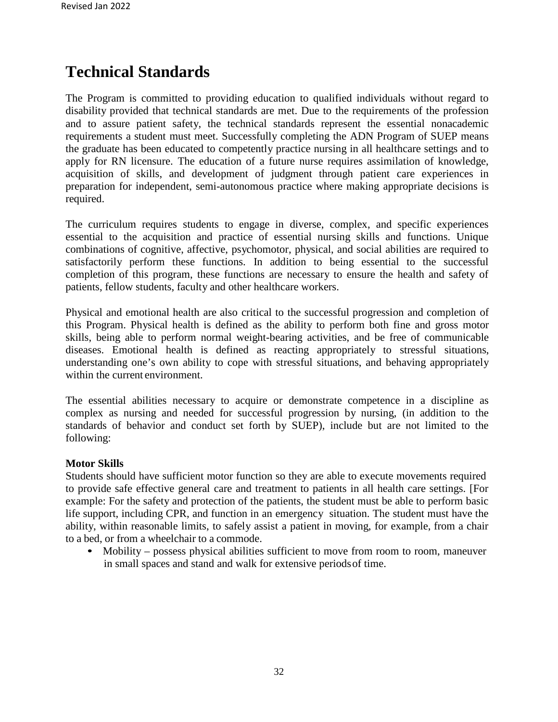## **Technical Standards**

The Program is committed to providing education to qualified individuals without regard to disability provided that technical standards are met. Due to the requirements of the profession and to assure patient safety, the technical standards represent the essential nonacademic requirements a student must meet. Successfully completing the ADN Program of SUEP means the graduate has been educated to competently practice nursing in all healthcare settings and to apply for RN licensure. The education of a future nurse requires assimilation of knowledge, acquisition of skills, and development of judgment through patient care experiences in preparation for independent, semi-autonomous practice where making appropriate decisions is required.

The curriculum requires students to engage in diverse, complex, and specific experiences essential to the acquisition and practice of essential nursing skills and functions. Unique combinations of cognitive, affective, psychomotor, physical, and social abilities are required to satisfactorily perform these functions. In addition to being essential to the successful completion of this program, these functions are necessary to ensure the health and safety of patients, fellow students, faculty and other healthcare workers.

Physical and emotional health are also critical to the successful progression and completion of this Program. Physical health is defined as the ability to perform both fine and gross motor skills, being able to perform normal weight-bearing activities, and be free of communicable diseases. Emotional health is defined as reacting appropriately to stressful situations, understanding one's own ability to cope with stressful situations, and behaving appropriately within the current environment.

The essential abilities necessary to acquire or demonstrate competence in a discipline as complex as nursing and needed for successful progression by nursing, (in addition to the standards of behavior and conduct set forth by SUEP), include but are not limited to the following:

#### **Motor Skills**

Students should have sufficient motor function so they are able to execute movements required to provide safe effective general care and treatment to patients in all health care settings. [For example: For the safety and protection of the patients, the student must be able to perform basic life support, including CPR, and function in an emergency situation. The student must have the ability, within reasonable limits, to safely assist a patient in moving, for example, from a chair to a bed, or from a wheelchair to a commode.

• Mobility – possess physical abilities sufficient to move from room to room, maneuver in small spaces and stand and walk for extensive periodsof time.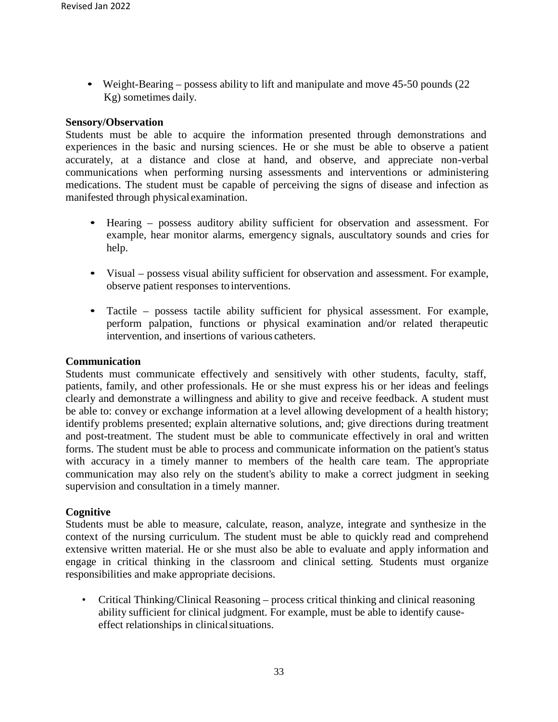• Weight-Bearing – possess ability to lift and manipulate and move 45-50 pounds (22) Kg) sometimes daily.

#### **Sensory/Observation**

Students must be able to acquire the information presented through demonstrations and experiences in the basic and nursing sciences. He or she must be able to observe a patient accurately, at a distance and close at hand, and observe, and appreciate non-verbal communications when performing nursing assessments and interventions or administering medications. The student must be capable of perceiving the signs of disease and infection as manifested through physical examination.

- Hearing possess auditory ability sufficient for observation and assessment. For example, hear monitor alarms, emergency signals, auscultatory sounds and cries for help.
- Visual possess visual ability sufficient for observation and assessment. For example, observe patient responses to interventions.
- Tactile possess tactile ability sufficient for physical assessment. For example, perform palpation, functions or physical examination and/or related therapeutic intervention, and insertions of various catheters.

#### **Communication**

Students must communicate effectively and sensitively with other students, faculty, staff, patients, family, and other professionals. He or she must express his or her ideas and feelings clearly and demonstrate a willingness and ability to give and receive feedback. A student must be able to: convey or exchange information at a level allowing development of a health history; identify problems presented; explain alternative solutions, and; give directions during treatment and post-treatment. The student must be able to communicate effectively in oral and written forms. The student must be able to process and communicate information on the patient's status with accuracy in a timely manner to members of the health care team. The appropriate communication may also rely on the student's ability to make a correct judgment in seeking supervision and consultation in a timely manner.

#### **Cognitive**

Students must be able to measure, calculate, reason, analyze, integrate and synthesize in the context of the nursing curriculum. The student must be able to quickly read and comprehend extensive written material. He or she must also be able to evaluate and apply information and engage in critical thinking in the classroom and clinical setting. Students must organize responsibilities and make appropriate decisions.

• Critical Thinking/Clinical Reasoning – process critical thinking and clinical reasoning ability sufficient for clinical judgment. For example, must be able to identify causeeffect relationships in clinicalsituations.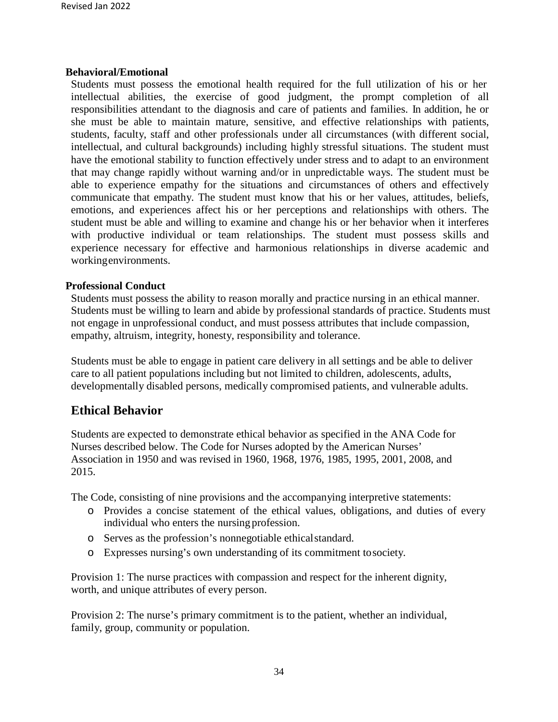#### **Behavioral/Emotional**

Students must possess the emotional health required for the full utilization of his or her intellectual abilities, the exercise of good judgment, the prompt completion of all responsibilities attendant to the diagnosis and care of patients and families. In addition, he or she must be able to maintain mature, sensitive, and effective relationships with patients, students, faculty, staff and other professionals under all circumstances (with different social, intellectual, and cultural backgrounds) including highly stressful situations. The student must have the emotional stability to function effectively under stress and to adapt to an environment that may change rapidly without warning and/or in unpredictable ways. The student must be able to experience empathy for the situations and circumstances of others and effectively communicate that empathy. The student must know that his or her values, attitudes, beliefs, emotions, and experiences affect his or her perceptions and relationships with others. The student must be able and willing to examine and change his or her behavior when it interferes with productive individual or team relationships. The student must possess skills and experience necessary for effective and harmonious relationships in diverse academic and workingenvironments.

#### **Professional Conduct**

Students must possess the ability to reason morally and practice nursing in an ethical manner. Students must be willing to learn and abide by professional standards of practice. Students must not engage in unprofessional conduct, and must possess attributes that include compassion, empathy, altruism, integrity, honesty, responsibility and tolerance.

Students must be able to engage in patient care delivery in all settings and be able to deliver care to all patient populations including but not limited to children, adolescents, adults, developmentally disabled persons, medically compromised patients, and vulnerable adults.

#### **Ethical Behavior**

Students are expected to demonstrate ethical behavior as specified in the ANA Code for Nurses described below. The Code for Nurses adopted by the American Nurses' Association in 1950 and was revised in 1960, 1968, 1976, 1985, 1995, 2001, 2008, and 2015.

The Code, consisting of nine provisions and the accompanying interpretive statements:

- o Provides a concise statement of the ethical values, obligations, and duties of every individual who enters the nursing profession.
- o Serves as the profession's nonnegotiable ethicalstandard.
- o Expresses nursing's own understanding of its commitment tosociety.

Provision 1: The nurse practices with compassion and respect for the inherent dignity, worth, and unique attributes of every person.

Provision 2: The nurse's primary commitment is to the patient, whether an individual, family, group, community or population.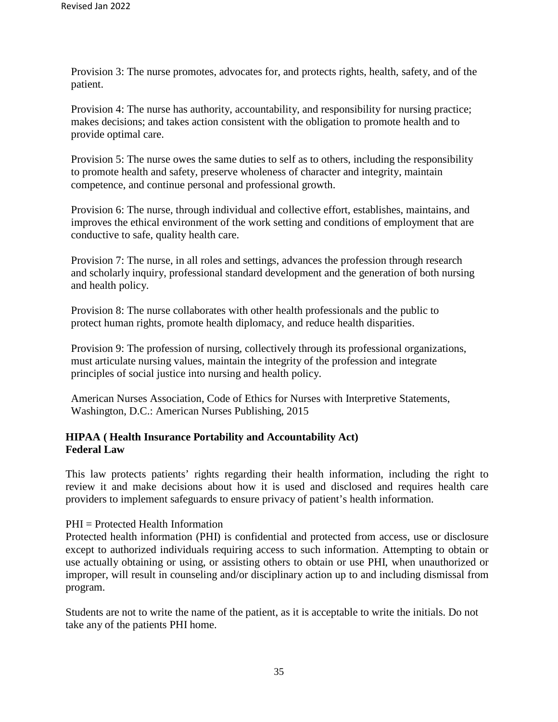Provision 3: The nurse promotes, advocates for, and protects rights, health, safety, and of the patient.

Provision 4: The nurse has authority, accountability, and responsibility for nursing practice; makes decisions; and takes action consistent with the obligation to promote health and to provide optimal care.

Provision 5: The nurse owes the same duties to self as to others, including the responsibility to promote health and safety, preserve wholeness of character and integrity, maintain competence, and continue personal and professional growth.

Provision 6: The nurse, through individual and collective effort, establishes, maintains, and improves the ethical environment of the work setting and conditions of employment that are conductive to safe, quality health care.

Provision 7: The nurse, in all roles and settings, advances the profession through research and scholarly inquiry, professional standard development and the generation of both nursing and health policy.

Provision 8: The nurse collaborates with other health professionals and the public to protect human rights, promote health diplomacy, and reduce health disparities.

Provision 9: The profession of nursing, collectively through its professional organizations, must articulate nursing values, maintain the integrity of the profession and integrate principles of social justice into nursing and health policy.

American Nurses Association, Code of Ethics for Nurses with Interpretive Statements, Washington, D.C.: American Nurses Publishing, 2015

#### **HIPAA ( Health Insurance Portability and Accountability Act) Federal Law**

This law protects patients' rights regarding their health information, including the right to review it and make decisions about how it is used and disclosed and requires health care providers to implement safeguards to ensure privacy of patient's health information.

PHI = Protected Health Information

Protected health information (PHI) is confidential and protected from access, use or disclosure except to authorized individuals requiring access to such information. Attempting to obtain or use actually obtaining or using, or assisting others to obtain or use PHI, when unauthorized or improper, will result in counseling and/or disciplinary action up to and including dismissal from program.

Students are not to write the name of the patient, as it is acceptable to write the initials. Do not take any of the patients PHI home.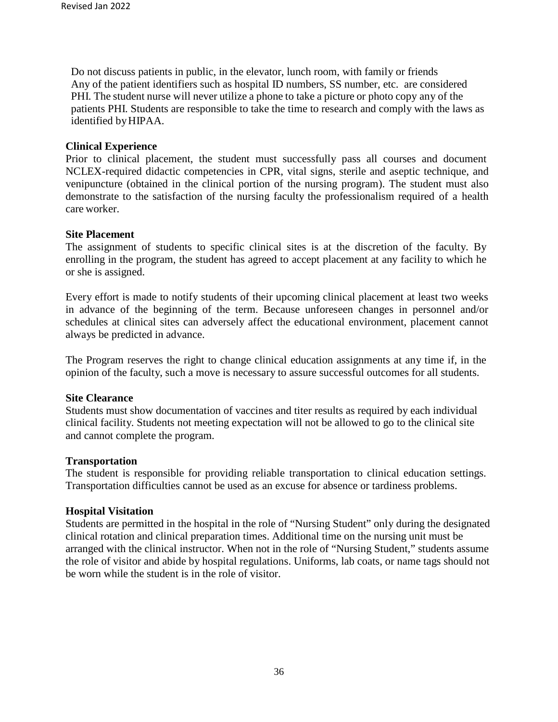Do not discuss patients in public, in the elevator, lunch room, with family or friends Any of the patient identifiers such as hospital ID numbers, SS number, etc. are considered PHI. The student nurse will never utilize a phone to take a picture or photo copy any of the patients PHI. Students are responsible to take the time to research and comply with the laws as identified byHIPAA.

#### **Clinical Experience**

Prior to clinical placement, the student must successfully pass all courses and document NCLEX-required didactic competencies in CPR, vital signs, sterile and aseptic technique, and venipuncture (obtained in the clinical portion of the nursing program). The student must also demonstrate to the satisfaction of the nursing faculty the professionalism required of a health care worker.

#### **Site Placement**

The assignment of students to specific clinical sites is at the discretion of the faculty. By enrolling in the program, the student has agreed to accept placement at any facility to which he or she is assigned.

Every effort is made to notify students of their upcoming clinical placement at least two weeks in advance of the beginning of the term. Because unforeseen changes in personnel and/or schedules at clinical sites can adversely affect the educational environment, placement cannot always be predicted in advance.

The Program reserves the right to change clinical education assignments at any time if, in the opinion of the faculty, such a move is necessary to assure successful outcomes for all students.

#### **Site Clearance**

Students must show documentation of vaccines and titer results as required by each individual clinical facility. Students not meeting expectation will not be allowed to go to the clinical site and cannot complete the program.

#### **Transportation**

The student is responsible for providing reliable transportation to clinical education settings. Transportation difficulties cannot be used as an excuse for absence or tardiness problems.

#### **Hospital Visitation**

Students are permitted in the hospital in the role of "Nursing Student" only during the designated clinical rotation and clinical preparation times. Additional time on the nursing unit must be arranged with the clinical instructor. When not in the role of "Nursing Student," students assume the role of visitor and abide by hospital regulations. Uniforms, lab coats, or name tags should not be worn while the student is in the role of visitor.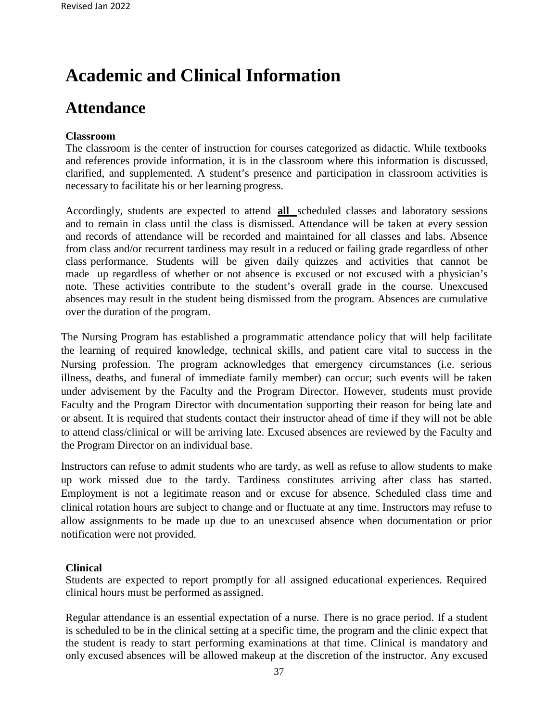## **Academic and Clinical Information**

## **Attendance**

#### **Classroom**

The classroom is the center of instruction for courses categorized as didactic. While textbooks and references provide information, it is in the classroom where this information is discussed, clarified, and supplemented. A student's presence and participation in classroom activities is necessary to facilitate his or her learning progress.

Accordingly, students are expected to attend **all** scheduled classes and laboratory sessions and to remain in class until the class is dismissed. Attendance will be taken at every session and records of attendance will be recorded and maintained for all classes and labs. Absence from class and/or recurrent tardiness may result in a reduced or failing grade regardless of other class performance. Students will be given daily quizzes and activities that cannot be made up regardless of whether or not absence is excused or not excused with a physician's note. These activities contribute to the student's overall grade in the course. Unexcused absences may result in the student being dismissed from the program. Absences are cumulative over the duration of the program.

The Nursing Program has established a programmatic attendance policy that will help facilitate the learning of required knowledge, technical skills, and patient care vital to success in the Nursing profession. The program acknowledges that emergency circumstances (i.e. serious illness, deaths, and funeral of immediate family member) can occur; such events will be taken under advisement by the Faculty and the Program Director. However, students must provide Faculty and the Program Director with documentation supporting their reason for being late and or absent. It is required that students contact their instructor ahead of time if they will not be able to attend class/clinical or will be arriving late. Excused absences are reviewed by the Faculty and the Program Director on an individual base.

Instructors can refuse to admit students who are tardy, as well as refuse to allow students to make up work missed due to the tardy. Tardiness constitutes arriving after class has started. Employment is not a legitimate reason and or excuse for absence. Scheduled class time and clinical rotation hours are subject to change and or fluctuate at any time. Instructors may refuse to allow assignments to be made up due to an unexcused absence when documentation or prior notification were not provided.

#### **Clinical**

Students are expected to report promptly for all assigned educational experiences. Required clinical hours must be performed as assigned.

Regular attendance is an essential expectation of a nurse. There is no grace period. If a student is scheduled to be in the clinical setting at a specific time, the program and the clinic expect that the student is ready to start performing examinations at that time. Clinical is mandatory and only excused absences will be allowed makeup at the discretion of the instructor. Any excused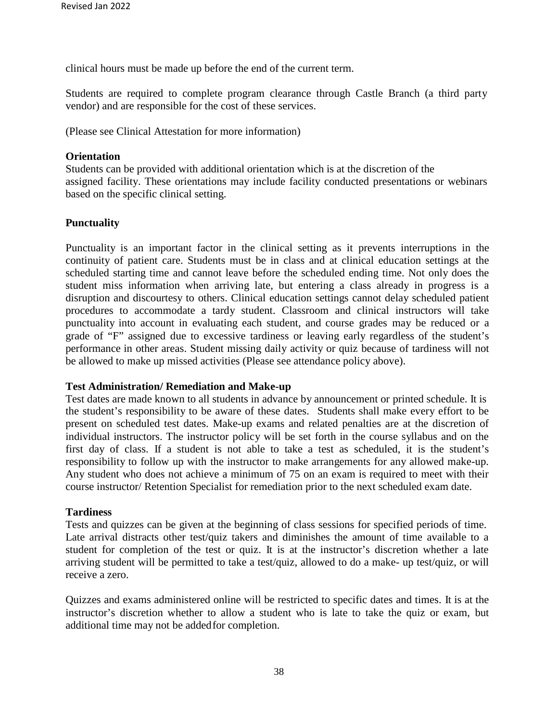clinical hours must be made up before the end of the current term.

Students are required to complete program clearance through Castle Branch (a third party vendor) and are responsible for the cost of these services.

(Please see Clinical Attestation for more information)

#### **Orientation**

Students can be provided with additional orientation which is at the discretion of the assigned facility. These orientations may include facility conducted presentations or webinars based on the specific clinical setting.

#### **Punctuality**

Punctuality is an important factor in the clinical setting as it prevents interruptions in the continuity of patient care. Students must be in class and at clinical education settings at the scheduled starting time and cannot leave before the scheduled ending time. Not only does the student miss information when arriving late, but entering a class already in progress is a disruption and discourtesy to others. Clinical education settings cannot delay scheduled patient procedures to accommodate a tardy student. Classroom and clinical instructors will take punctuality into account in evaluating each student, and course grades may be reduced or a grade of "F" assigned due to excessive tardiness or leaving early regardless of the student's performance in other areas. Student missing daily activity or quiz because of tardiness will not be allowed to make up missed activities (Please see attendance policy above).

#### **Test Administration/ Remediation and Make-up**

Test dates are made known to all students in advance by announcement or printed schedule. It is the student's responsibility to be aware of these dates. Students shall make every effort to be present on scheduled test dates. Make-up exams and related penalties are at the discretion of individual instructors. The instructor policy will be set forth in the course syllabus and on the first day of class. If a student is not able to take a test as scheduled, it is the student's responsibility to follow up with the instructor to make arrangements for any allowed make-up. Any student who does not achieve a minimum of 75 on an exam is required to meet with their course instructor/ Retention Specialist for remediation prior to the next scheduled exam date.

#### **Tardiness**

Tests and quizzes can be given at the beginning of class sessions for specified periods of time. Late arrival distracts other test/quiz takers and diminishes the amount of time available to a student for completion of the test or quiz. It is at the instructor's discretion whether a late arriving student will be permitted to take a test/quiz, allowed to do a make- up test/quiz, or will receive a zero.

Quizzes and exams administered online will be restricted to specific dates and times. It is at the instructor's discretion whether to allow a student who is late to take the quiz or exam, but additional time may not be addedfor completion.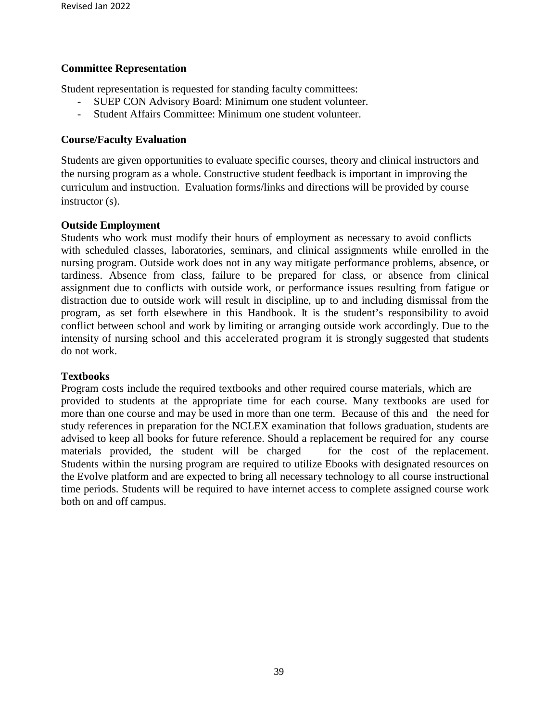#### **Committee Representation**

Student representation is requested for standing faculty committees:

- SUEP CON Advisory Board: Minimum one student volunteer.
- Student Affairs Committee: Minimum one student volunteer.

#### **Course/Faculty Evaluation**

Students are given opportunities to evaluate specific courses, theory and clinical instructors and the nursing program as a whole. Constructive student feedback is important in improving the curriculum and instruction. Evaluation forms/links and directions will be provided by course instructor (s).

#### **Outside Employment**

Students who work must modify their hours of employment as necessary to avoid conflicts with scheduled classes, laboratories, seminars, and clinical assignments while enrolled in the nursing program. Outside work does not in any way mitigate performance problems, absence, or tardiness. Absence from class, failure to be prepared for class, or absence from clinical assignment due to conflicts with outside work, or performance issues resulting from fatigue or distraction due to outside work will result in discipline, up to and including dismissal from the program, as set forth elsewhere in this Handbook. It is the student's responsibility to avoid conflict between school and work by limiting or arranging outside work accordingly. Due to the intensity of nursing school and this accelerated program it is strongly suggested that students do not work.

#### **Textbooks**

Program costs include the required textbooks and other required course materials, which are provided to students at the appropriate time for each course. Many textbooks are used for more than one course and may be used in more than one term. Because of this and the need for study references in preparation for the NCLEX examination that follows graduation, students are advised to keep all books for future reference. Should a replacement be required for any course materials provided, the student will be charged for the cost of the replacement. Students within the nursing program are required to utilize Ebooks with designated resources on the Evolve platform and are expected to bring all necessary technology to all course instructional time periods. Students will be required to have internet access to complete assigned course work both on and off campus.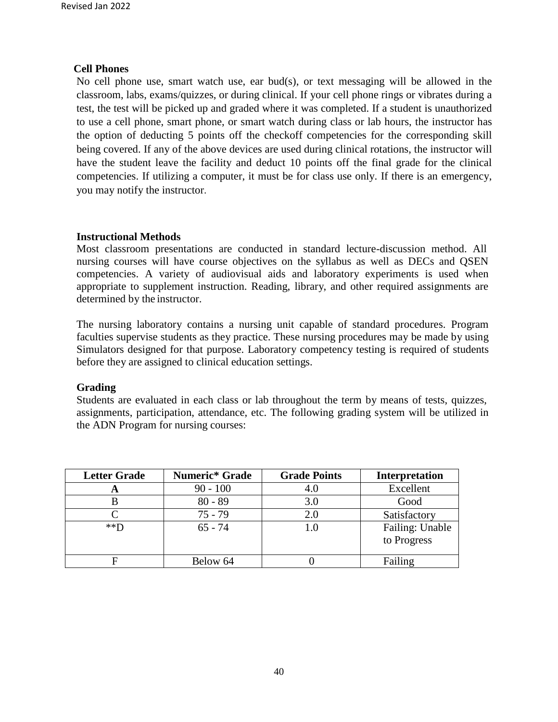#### **Cell Phones**

No cell phone use, smart watch use, ear bud(s), or text messaging will be allowed in the classroom, labs, exams/quizzes, or during clinical. If your cell phone rings or vibrates during a test, the test will be picked up and graded where it was completed. If a student is unauthorized to use a cell phone, smart phone, or smart watch during class or lab hours, the instructor has the option of deducting 5 points off the checkoff competencies for the corresponding skill being covered. If any of the above devices are used during clinical rotations, the instructor will have the student leave the facility and deduct 10 points off the final grade for the clinical competencies. If utilizing a computer, it must be for class use only. If there is an emergency, you may notify the instructor.

#### **Instructional Methods**

Most classroom presentations are conducted in standard lecture-discussion method. All nursing courses will have course objectives on the syllabus as well as DECs and QSEN competencies. A variety of audiovisual aids and laboratory experiments is used when appropriate to supplement instruction. Reading, library, and other required assignments are determined by the instructor.

The nursing laboratory contains a nursing unit capable of standard procedures. Program faculties supervise students as they practice. These nursing procedures may be made by using Simulators designed for that purpose. Laboratory competency testing is required of students before they are assigned to clinical education settings.

#### **Grading**

Students are evaluated in each class or lab throughout the term by means of tests, quizzes, assignments, participation, attendance, etc. The following grading system will be utilized in the ADN Program for nursing courses:

| <b>Letter Grade</b> | <b>Numeric*</b> Grade | <b>Grade Points</b> | <b>Interpretation</b>          |
|---------------------|-----------------------|---------------------|--------------------------------|
| H                   | $90 - 100$            | 4.0                 | Excellent                      |
|                     | $80 - 89$             | 3.0                 | Good                           |
|                     | $75 - 79$             | 2.0                 | Satisfactory                   |
| $*$ $\mathbb{D}$    | $65 - 74$             | 1.0                 | Failing: Unable<br>to Progress |
|                     | Below 64              |                     | Failing                        |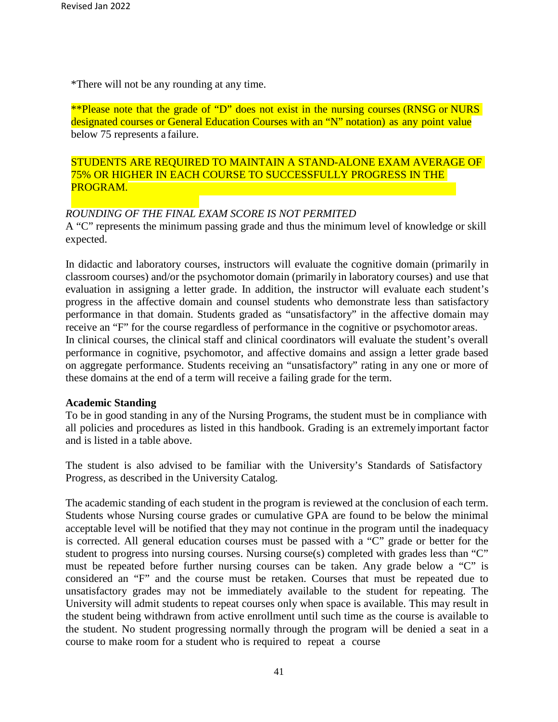\*There will not be any rounding at any time.

\*\*Please note that the grade of "D" does not exist in the nursing courses (RNSG or NURS designated courses or General Education Courses with an "N" notation) as any point value below 75 represents a failure.

STUDENTS ARE REQUIRED TO MAINTAIN A STAND-ALONE EXAM AVERAGE OF 75% OR HIGHER IN EACH COURSE TO SUCCESSFULLY PROGRESS IN THE PROGRAM.

#### *ROUNDING OF THE FINAL EXAM SCORE IS NOT PERMITED*

A "C" represents the minimum passing grade and thus the minimum level of knowledge or skill expected.

In didactic and laboratory courses, instructors will evaluate the cognitive domain (primarily in classroom courses) and/or the psychomotor domain (primarily in laboratory courses) and use that evaluation in assigning a letter grade. In addition, the instructor will evaluate each student's progress in the affective domain and counsel students who demonstrate less than satisfactory performance in that domain. Students graded as "unsatisfactory" in the affective domain may receive an "F" for the course regardless of performance in the cognitive or psychomotor areas. In clinical courses, the clinical staff and clinical coordinators will evaluate the student's overall performance in cognitive, psychomotor, and affective domains and assign a letter grade based on aggregate performance. Students receiving an "unsatisfactory" rating in any one or more of these domains at the end of a term will receive a failing grade for the term.

#### **Academic Standing**

To be in good standing in any of the Nursing Programs, the student must be in compliance with all policies and procedures as listed in this handbook. Grading is an extremelyimportant factor and is listed in a table above.

The student is also advised to be familiar with the University's Standards of Satisfactory Progress, as described in the University Catalog.

The academic standing of each student in the program is reviewed at the conclusion of each term. Students whose Nursing course grades or cumulative GPA are found to be below the minimal acceptable level will be notified that they may not continue in the program until the inadequacy is corrected. All general education courses must be passed with a "C" grade or better for the student to progress into nursing courses. Nursing course(s) completed with grades less than "C" must be repeated before further nursing courses can be taken. Any grade below a "C" is considered an "F" and the course must be retaken. Courses that must be repeated due to unsatisfactory grades may not be immediately available to the student for repeating. The University will admit students to repeat courses only when space is available. This may result in the student being withdrawn from active enrollment until such time as the course is available to the student. No student progressing normally through the program will be denied a seat in a course to make room for a student who is required to repeat a course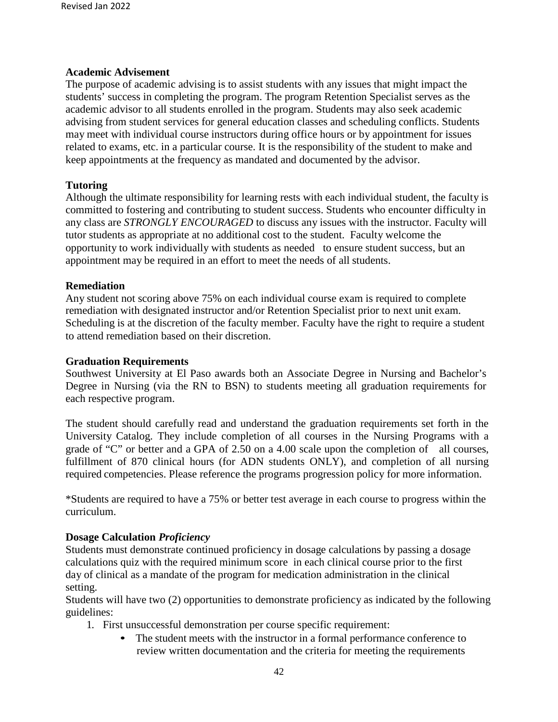#### **Academic Advisement**

The purpose of academic advising is to assist students with any issues that might impact the students' success in completing the program. The program Retention Specialist serves as the academic advisor to all students enrolled in the program. Students may also seek academic advising from student services for general education classes and scheduling conflicts. Students may meet with individual course instructors during office hours or by appointment for issues related to exams, etc. in a particular course. It is the responsibility of the student to make and keep appointments at the frequency as mandated and documented by the advisor.

#### **Tutoring**

Although the ultimate responsibility for learning rests with each individual student, the faculty is committed to fostering and contributing to student success. Students who encounter difficulty in any class are *STRONGLY ENCOURAGED* to discuss any issues with the instructor. Faculty will tutor students as appropriate at no additional cost to the student. Faculty welcome the opportunity to work individually with students as needed to ensure student success, but an appointment may be required in an effort to meet the needs of all students.

#### **Remediation**

Any student not scoring above 75% on each individual course exam is required to complete remediation with designated instructor and/or Retention Specialist prior to next unit exam. Scheduling is at the discretion of the faculty member. Faculty have the right to require a student to attend remediation based on their discretion.

#### **Graduation Requirements**

Southwest University at El Paso awards both an Associate Degree in Nursing and Bachelor's Degree in Nursing (via the RN to BSN) to students meeting all graduation requirements for each respective program.

The student should carefully read and understand the graduation requirements set forth in the University Catalog. They include completion of all courses in the Nursing Programs with a grade of "C" or better and a GPA of 2.50 on a 4.00 scale upon the completion of all courses, fulfillment of 870 clinical hours (for ADN students ONLY), and completion of all nursing required competencies. Please reference the programs progression policy for more information.

\*Students are required to have a 75% or better test average in each course to progress within the curriculum.

#### **Dosage Calculation** *Proficiency*

Students must demonstrate continued proficiency in dosage calculations by passing a dosage calculations quiz with the required minimum score in each clinical course prior to the first day of clinical as a mandate of the program for medication administration in the clinical setting.

Students will have two (2) opportunities to demonstrate proficiency as indicated by the following guidelines:

- 1. First unsuccessful demonstration per course specific requirement:
	- The student meets with the instructor in a formal performance conference to review written documentation and the criteria for meeting the requirements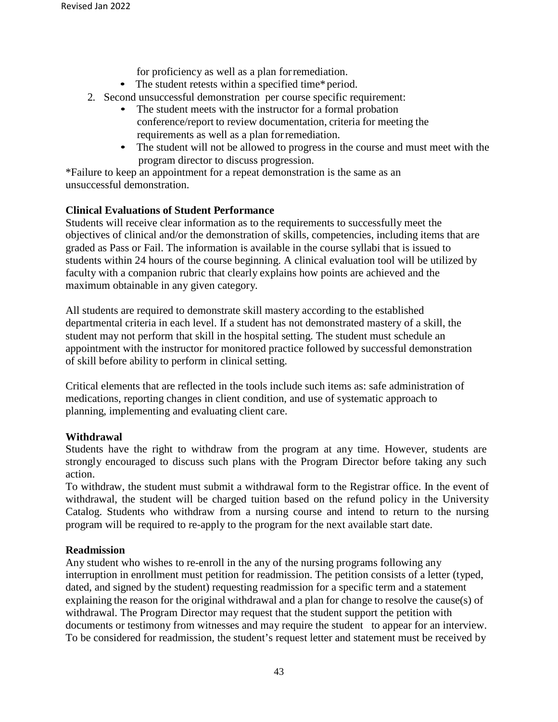for proficiency as well as a plan forremediation.

- The student retests within a specified time\*period.
- 2. Second unsuccessful demonstration per course specific requirement:
	- The student meets with the instructor for a formal probation conference/report to review documentation, criteria for meeting the requirements as well as a plan forremediation.
	- The student will not be allowed to progress in the course and must meet with the program director to discuss progression.

\*Failure to keep an appointment for a repeat demonstration is the same as an unsuccessful demonstration.

#### **Clinical Evaluations of Student Performance**

Students will receive clear information as to the requirements to successfully meet the objectives of clinical and/or the demonstration of skills, competencies, including items that are graded as Pass or Fail. The information is available in the course syllabi that is issued to students within 24 hours of the course beginning. A clinical evaluation tool will be utilized by faculty with a companion rubric that clearly explains how points are achieved and the maximum obtainable in any given category.

All students are required to demonstrate skill mastery according to the established departmental criteria in each level. If a student has not demonstrated mastery of a skill, the student may not perform that skill in the hospital setting. The student must schedule an appointment with the instructor for monitored practice followed by successful demonstration of skill before ability to perform in clinical setting.

Critical elements that are reflected in the tools include such items as: safe administration of medications, reporting changes in client condition, and use of systematic approach to planning, implementing and evaluating client care.

#### **Withdrawal**

Students have the right to withdraw from the program at any time. However, students are strongly encouraged to discuss such plans with the Program Director before taking any such action.

To withdraw, the student must submit a withdrawal form to the Registrar office. In the event of withdrawal, the student will be charged tuition based on the refund policy in the University Catalog. Students who withdraw from a nursing course and intend to return to the nursing program will be required to re-apply to the program for the next available start date.

#### **Readmission**

Any student who wishes to re-enroll in the any of the nursing programs following any interruption in enrollment must petition for readmission. The petition consists of a letter (typed, dated, and signed by the student) requesting readmission for a specific term and a statement explaining the reason for the original withdrawal and a plan for change to resolve the cause(s) of withdrawal. The Program Director may request that the student support the petition with documents or testimony from witnesses and may require the student to appear for an interview. To be considered for readmission, the student's request letter and statement must be received by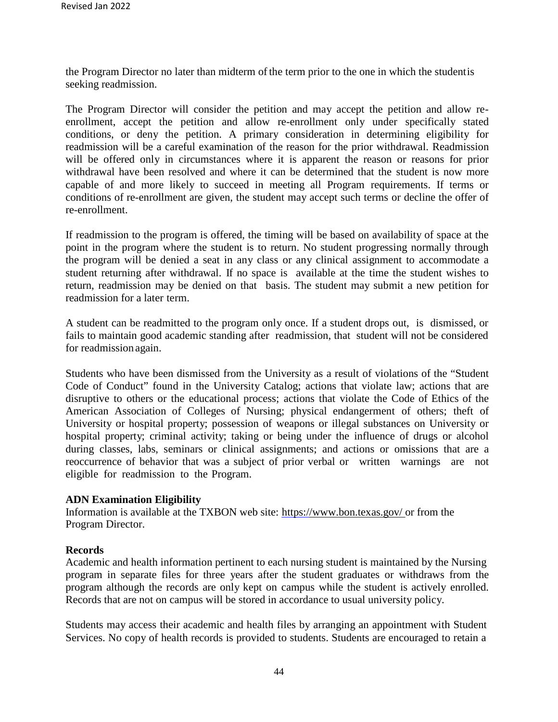the Program Director no later than midterm of the term prior to the one in which the student is seeking readmission.

The Program Director will consider the petition and may accept the petition and allow reenrollment, accept the petition and allow re-enrollment only under specifically stated conditions, or deny the petition. A primary consideration in determining eligibility for readmission will be a careful examination of the reason for the prior withdrawal. Readmission will be offered only in circumstances where it is apparent the reason or reasons for prior withdrawal have been resolved and where it can be determined that the student is now more capable of and more likely to succeed in meeting all Program requirements. If terms or conditions of re-enrollment are given, the student may accept such terms or decline the offer of re-enrollment.

If readmission to the program is offered, the timing will be based on availability of space at the point in the program where the student is to return. No student progressing normally through the program will be denied a seat in any class or any clinical assignment to accommodate a student returning after withdrawal. If no space is available at the time the student wishes to return, readmission may be denied on that basis. The student may submit a new petition for readmission for a later term.

A student can be readmitted to the program only once. If a student drops out, is dismissed, or fails to maintain good academic standing after readmission, that student will not be considered for readmission again.

Students who have been dismissed from the University as a result of violations of the "Student Code of Conduct" found in the University Catalog; actions that violate law; actions that are disruptive to others or the educational process; actions that violate the Code of Ethics of the American Association of Colleges of Nursing; physical endangerment of others; theft of University or hospital property; possession of weapons or illegal substances on University or hospital property; criminal activity; taking or being under the influence of drugs or alcohol during classes, labs, seminars or clinical assignments; and actions or omissions that are a reoccurrence of behavior that was a subject of prior verbal or written warnings are not eligible for readmission to the Program.

#### **ADN Examination Eligibility**

Information is available at the TXBON web site: https:[//www.bon.texas.gov/](http://www.bon.texas.gov/) or from the Program Director.

#### **Records**

Academic and health information pertinent to each nursing student is maintained by the Nursing program in separate files for three years after the student graduates or withdraws from the program although the records are only kept on campus while the student is actively enrolled. Records that are not on campus will be stored in accordance to usual university policy.

Students may access their academic and health files by arranging an appointment with Student Services. No copy of health records is provided to students. Students are encouraged to retain a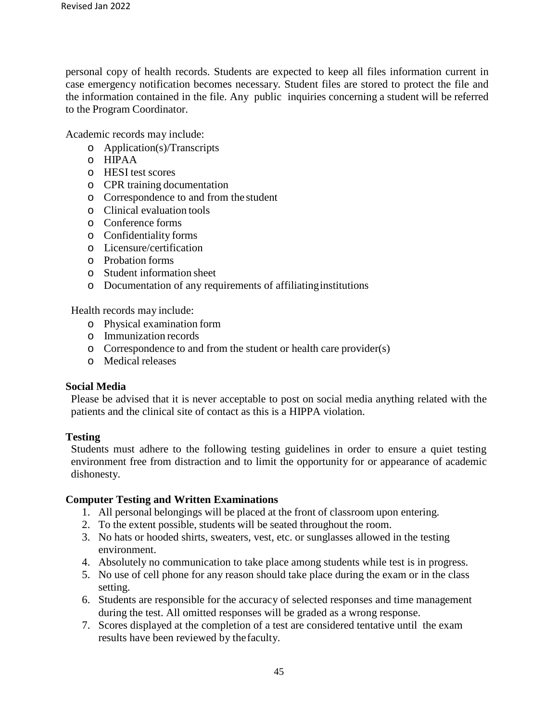personal copy of health records. Students are expected to keep all files information current in case emergency notification becomes necessary. Student files are stored to protect the file and the information contained in the file. Any public inquiries concerning a student will be referred to the Program Coordinator.

Academic records may include:

- o Application(s)/Transcripts
- o HIPAA
- o HESI test scores
- o CPR training documentation
- o Correspondence to and from the student
- o Clinical evaluation tools
- o Conference forms
- o Confidentiality forms
- o Licensure/certification
- o Probation forms
- o Student information sheet
- o Documentation of any requirements of affiliatinginstitutions

Health records may include:

- o Physical examination form
- o Immunization records
- o Correspondence to and from the student or health care provider(s)
- o Medical releases

#### **Social Media**

Please be advised that it is never acceptable to post on social media anything related with the patients and the clinical site of contact as this is a HIPPA violation.

#### **Testing**

Students must adhere to the following testing guidelines in order to ensure a quiet testing environment free from distraction and to limit the opportunity for or appearance of academic dishonesty.

#### **Computer Testing and Written Examinations**

- 1. All personal belongings will be placed at the front of classroom upon entering.
- 2. To the extent possible, students will be seated throughout the room.
- 3. No hats or hooded shirts, sweaters, vest, etc. or sunglasses allowed in the testing environment.
- 4. Absolutely no communication to take place among students while test is in progress.
- 5. No use of cell phone for any reason should take place during the exam or in the class setting.
- 6. Students are responsible for the accuracy of selected responses and time management during the test. All omitted responses will be graded as a wrong response.
- 7. Scores displayed at the completion of a test are considered tentative until the exam results have been reviewed by thefaculty.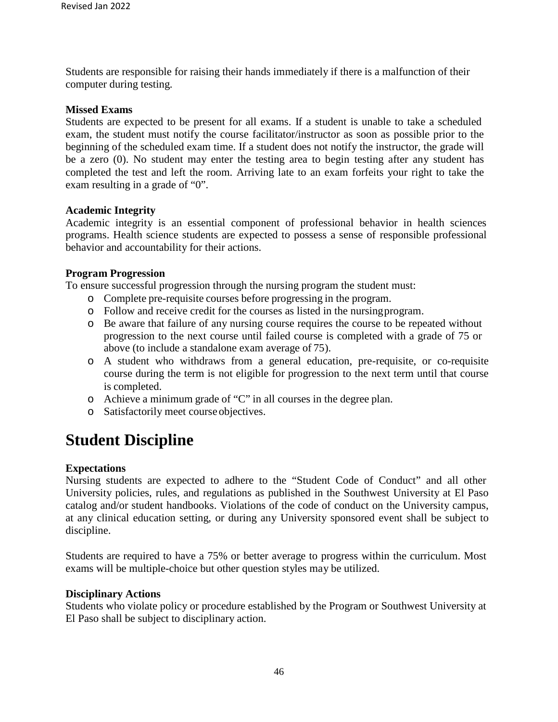Students are responsible for raising their hands immediately if there is a malfunction of their computer during testing.

#### **Missed Exams**

Students are expected to be present for all exams. If a student is unable to take a scheduled exam, the student must notify the course facilitator/instructor as soon as possible prior to the beginning of the scheduled exam time. If a student does not notify the instructor, the grade will be a zero (0). No student may enter the testing area to begin testing after any student has completed the test and left the room. Arriving late to an exam forfeits your right to take the exam resulting in a grade of "0".

#### **Academic Integrity**

Academic integrity is an essential component of professional behavior in health sciences programs. Health science students are expected to possess a sense of responsible professional behavior and accountability for their actions.

#### **Program Progression**

To ensure successful progression through the nursing program the student must:

- o Complete pre-requisite courses before progressing in the program.
- o Follow and receive credit for the courses as listed in the nursingprogram.
- o Be aware that failure of any nursing course requires the course to be repeated without progression to the next course until failed course is completed with a grade of 75 or above (to include a standalone exam average of 75).
- o A student who withdraws from a general education, pre-requisite, or co-requisite course during the term is not eligible for progression to the next term until that course is completed.
- o Achieve a minimum grade of "C" in all courses in the degree plan.
- o Satisfactorily meet course objectives.

## **Student Discipline**

#### **Expectations**

Nursing students are expected to adhere to the "Student Code of Conduct" and all other University policies, rules, and regulations as published in the Southwest University at El Paso catalog and/or student handbooks. Violations of the code of conduct on the University campus, at any clinical education setting, or during any University sponsored event shall be subject to discipline.

Students are required to have a 75% or better average to progress within the curriculum. Most exams will be multiple-choice but other question styles may be utilized.

#### **Disciplinary Actions**

Students who violate policy or procedure established by the Program or Southwest University at El Paso shall be subject to disciplinary action.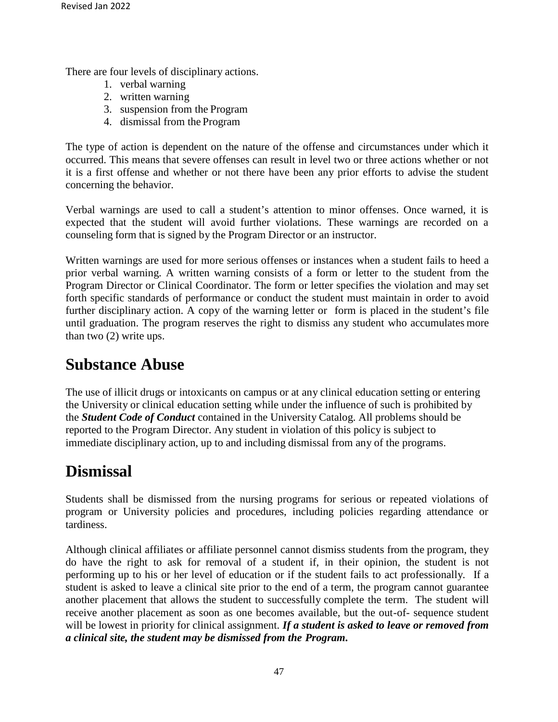There are four levels of disciplinary actions.

- 1. verbal warning
- 2. written warning
- 3. suspension from the Program
- 4. dismissal from the Program

The type of action is dependent on the nature of the offense and circumstances under which it occurred. This means that severe offenses can result in level two or three actions whether or not it is a first offense and whether or not there have been any prior efforts to advise the student concerning the behavior.

Verbal warnings are used to call a student's attention to minor offenses. Once warned, it is expected that the student will avoid further violations. These warnings are recorded on a counseling form that is signed by the Program Director or an instructor.

Written warnings are used for more serious offenses or instances when a student fails to heed a prior verbal warning. A written warning consists of a form or letter to the student from the Program Director or Clinical Coordinator. The form or letter specifies the violation and may set forth specific standards of performance or conduct the student must maintain in order to avoid further disciplinary action. A copy of the warning letter or form is placed in the student's file until graduation. The program reserves the right to dismiss any student who accumulates more than two (2) write ups.

## **Substance Abuse**

The use of illicit drugs or intoxicants on campus or at any clinical education setting or entering the University or clinical education setting while under the influence of such is prohibited by the *Student Code of Conduct* contained in the University Catalog. All problems should be reported to the Program Director. Any student in violation of this policy is subject to immediate disciplinary action, up to and including dismissal from any of the programs.

## **Dismissal**

Students shall be dismissed from the nursing programs for serious or repeated violations of program or University policies and procedures, including policies regarding attendance or tardiness.

Although clinical affiliates or affiliate personnel cannot dismiss students from the program, they do have the right to ask for removal of a student if, in their opinion, the student is not performing up to his or her level of education or if the student fails to act professionally. If a student is asked to leave a clinical site prior to the end of a term, the program cannot guarantee another placement that allows the student to successfully complete the term. The student will receive another placement as soon as one becomes available, but the out-of- sequence student will be lowest in priority for clinical assignment. *If a student is asked to leave or removed from a clinical site, the student may be dismissed from the Program.*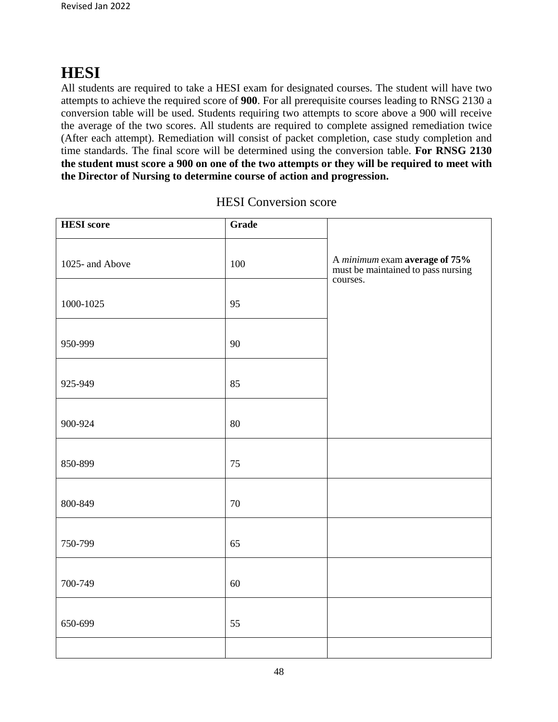## **HESI**

All students are required to take a HESI exam for designated courses. The student will have two attempts to achieve the required score of **900**. For all prerequisite courses leading to RNSG 2130 a conversion table will be used. Students requiring two attempts to score above a 900 will receive the average of the two scores. All students are required to complete assigned remediation twice (After each attempt). Remediation will consist of packet completion, case study completion and time standards. The final score will be determined using the conversion table. **For RNSG 2130 the student must score a 900 on one of the two attempts or they will be required to meet with the Director of Nursing to determine course of action and progression.** 

| <b>HESI</b> score | Grade |                                                                                               |
|-------------------|-------|-----------------------------------------------------------------------------------------------|
| 1025- and Above   | 100   | A <i>minimum</i> exam <b>average of 75%</b><br>must be maintained to pass nursing<br>courses. |
| 1000-1025         | 95    |                                                                                               |
| 950-999           | 90    |                                                                                               |
| 925-949           | 85    |                                                                                               |
| 900-924           | 80    |                                                                                               |
| 850-899           | 75    |                                                                                               |
| 800-849           | 70    |                                                                                               |
| 750-799           | 65    |                                                                                               |
| 700-749           | 60    |                                                                                               |
| 650-699           | 55    |                                                                                               |
|                   |       |                                                                                               |

#### HESI Conversion score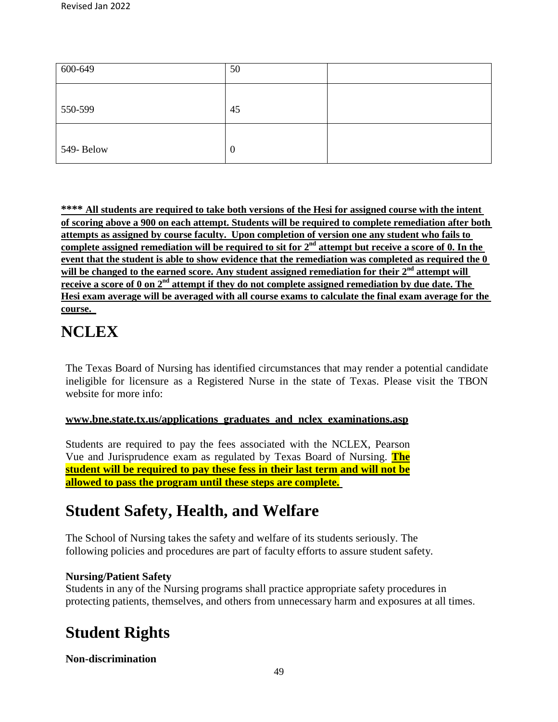| 600-649    | 50               |  |
|------------|------------------|--|
| 550-599    | 45               |  |
| 549- Below | $\boldsymbol{0}$ |  |

**\*\*\*\* All students are required to take both versions of the Hesi for assigned course with the intent of scoring above a 900 on each attempt. Students will be required to complete remediation after both attempts as assigned by course faculty. Upon completion of version one any student who fails to**  complete assigned remediation will be required to sit for 2<sup>nd</sup> attempt but receive a score of 0. In the **event that the student is able to show evidence that the remediation was completed as required the 0 will be changed to the earned score. Any student assigned remediation for their 2nd attempt will receive a score of 0 on 2nd attempt if they do not complete assigned remediation by due date. The Hesi exam average will be averaged with all course exams to calculate the final exam average for the course.**

## **NCLEX**

The Texas Board of Nursing has identified circumstances that may render a potential candidate ineligible for licensure as a Registered Nurse in the state of Texas. Please visit the TBON website for more info:

#### **[www.bne.state.tx.us/applications\\_graduates\\_and\\_nclex\\_examinations.asp](http://www.bne.state.tx.us/applications_graduates_and_nclex_examinations.asp)**

Students are required to pay the fees associated with the NCLEX, Pearson Vue and Jurisprudence exam as regulated by Texas Board of Nursing. **The student will be required to pay these fess in their last term and will not be allowed to pass the program until these steps are complete.**

## **Student Safety, Health, and Welfare**

The School of Nursing takes the safety and welfare of its students seriously. The following policies and procedures are part of faculty efforts to assure student safety.

#### **Nursing/Patient Safety**

Students in any of the Nursing programs shall practice appropriate safety procedures in protecting patients, themselves, and others from unnecessary harm and exposures at all times.

## **Student Rights**

#### **Non-discrimination**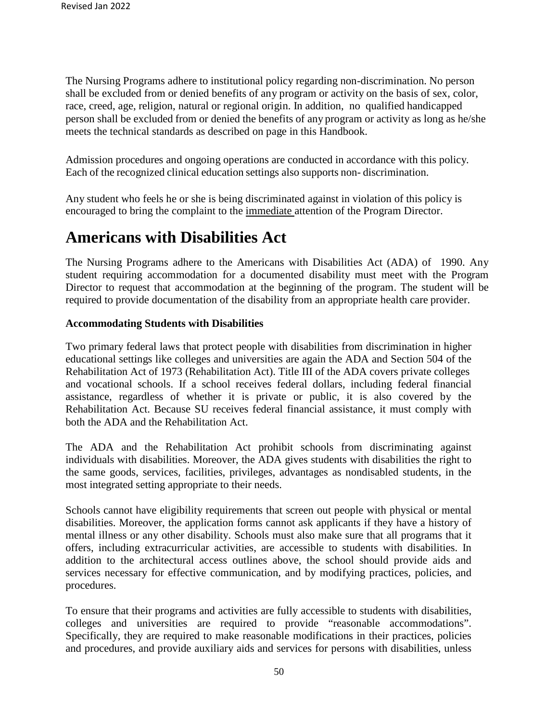The Nursing Programs adhere to institutional policy regarding non-discrimination. No person shall be excluded from or denied benefits of any program or activity on the basis of sex, color, race, creed, age, religion, natural or regional origin. In addition, no qualified handicapped person shall be excluded from or denied the benefits of any program or activity as long as he/she meets the technical standards as described on page in this Handbook.

Admission procedures and ongoing operations are conducted in accordance with this policy. Each of the recognized clinical education settings also supports non- discrimination.

Any student who feels he or she is being discriminated against in violation of this policy is encouraged to bring the complaint to the immediate attention of the Program Director.

## **Americans with Disabilities Act**

The Nursing Programs adhere to the Americans with Disabilities Act (ADA) of 1990. Any student requiring accommodation for a documented disability must meet with the Program Director to request that accommodation at the beginning of the program. The student will be required to provide documentation of the disability from an appropriate health care provider.

#### **Accommodating Students with Disabilities**

Two primary federal laws that protect people with disabilities from discrimination in higher educational settings like colleges and universities are again the ADA and Section 504 of the Rehabilitation Act of 1973 (Rehabilitation Act). Title III of the ADA covers private colleges and vocational schools. If a school receives federal dollars, including federal financial assistance, regardless of whether it is private or public, it is also covered by the Rehabilitation Act. Because SU receives federal financial assistance, it must comply with both the ADA and the Rehabilitation Act.

The ADA and the Rehabilitation Act prohibit schools from discriminating against individuals with disabilities. Moreover, the ADA gives students with disabilities the right to the same goods, services, facilities, privileges, advantages as nondisabled students, in the most integrated setting appropriate to their needs.

Schools cannot have eligibility requirements that screen out people with physical or mental disabilities. Moreover, the application forms cannot ask applicants if they have a history of mental illness or any other disability. Schools must also make sure that all programs that it offers, including extracurricular activities, are accessible to students with disabilities. In addition to the architectural access outlines above, the school should provide aids and services necessary for effective communication, and by modifying practices, policies, and procedures.

To ensure that their programs and activities are fully accessible to students with disabilities, colleges and universities are required to provide "reasonable accommodations". Specifically, they are required to make reasonable modifications in their practices, policies and procedures, and provide auxiliary aids and services for persons with disabilities, unless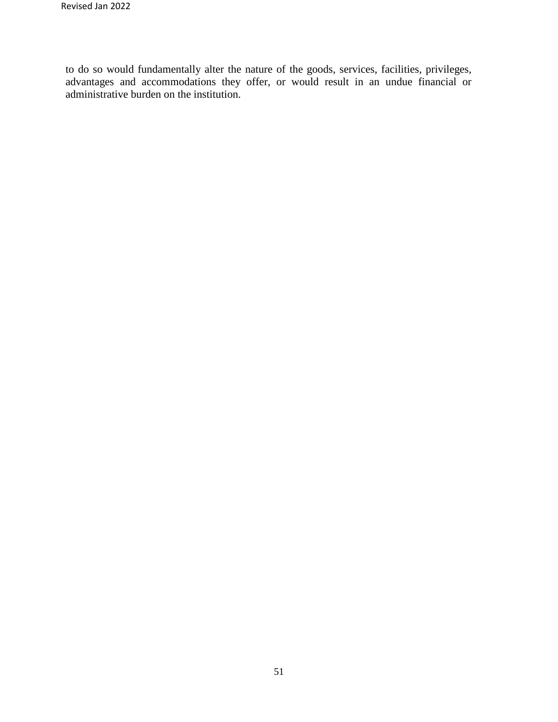to do so would fundamentally alter the nature of the goods, services, facilities, privileges, advantages and accommodations they offer, or would result in an undue financial or administrative burden on the institution.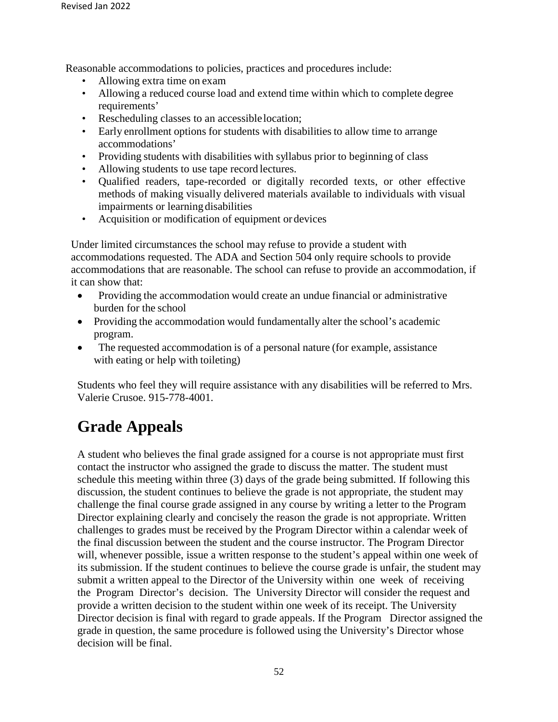Reasonable accommodations to policies, practices and procedures include:

- Allowing extra time on exam
- Allowing a reduced course load and extend time within which to complete degree requirements'
- Rescheduling classes to an accessible location;
- Early enrollment options for students with disabilities to allow time to arrange accommodations'
- Providing students with disabilities with syllabus prior to beginning of class
- Allowing students to use tape record lectures.
- Qualified readers, tape-recorded or digitally recorded texts, or other effective methods of making visually delivered materials available to individuals with visual impairments or learning disabilities
- Acquisition or modification of equipment or devices

Under limited circumstances the school may refuse to provide a student with accommodations requested. The ADA and Section 504 only require schools to provide accommodations that are reasonable. The school can refuse to provide an accommodation, if it can show that:

- Providing the accommodation would create an undue financial or administrative burden for the school
- Providing the accommodation would fundamentally alter the school's academic program.
- The requested accommodation is of a personal nature (for example, assistance with eating or help with toileting)

Students who feel they will require assistance with any disabilities will be referred to Mrs. Valerie Crusoe. 915-778-4001.

## **Grade Appeals**

A student who believes the final grade assigned for a course is not appropriate must first contact the instructor who assigned the grade to discuss the matter. The student must schedule this meeting within three (3) days of the grade being submitted. If following this discussion, the student continues to believe the grade is not appropriate, the student may challenge the final course grade assigned in any course by writing a letter to the Program Director explaining clearly and concisely the reason the grade is not appropriate. Written challenges to grades must be received by the Program Director within a calendar week of the final discussion between the student and the course instructor. The Program Director will, whenever possible, issue a written response to the student's appeal within one week of its submission. If the student continues to believe the course grade is unfair, the student may submit a written appeal to the Director of the University within one week of receiving the Program Director's decision. The University Director will consider the request and provide a written decision to the student within one week of its receipt. The University Director decision is final with regard to grade appeals. If the Program Director assigned the grade in question, the same procedure is followed using the University's Director whose decision will be final.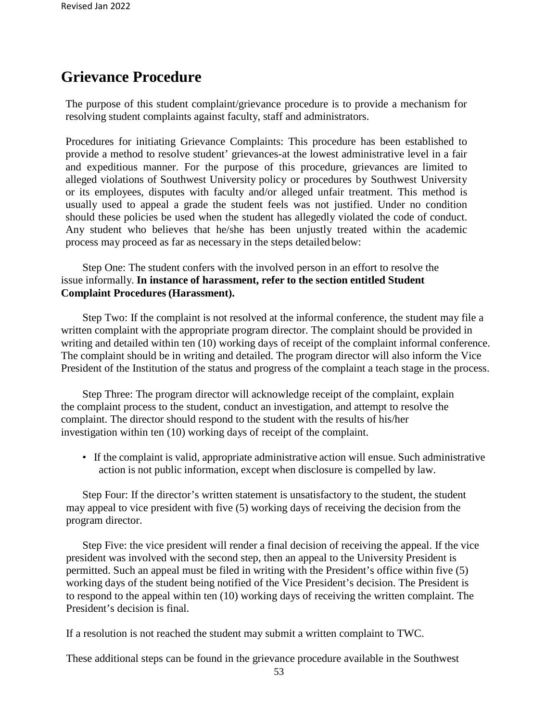### **Grievance Procedure**

The purpose of this student complaint/grievance procedure is to provide a mechanism for resolving student complaints against faculty, staff and administrators.

Procedures for initiating Grievance Complaints: This procedure has been established to provide a method to resolve student' grievances-at the lowest administrative level in a fair and expeditious manner. For the purpose of this procedure, grievances are limited to alleged violations of Southwest University policy or procedures by Southwest University or its employees, disputes with faculty and/or alleged unfair treatment. This method is usually used to appeal a grade the student feels was not justified. Under no condition should these policies be used when the student has allegedly violated the code of conduct. Any student who believes that he/she has been unjustly treated within the academic process may proceed as far as necessary in the steps detailed below:

Step One: The student confers with the involved person in an effort to resolve the issue informally. **In instance of harassment, refer to the section entitled Student Complaint Procedures (Harassment).**

Step Two: If the complaint is not resolved at the informal conference, the student may file a written complaint with the appropriate program director. The complaint should be provided in writing and detailed within ten (10) working days of receipt of the complaint informal conference. The complaint should be in writing and detailed. The program director will also inform the Vice President of the Institution of the status and progress of the complaint a teach stage in the process.

Step Three: The program director will acknowledge receipt of the complaint, explain the complaint process to the student, conduct an investigation, and attempt to resolve the complaint. The director should respond to the student with the results of his/her investigation within ten (10) working days of receipt of the complaint.

• If the complaint is valid, appropriate administrative action will ensue. Such administrative action is not public information, except when disclosure is compelled by law.

Step Four: If the director's written statement is unsatisfactory to the student, the student may appeal to vice president with five (5) working days of receiving the decision from the program director.

Step Five: the vice president will render a final decision of receiving the appeal. If the vice president was involved with the second step, then an appeal to the University President is permitted. Such an appeal must be filed in writing with the President's office within five (5) working days of the student being notified of the Vice President's decision. The President is to respond to the appeal within ten (10) working days of receiving the written complaint. The President's decision is final.

If a resolution is not reached the student may submit a written complaint to TWC.

These additional steps can be found in the grievance procedure available in the Southwest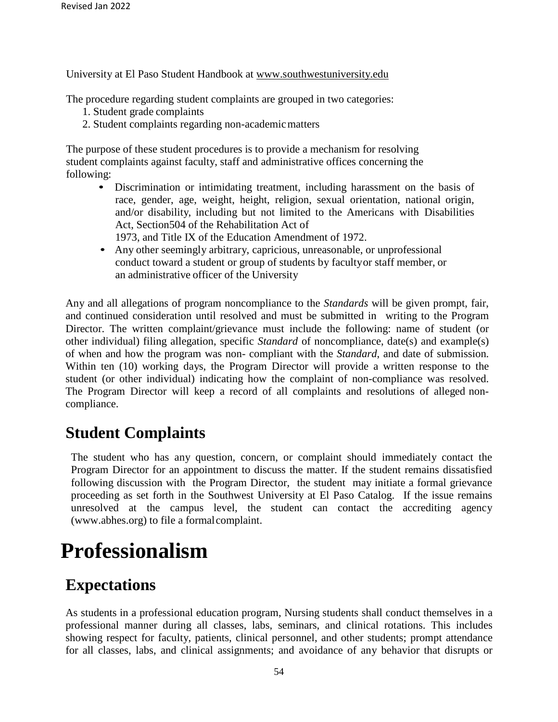University at El Paso Student Handbook at [www.southwestuniversity.edu](http://www.southwestuniversity.edu/)

The procedure regarding student complaints are grouped in two categories:

- 1. Student grade complaints
- 2. Student complaints regarding non-academicmatters

The purpose of these student procedures is to provide a mechanism for resolving student complaints against faculty, staff and administrative offices concerning the following:

- Discrimination or intimidating treatment, including harassment on the basis of race, gender, age, weight, height, religion, sexual orientation, national origin, and/or disability, including but not limited to the Americans with Disabilities Act, Section504 of the Rehabilitation Act of
	- 1973, and Title IX of the Education Amendment of 1972.
- Any other seemingly arbitrary, capricious, unreasonable, or unprofessional conduct toward a student or group of students by facultyor staff member, or an administrative officer of the University

Any and all allegations of program noncompliance to the *Standards* will be given prompt, fair, and continued consideration until resolved and must be submitted in writing to the Program Director. The written complaint/grievance must include the following: name of student (or other individual) filing allegation, specific *Standard* of noncompliance, date(s) and example(s) of when and how the program was non- compliant with the *Standard*, and date of submission. Within ten (10) working days, the Program Director will provide a written response to the student (or other individual) indicating how the complaint of non-compliance was resolved. The Program Director will keep a record of all complaints and resolutions of alleged noncompliance.

## **Student Complaints**

The student who has any question, concern, or complaint should immediately contact the Program Director for an appointment to discuss the matter. If the student remains dissatisfied following discussion with the Program Director, the student may initiate a formal grievance proceeding as set forth in the Southwest University at El Paso Catalog. If the issue remains unresolved at the campus level, the student can contact the accrediting agenc[y](http://www.abhes.org/) [\(www.abhes.org\)](http://www.abhes.org/) to file a formalcomplaint.

## **Professionalism**

## **Expectations**

As students in a professional education program, Nursing students shall conduct themselves in a professional manner during all classes, labs, seminars, and clinical rotations. This includes showing respect for faculty, patients, clinical personnel, and other students; prompt attendance for all classes, labs, and clinical assignments; and avoidance of any behavior that disrupts or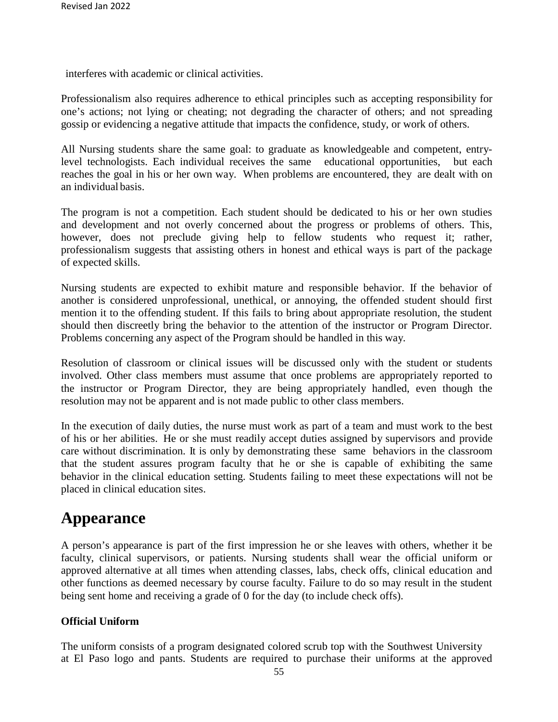interferes with academic or clinical activities.

Professionalism also requires adherence to ethical principles such as accepting responsibility for one's actions; not lying or cheating; not degrading the character of others; and not spreading gossip or evidencing a negative attitude that impacts the confidence, study, or work of others.

All Nursing students share the same goal: to graduate as knowledgeable and competent, entrylevel technologists. Each individual receives the same educational opportunities, but each reaches the goal in his or her own way. When problems are encountered, they are dealt with on an individual basis.

The program is not a competition. Each student should be dedicated to his or her own studies and development and not overly concerned about the progress or problems of others. This, however, does not preclude giving help to fellow students who request it; rather, professionalism suggests that assisting others in honest and ethical ways is part of the package of expected skills.

Nursing students are expected to exhibit mature and responsible behavior. If the behavior of another is considered unprofessional, unethical, or annoying, the offended student should first mention it to the offending student. If this fails to bring about appropriate resolution, the student should then discreetly bring the behavior to the attention of the instructor or Program Director. Problems concerning any aspect of the Program should be handled in this way.

Resolution of classroom or clinical issues will be discussed only with the student or students involved. Other class members must assume that once problems are appropriately reported to the instructor or Program Director, they are being appropriately handled, even though the resolution may not be apparent and is not made public to other class members.

In the execution of daily duties, the nurse must work as part of a team and must work to the best of his or her abilities. He or she must readily accept duties assigned by supervisors and provide care without discrimination. It is only by demonstrating these same behaviors in the classroom that the student assures program faculty that he or she is capable of exhibiting the same behavior in the clinical education setting. Students failing to meet these expectations will not be placed in clinical education sites.

## **Appearance**

A person's appearance is part of the first impression he or she leaves with others, whether it be faculty, clinical supervisors, or patients. Nursing students shall wear the official uniform or approved alternative at all times when attending classes, labs, check offs, clinical education and other functions as deemed necessary by course faculty. Failure to do so may result in the student being sent home and receiving a grade of 0 for the day (to include check offs).

#### **Official Uniform**

The uniform consists of a program designated colored scrub top with the Southwest University at El Paso logo and pants. Students are required to purchase their uniforms at the approved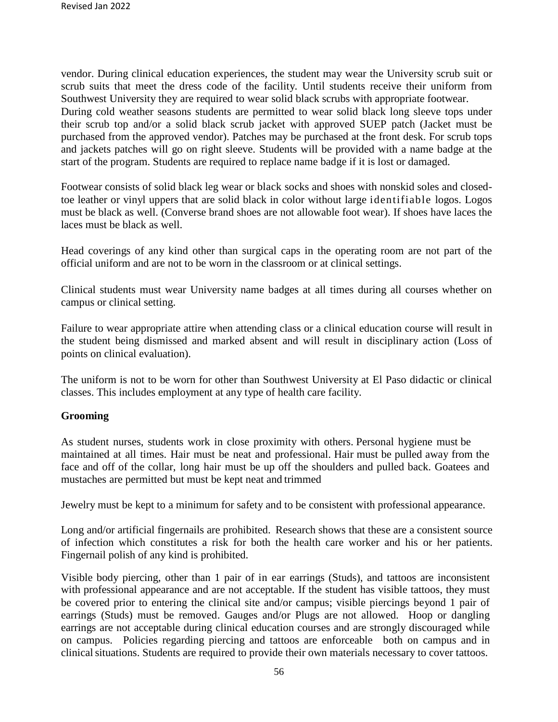vendor. During clinical education experiences, the student may wear the University scrub suit or scrub suits that meet the dress code of the facility. Until students receive their uniform from Southwest University they are required to wear solid black scrubs with appropriate footwear. During cold weather seasons students are permitted to wear solid black long sleeve tops under their scrub top and/or a solid black scrub jacket with approved SUEP patch (Jacket must be purchased from the approved vendor). Patches may be purchased at the front desk. For scrub tops and jackets patches will go on right sleeve. Students will be provided with a name badge at the start of the program. Students are required to replace name badge if it is lost or damaged.

Footwear consists of solid black leg wear or black socks and shoes with nonskid soles and closedtoe leather or vinyl uppers that are solid black in color without large identifiable logos. Logos must be black as well. (Converse brand shoes are not allowable foot wear). If shoes have laces the laces must be black as well.

Head coverings of any kind other than surgical caps in the operating room are not part of the official uniform and are not to be worn in the classroom or at clinical settings.

Clinical students must wear University name badges at all times during all courses whether on campus or clinical setting.

Failure to wear appropriate attire when attending class or a clinical education course will result in the student being dismissed and marked absent and will result in disciplinary action (Loss of points on clinical evaluation).

The uniform is not to be worn for other than Southwest University at El Paso didactic or clinical classes. This includes employment at any type of health care facility.

#### **Grooming**

As student nurses, students work in close proximity with others. Personal hygiene must be maintained at all times. Hair must be neat and professional. Hair must be pulled away from the face and off of the collar, long hair must be up off the shoulders and pulled back. Goatees and mustaches are permitted but must be kept neat and trimmed

Jewelry must be kept to a minimum for safety and to be consistent with professional appearance.

Long and/or artificial fingernails are prohibited. Research shows that these are a consistent source of infection which constitutes a risk for both the health care worker and his or her patients. Fingernail polish of any kind is prohibited.

Visible body piercing, other than 1 pair of in ear earrings (Studs), and tattoos are inconsistent with professional appearance and are not acceptable. If the student has visible tattoos, they must be covered prior to entering the clinical site and/or campus; visible piercings beyond 1 pair of earrings (Studs) must be removed. Gauges and/or Plugs are not allowed. Hoop or dangling earrings are not acceptable during clinical education courses and are strongly discouraged while on campus. Policies regarding piercing and tattoos are enforceable both on campus and in clinical situations. Students are required to provide their own materials necessary to cover tattoos.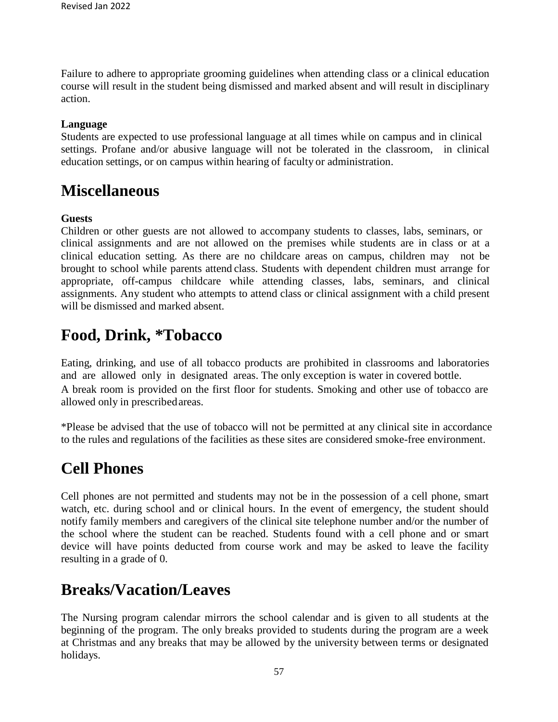Failure to adhere to appropriate grooming guidelines when attending class or a clinical education course will result in the student being dismissed and marked absent and will result in disciplinary action.

#### **Language**

Students are expected to use professional language at all times while on campus and in clinical settings. Profane and/or abusive language will not be tolerated in the classroom, in clinical education settings, or on campus within hearing of faculty or administration.

## **Miscellaneous**

#### **Guests**

Children or other guests are not allowed to accompany students to classes, labs, seminars, or clinical assignments and are not allowed on the premises while students are in class or at a clinical education setting. As there are no childcare areas on campus, children may not be brought to school while parents attend class. Students with dependent children must arrange for appropriate, off-campus childcare while attending classes, labs, seminars, and clinical assignments. Any student who attempts to attend class or clinical assignment with a child present will be dismissed and marked absent.

## **Food, Drink, \*Tobacco**

Eating, drinking, and use of all tobacco products are prohibited in classrooms and laboratories and are allowed only in designated areas. The only exception is water in covered bottle. A break room is provided on the first floor for students. Smoking and other use of tobacco are allowed only in prescribedareas.

\*Please be advised that the use of tobacco will not be permitted at any clinical site in accordance to the rules and regulations of the facilities as these sites are considered smoke-free environment.

## **Cell Phones**

Cell phones are not permitted and students may not be in the possession of a cell phone, smart watch, etc. during school and or clinical hours. In the event of emergency, the student should notify family members and caregivers of the clinical site telephone number and/or the number of the school where the student can be reached. Students found with a cell phone and or smart device will have points deducted from course work and may be asked to leave the facility resulting in a grade of 0.

## **Breaks/Vacation/Leaves**

The Nursing program calendar mirrors the school calendar and is given to all students at the beginning of the program. The only breaks provided to students during the program are a week at Christmas and any breaks that may be allowed by the university between terms or designated holidays.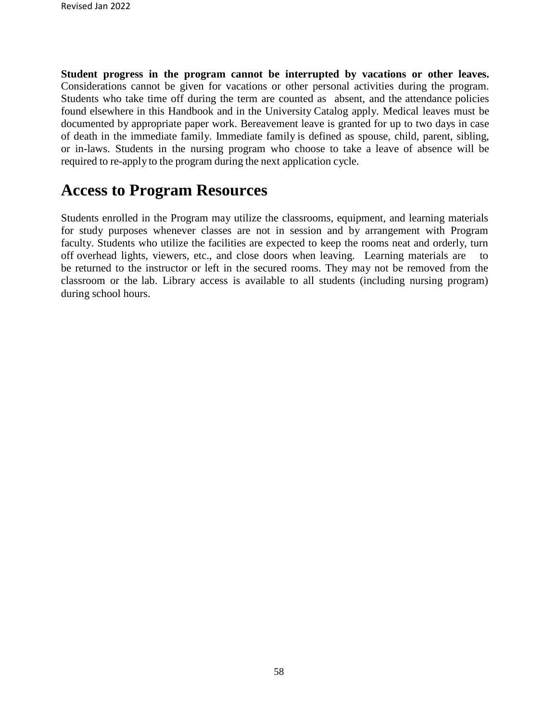**Student progress in the program cannot be interrupted by vacations or other leaves.**  Considerations cannot be given for vacations or other personal activities during the program. Students who take time off during the term are counted as absent, and the attendance policies found elsewhere in this Handbook and in the University Catalog apply. Medical leaves must be documented by appropriate paper work. Bereavement leave is granted for up to two days in case of death in the immediate family. Immediate family is defined as spouse, child, parent, sibling, or in-laws. Students in the nursing program who choose to take a leave of absence will be required to re-apply to the program during the next application cycle.

## **Access to Program Resources**

Students enrolled in the Program may utilize the classrooms, equipment, and learning materials for study purposes whenever classes are not in session and by arrangement with Program faculty. Students who utilize the facilities are expected to keep the rooms neat and orderly, turn off overhead lights, viewers, etc., and close doors when leaving. Learning materials are to be returned to the instructor or left in the secured rooms. They may not be removed from the classroom or the lab. Library access is available to all students (including nursing program) during school hours.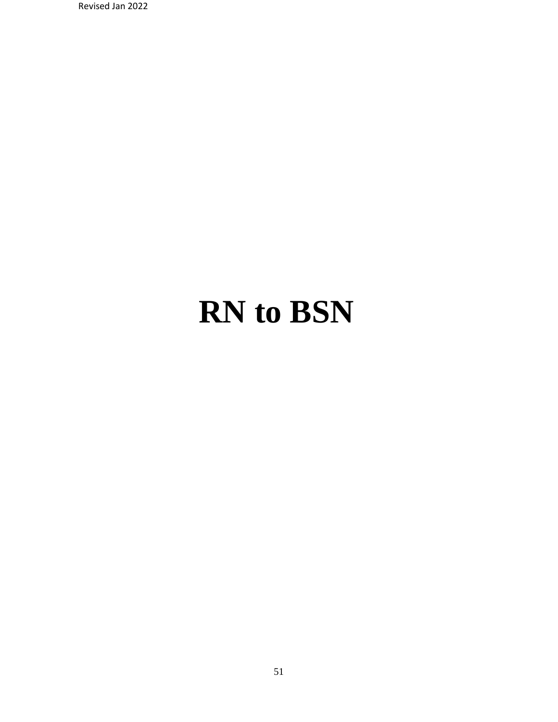Revised Jan 2022

# **RN to BSN**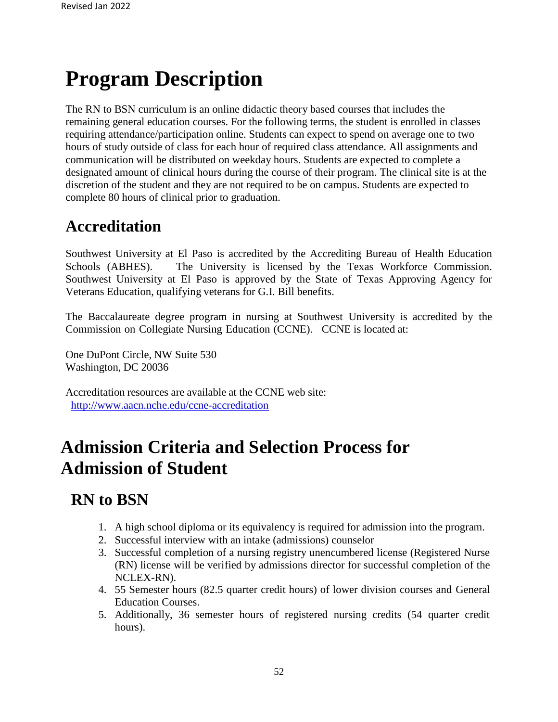## **Program Description**

The RN to BSN curriculum is an online didactic theory based courses that includes the remaining general education courses. For the following terms, the student is enrolled in classes requiring attendance/participation online. Students can expect to spend on average one to two hours of study outside of class for each hour of required class attendance. All assignments and communication will be distributed on weekday hours. Students are expected to complete a designated amount of clinical hours during the course of their program. The clinical site is at the discretion of the student and they are not required to be on campus. Students are expected to complete 80 hours of clinical prior to graduation.

## **Accreditation**

Southwest University at El Paso is accredited by the Accrediting Bureau of Health Education Schools (ABHES). The University is licensed by the Texas Workforce Commission. Southwest University at El Paso is approved by the State of Texas Approving Agency for Veterans Education, qualifying veterans for G.I. Bill benefits.

The Baccalaureate degree program in nursing at Southwest University is accredited by the Commission on Collegiate Nursing Education (CCNE). CCNE is located at:

One DuPont Circle, NW Suite 530 Washington, DC 20036

Accreditation resources are available at the CCNE web site: <http://www.aacn.nche.edu/ccne-accreditation>

## **Admission Criteria and Selection Process for Admission of Student**

## **RN to BSN**

- 1. A high school diploma or its equivalency is required for admission into the program.
- 2. Successful interview with an intake (admissions) counselor
- 3. Successful completion of a nursing registry unencumbered license (Registered Nurse (RN) license will be verified by admissions director for successful completion of the NCLEX-RN).
- 4. 55 Semester hours (82.5 quarter credit hours) of lower division courses and General Education Courses.
- 5. Additionally, 36 semester hours of registered nursing credits (54 quarter credit hours).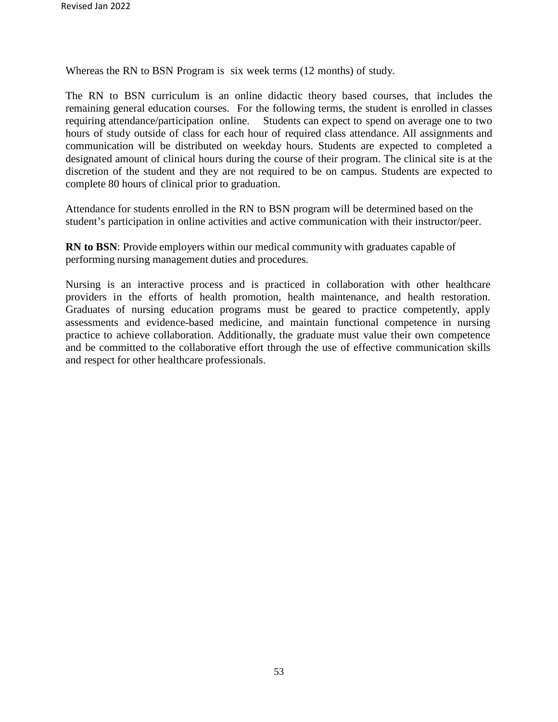Whereas the RN to BSN Program is six week terms (12 months) of study.

The RN to BSN curriculum is an online didactic theory based courses, that includes the remaining general education courses. For the following terms, the student is enrolled in classes requiring attendance/participation online. Students can expect to spend on average one to two hours of study outside of class for each hour of required class attendance. All assignments and communication will be distributed on weekday hours. Students are expected to completed a designated amount of clinical hours during the course of their program. The clinical site is at the discretion of the student and they are not required to be on campus. Students are expected to complete 80 hours of clinical prior to graduation.

Attendance for students enrolled in the RN to BSN program will be determined based on the student's participation in online activities and active communication with their instructor/peer.

**RN to BSN**: Provide employers within our medical community with graduates capable of performing nursing management duties and procedures.

Nursing is an interactive process and is practiced in collaboration with other healthcare providers in the efforts of health promotion, health maintenance, and health restoration. Graduates of nursing education programs must be geared to practice competently, apply assessments and evidence-based medicine, and maintain functional competence in nursing practice to achieve collaboration. Additionally, the graduate must value their own competence and be committed to the collaborative effort through the use of effective communication skills and respect for other healthcare professionals.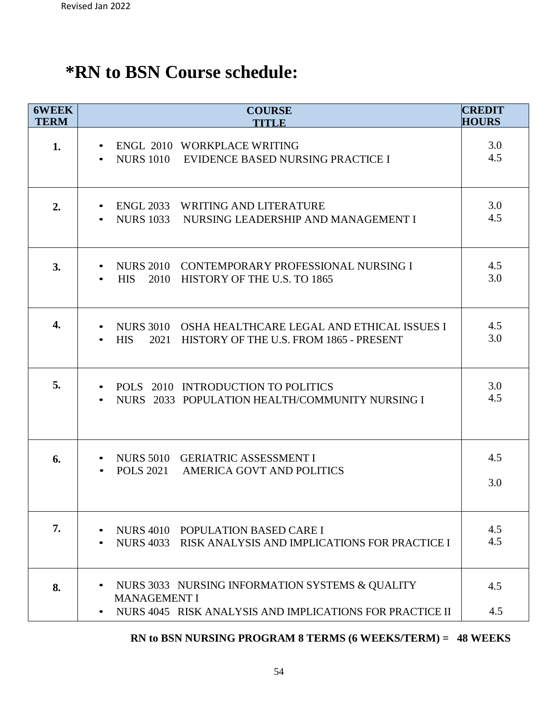## **\*RN to BSN Course schedule:**

| <b>6WEEK</b><br><b>TERM</b> | <b>COURSE</b><br><b>TITLE</b>                                                                                                      | <b>CREDIT</b><br><b>HOURS</b> |
|-----------------------------|------------------------------------------------------------------------------------------------------------------------------------|-------------------------------|
| 1.                          | ENGL 2010 WORKPLACE WRITING<br>NURS 1010 EVIDENCE BASED NURSING PRACTICE I                                                         | 3.0<br>4.5                    |
| 2.                          | ENGL 2033 WRITING AND LITERATURE<br>NURS 1033 NURSING LEADERSHIP AND MANAGEMENT I                                                  | 3.0<br>4.5                    |
| 3.                          | NURS 2010 CONTEMPORARY PROFESSIONAL NURSING I<br>HIS 2010 HISTORY OF THE U.S. TO 1865                                              | 4.5<br>3.0                    |
| 4.                          | NURS 3010 OSHA HEALTHCARE LEGAL AND ETHICAL ISSUES I<br><b>HIS</b><br>2021 HISTORY OF THE U.S. FROM 1865 - PRESENT                 | 4.5<br>3.0                    |
| 5.                          | POLS 2010 INTRODUCTION TO POLITICS<br>NURS 2033 POPULATION HEALTH/COMMUNITY NURSING I<br>$\bullet$                                 | 3.0<br>4.5                    |
| 6.                          | NURS 5010 GERIATRIC ASSESSMENT I<br>POLS 2021 AMERICA GOVT AND POLITICS                                                            | 4.5<br>3.0                    |
| 7.                          | NURS 4010 POPULATION BASED CARE I<br>NURS 4033 RISK ANALYSIS AND IMPLICATIONS FOR PRACTICE I                                       | 4.5<br>4.5                    |
| 8.                          | NURS 3033 NURSING INFORMATION SYSTEMS & QUALITY<br><b>MANAGEMENT I</b><br>NURS 4045 RISK ANALYSIS AND IMPLICATIONS FOR PRACTICE II | 4.5<br>4.5                    |

#### **RN to BSN NURSING PROGRAM 8 TERMS (6 WEEKS/TERM) = 48 WEEKS**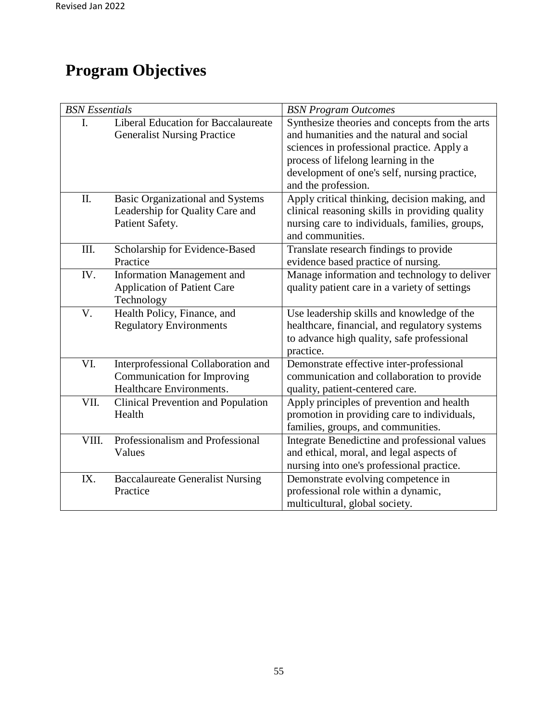## **Program Objectives**

| <b>BSN</b> Essentials |                                                                                                | <b>BSN Program Outcomes</b>                                                                                                                                                                                                                             |  |
|-----------------------|------------------------------------------------------------------------------------------------|---------------------------------------------------------------------------------------------------------------------------------------------------------------------------------------------------------------------------------------------------------|--|
| I.                    | <b>Liberal Education for Baccalaureate</b><br><b>Generalist Nursing Practice</b>               | Synthesize theories and concepts from the arts<br>and humanities and the natural and social<br>sciences in professional practice. Apply a<br>process of lifelong learning in the<br>development of one's self, nursing practice,<br>and the profession. |  |
| II.                   | <b>Basic Organizational and Systems</b><br>Leadership for Quality Care and<br>Patient Safety.  | Apply critical thinking, decision making, and<br>clinical reasoning skills in providing quality<br>nursing care to individuals, families, groups,<br>and communities.                                                                                   |  |
| III.                  | Scholarship for Evidence-Based<br>Practice                                                     | Translate research findings to provide<br>evidence based practice of nursing.                                                                                                                                                                           |  |
| IV.                   | Information Management and<br><b>Application of Patient Care</b><br>Technology                 | Manage information and technology to deliver<br>quality patient care in a variety of settings                                                                                                                                                           |  |
| V.                    | Health Policy, Finance, and<br><b>Regulatory Environments</b>                                  | Use leadership skills and knowledge of the<br>healthcare, financial, and regulatory systems<br>to advance high quality, safe professional<br>practice.                                                                                                  |  |
| VI.                   | Interprofessional Collaboration and<br>Communication for Improving<br>Healthcare Environments. | Demonstrate effective inter-professional<br>communication and collaboration to provide<br>quality, patient-centered care.                                                                                                                               |  |
| VII.                  | <b>Clinical Prevention and Population</b><br>Health                                            | Apply principles of prevention and health<br>promotion in providing care to individuals,<br>families, groups, and communities.                                                                                                                          |  |
| VIII.                 | Professionalism and Professional<br>Values                                                     | Integrate Benedictine and professional values<br>and ethical, moral, and legal aspects of<br>nursing into one's professional practice.                                                                                                                  |  |
| IX.                   | <b>Baccalaureate Generalist Nursing</b><br>Practice                                            | Demonstrate evolving competence in<br>professional role within a dynamic,<br>multicultural, global society.                                                                                                                                             |  |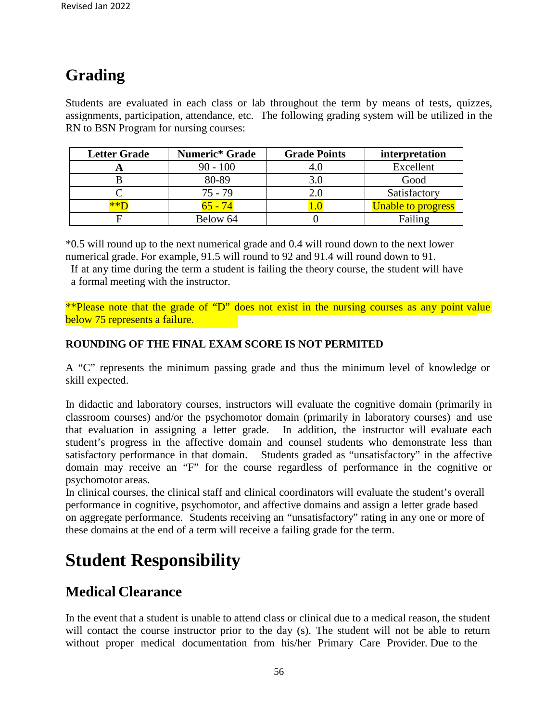## **Grading**

Students are evaluated in each class or lab throughout the term by means of tests, quizzes, assignments, participation, attendance, etc. The following grading system will be utilized in the RN to BSN Program for nursing courses:

| <b>Letter Grade</b> | Numeric* Grade | <b>Grade Points</b> | interpretation            |
|---------------------|----------------|---------------------|---------------------------|
|                     | $90 - 100$     | 4.U                 | Excellent                 |
|                     | 80-89          | 3.0                 | Good                      |
|                     | $75 - 79$      |                     | Satisfactory              |
|                     | <u>55 - 74</u> |                     | <b>Unable to progress</b> |
|                     | Below 64       |                     | Failing                   |

\*0.5 will round up to the next numerical grade and 0.4 will round down to the next lower numerical grade. For example, 91.5 will round to 92 and 91.4 will round down to 91.

If at any time during the term a student is failing the theory course, the student will have a formal meeting with the instructor.

\*\*Please note that the grade of "D" does not exist in the nursing courses as any point value below 75 represents a failure.

#### **ROUNDING OF THE FINAL EXAM SCORE IS NOT PERMITED**

A "C" represents the minimum passing grade and thus the minimum level of knowledge or skill expected.

In didactic and laboratory courses, instructors will evaluate the cognitive domain (primarily in classroom courses) and/or the psychomotor domain (primarily in laboratory courses) and use that evaluation in assigning a letter grade. In addition, the instructor will evaluate each student's progress in the affective domain and counsel students who demonstrate less than satisfactory performance in that domain. Students graded as "unsatisfactory" in the affective domain may receive an "F" for the course regardless of performance in the cognitive or psychomotor areas.

In clinical courses, the clinical staff and clinical coordinators will evaluate the student's overall performance in cognitive, psychomotor, and affective domains and assign a letter grade based on aggregate performance. Students receiving an "unsatisfactory" rating in any one or more of these domains at the end of a term will receive a failing grade for the term.

## **Student Responsibility**

## **Medical Clearance**

In the event that a student is unable to attend class or clinical due to a medical reason, the student will contact the course instructor prior to the day (s). The student will not be able to return without proper medical documentation from his/her Primary Care Provider. Due to the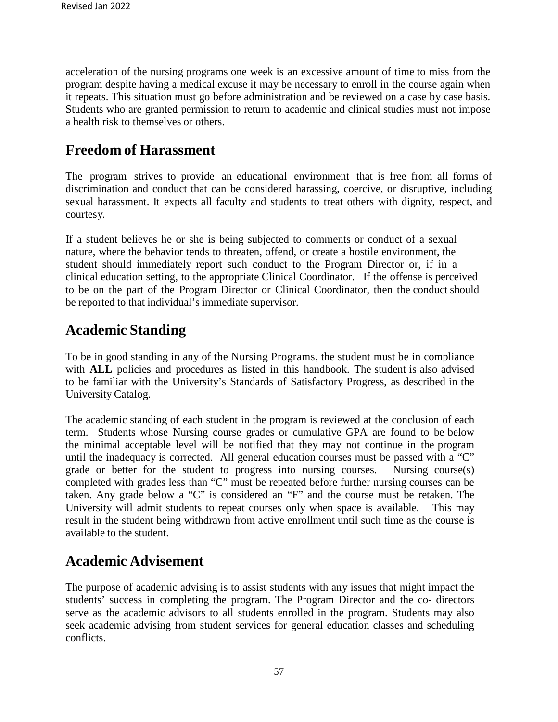acceleration of the nursing programs one week is an excessive amount of time to miss from the program despite having a medical excuse it may be necessary to enroll in the course again when it repeats. This situation must go before administration and be reviewed on a case by case basis. Students who are granted permission to return to academic and clinical studies must not impose a health risk to themselves or others.

## **Freedom of Harassment**

The program strives to provide an educational environment that is free from all forms of discrimination and conduct that can be considered harassing, coercive, or disruptive, including sexual harassment. It expects all faculty and students to treat others with dignity, respect, and courtesy.

If a student believes he or she is being subjected to comments or conduct of a sexual nature, where the behavior tends to threaten, offend, or create a hostile environment, the student should immediately report such conduct to the Program Director or, if in a clinical education setting, to the appropriate Clinical Coordinator. If the offense is perceived to be on the part of the Program Director or Clinical Coordinator, then the conduct should be reported to that individual's immediate supervisor.

## **Academic Standing**

To be in good standing in any of the Nursing Programs, the student must be in compliance with **ALL** policies and procedures as listed in this handbook. The student is also advised to be familiar with the University's Standards of Satisfactory Progress, as described in the University Catalog.

The academic standing of each student in the program is reviewed at the conclusion of each term. Students whose Nursing course grades or cumulative GPA are found to be below the minimal acceptable level will be notified that they may not continue in the program until the inadequacy is corrected. All general education courses must be passed with a "C" grade or better for the student to progress into nursing courses. Nursing course(s) completed with grades less than "C" must be repeated before further nursing courses can be taken. Any grade below a "C" is considered an "F" and the course must be retaken. The University will admit students to repeat courses only when space is available. This may result in the student being withdrawn from active enrollment until such time as the course is available to the student.

## **Academic Advisement**

The purpose of academic advising is to assist students with any issues that might impact the students' success in completing the program. The Program Director and the co- directors serve as the academic advisors to all students enrolled in the program. Students may also seek academic advising from student services for general education classes and scheduling conflicts.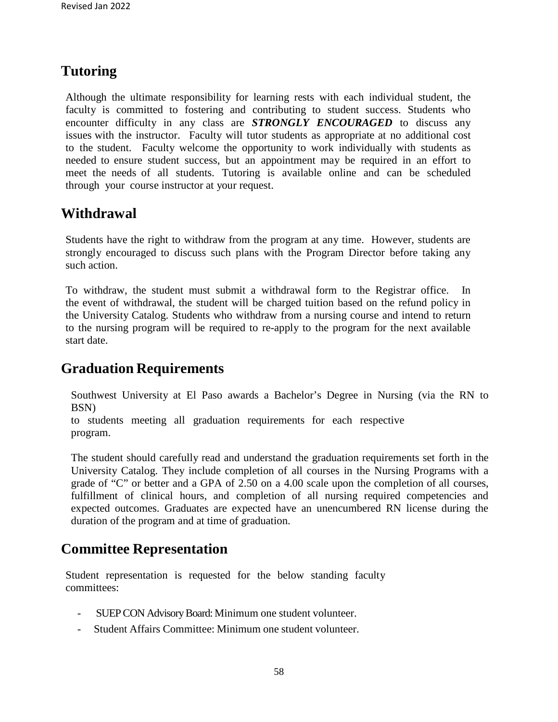## **Tutoring**

Although the ultimate responsibility for learning rests with each individual student, the faculty is committed to fostering and contributing to student success. Students who encounter difficulty in any class are *STRONGLY ENCOURAGED* to discuss any issues with the instructor. Faculty will tutor students as appropriate at no additional cost to the student. Faculty welcome the opportunity to work individually with students as needed to ensure student success, but an appointment may be required in an effort to meet the needs of all students. Tutoring is available online and can be scheduled through your course instructor at your request.

### **Withdrawal**

Students have the right to withdraw from the program at any time. However, students are strongly encouraged to discuss such plans with the Program Director before taking any such action.

To withdraw, the student must submit a withdrawal form to the Registrar office. In the event of withdrawal, the student will be charged tuition based on the refund policy in the University Catalog. Students who withdraw from a nursing course and intend to return to the nursing program will be required to re-apply to the program for the next available start date.

### **Graduation Requirements**

Southwest University at El Paso awards a Bachelor's Degree in Nursing (via the RN to BSN)

to students meeting all graduation requirements for each respective program.

The student should carefully read and understand the graduation requirements set forth in the University Catalog. They include completion of all courses in the Nursing Programs with a grade of "C" or better and a GPA of 2.50 on a 4.00 scale upon the completion of all courses, fulfillment of clinical hours, and completion of all nursing required competencies and expected outcomes. Graduates are expected have an unencumbered RN license during the duration of the program and at time of graduation.

### **Committee Representation**

Student representation is requested for the below standing faculty committees:

- SUEP CON Advisory Board: Minimum one student volunteer.
- Student Affairs Committee: Minimum one student volunteer.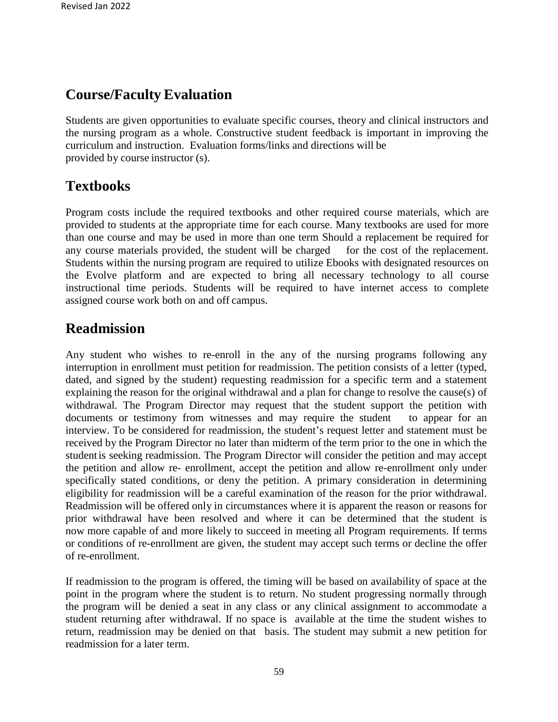### **Course/Faculty Evaluation**

Students are given opportunities to evaluate specific courses, theory and clinical instructors and the nursing program as a whole. Constructive student feedback is important in improving the curriculum and instruction. Evaluation forms/links and directions will be provided by course instructor (s).

## **Textbooks**

Program costs include the required textbooks and other required course materials, which are provided to students at the appropriate time for each course. Many textbooks are used for more than one course and may be used in more than one term Should a replacement be required for any course materials provided, the student will be charged for the cost of the replacement. Students within the nursing program are required to utilize Ebooks with designated resources on the Evolve platform and are expected to bring all necessary technology to all course instructional time periods. Students will be required to have internet access to complete assigned course work both on and off campus.

### **Readmission**

Any student who wishes to re-enroll in the any of the nursing programs following any interruption in enrollment must petition for readmission. The petition consists of a letter (typed, dated, and signed by the student) requesting readmission for a specific term and a statement explaining the reason for the original withdrawal and a plan for change to resolve the cause(s) of withdrawal. The Program Director may request that the student support the petition with documents or testimony from witnesses and may require the student to appear for an interview. To be considered for readmission, the student's request letter and statement must be received by the Program Director no later than midterm of the term prior to the one in which the studentis seeking readmission. The Program Director will consider the petition and may accept the petition and allow re- enrollment, accept the petition and allow re-enrollment only under specifically stated conditions, or deny the petition. A primary consideration in determining eligibility for readmission will be a careful examination of the reason for the prior withdrawal. Readmission will be offered only in circumstances where it is apparent the reason or reasons for prior withdrawal have been resolved and where it can be determined that the student is now more capable of and more likely to succeed in meeting all Program requirements. If terms or conditions of re-enrollment are given, the student may accept such terms or decline the offer of re-enrollment.

If readmission to the program is offered, the timing will be based on availability of space at the point in the program where the student is to return. No student progressing normally through the program will be denied a seat in any class or any clinical assignment to accommodate a student returning after withdrawal. If no space is available at the time the student wishes to return, readmission may be denied on that basis. The student may submit a new petition for readmission for a later term.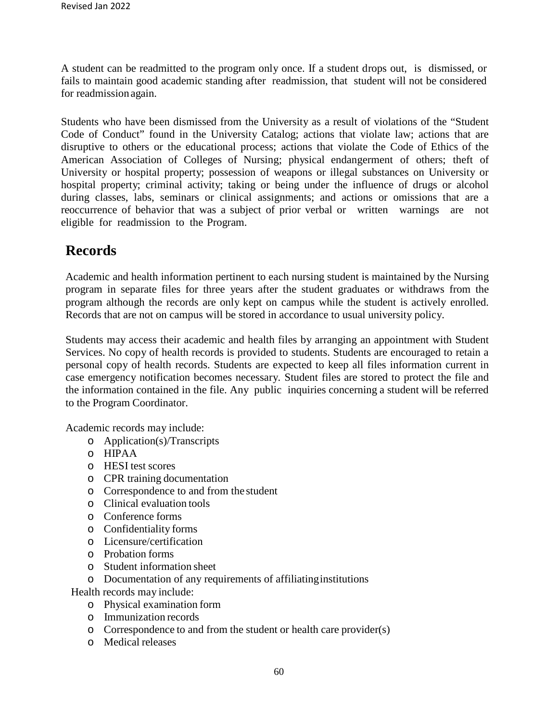A student can be readmitted to the program only once. If a student drops out, is dismissed, or fails to maintain good academic standing after readmission, that student will not be considered for readmission again.

Students who have been dismissed from the University as a result of violations of the "Student Code of Conduct" found in the University Catalog; actions that violate law; actions that are disruptive to others or the educational process; actions that violate the Code of Ethics of the American Association of Colleges of Nursing; physical endangerment of others; theft of University or hospital property; possession of weapons or illegal substances on University or hospital property; criminal activity; taking or being under the influence of drugs or alcohol during classes, labs, seminars or clinical assignments; and actions or omissions that are a reoccurrence of behavior that was a subject of prior verbal or written warnings are not eligible for readmission to the Program.

### **Records**

Academic and health information pertinent to each nursing student is maintained by the Nursing program in separate files for three years after the student graduates or withdraws from the program although the records are only kept on campus while the student is actively enrolled. Records that are not on campus will be stored in accordance to usual university policy.

Students may access their academic and health files by arranging an appointment with Student Services. No copy of health records is provided to students. Students are encouraged to retain a personal copy of health records. Students are expected to keep all files information current in case emergency notification becomes necessary. Student files are stored to protect the file and the information contained in the file. Any public inquiries concerning a student will be referred to the Program Coordinator.

Academic records may include:

- o Application(s)/Transcripts
- o HIPAA
- o HESI test scores
- o CPR training documentation
- o Correspondence to and from the student
- o Clinical evaluation tools
- o Conference forms
- o Confidentiality forms
- o Licensure/certification
- o Probation forms
- o Student information sheet
- o Documentation of any requirements of affiliatinginstitutions

Health records may include:

- o Physical examination form
- o Immunization records
- o Correspondence to and from the student or health care provider(s)
- o Medical releases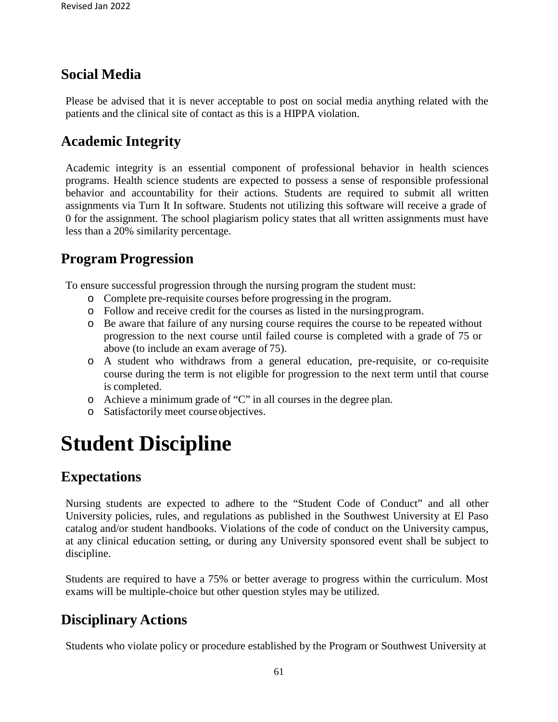### **Social Media**

Please be advised that it is never acceptable to post on social media anything related with the patients and the clinical site of contact as this is a HIPPA violation.

### **Academic Integrity**

Academic integrity is an essential component of professional behavior in health sciences programs. Health science students are expected to possess a sense of responsible professional behavior and accountability for their actions. Students are required to submit all written assignments via Turn It In software. Students not utilizing this software will receive a grade of 0 for the assignment. The school plagiarism policy states that all written assignments must have less than a 20% similarity percentage.

### **Program Progression**

To ensure successful progression through the nursing program the student must:

- o Complete pre-requisite courses before progressing in the program.
- o Follow and receive credit for the courses as listed in the nursingprogram.
- o Be aware that failure of any nursing course requires the course to be repeated without progression to the next course until failed course is completed with a grade of 75 or above (to include an exam average of 75).
- o A student who withdraws from a general education, pre-requisite, or co-requisite course during the term is not eligible for progression to the next term until that course is completed.
- o Achieve a minimum grade of "C" in all courses in the degree plan.
- o Satisfactorily meet course objectives.

# **Student Discipline**

### **Expectations**

Nursing students are expected to adhere to the "Student Code of Conduct" and all other University policies, rules, and regulations as published in the Southwest University at El Paso catalog and/or student handbooks. Violations of the code of conduct on the University campus, at any clinical education setting, or during any University sponsored event shall be subject to discipline.

Students are required to have a 75% or better average to progress within the curriculum. Most exams will be multiple-choice but other question styles may be utilized.

### **Disciplinary Actions**

Students who violate policy or procedure established by the Program or Southwest University at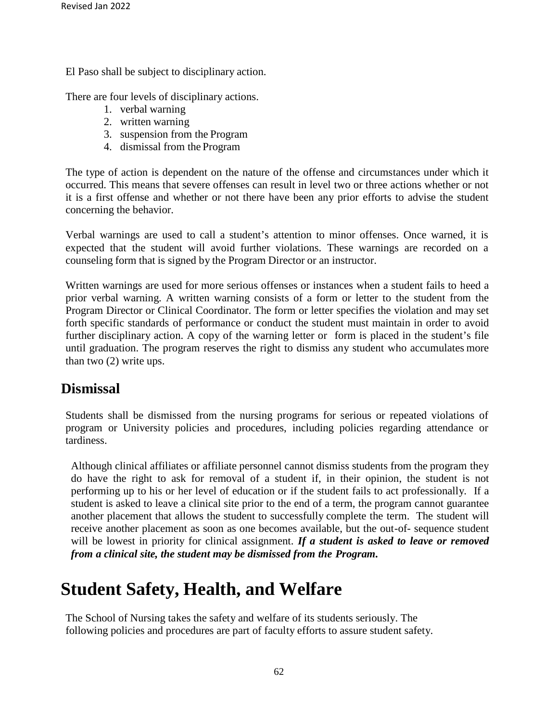El Paso shall be subject to disciplinary action.

There are four levels of disciplinary actions.

- 1. verbal warning
- 2. written warning
- 3. suspension from the Program
- 4. dismissal from the Program

The type of action is dependent on the nature of the offense and circumstances under which it occurred. This means that severe offenses can result in level two or three actions whether or not it is a first offense and whether or not there have been any prior efforts to advise the student concerning the behavior.

Verbal warnings are used to call a student's attention to minor offenses. Once warned, it is expected that the student will avoid further violations. These warnings are recorded on a counseling form that is signed by the Program Director or an instructor.

Written warnings are used for more serious offenses or instances when a student fails to heed a prior verbal warning. A written warning consists of a form or letter to the student from the Program Director or Clinical Coordinator. The form or letter specifies the violation and may set forth specific standards of performance or conduct the student must maintain in order to avoid further disciplinary action. A copy of the warning letter or form is placed in the student's file until graduation. The program reserves the right to dismiss any student who accumulates more than two (2) write ups.

### **Dismissal**

Students shall be dismissed from the nursing programs for serious or repeated violations of program or University policies and procedures, including policies regarding attendance or tardiness.

Although clinical affiliates or affiliate personnel cannot dismiss students from the program they do have the right to ask for removal of a student if, in their opinion, the student is not performing up to his or her level of education or if the student fails to act professionally. If a student is asked to leave a clinical site prior to the end of a term, the program cannot guarantee another placement that allows the student to successfully complete the term. The student will receive another placement as soon as one becomes available, but the out-of- sequence student will be lowest in priority for clinical assignment. *If a student is asked to leave or removed from a clinical site, the student may be dismissed from the Program.*

## **Student Safety, Health, and Welfare**

The School of Nursing takes the safety and welfare of its students seriously. The following policies and procedures are part of faculty efforts to assure student safety.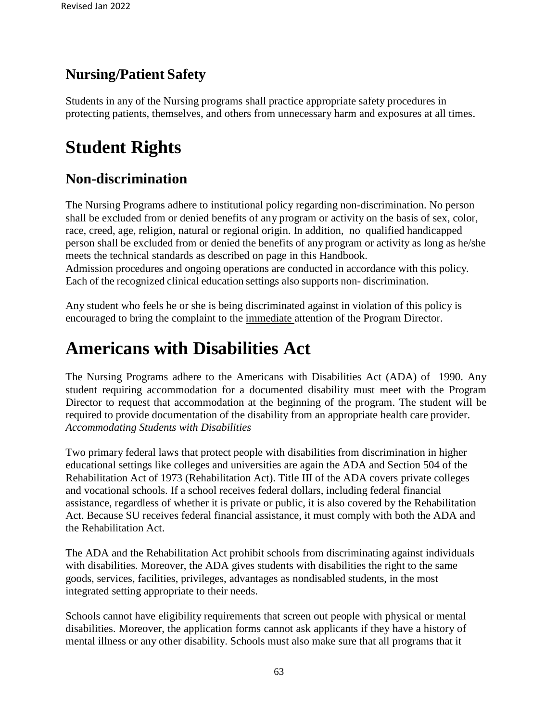### **Nursing/Patient Safety**

Students in any of the Nursing programs shall practice appropriate safety procedures in protecting patients, themselves, and others from unnecessary harm and exposures at all times.

# **Student Rights**

### **Non-discrimination**

The Nursing Programs adhere to institutional policy regarding non-discrimination. No person shall be excluded from or denied benefits of any program or activity on the basis of sex, color, race, creed, age, religion, natural or regional origin. In addition, no qualified handicapped person shall be excluded from or denied the benefits of any program or activity as long as he/she meets the technical standards as described on page in this Handbook. Admission procedures and ongoing operations are conducted in accordance with this policy.

Each of the recognized clinical education settings also supports non- discrimination.

Any student who feels he or she is being discriminated against in violation of this policy is encouraged to bring the complaint to the immediate attention of the Program Director.

## **Americans with Disabilities Act**

The Nursing Programs adhere to the Americans with Disabilities Act (ADA) of 1990. Any student requiring accommodation for a documented disability must meet with the Program Director to request that accommodation at the beginning of the program. The student will be required to provide documentation of the disability from an appropriate health care provider. *Accommodating Students with Disabilities*

Two primary federal laws that protect people with disabilities from discrimination in higher educational settings like colleges and universities are again the ADA and Section 504 of the Rehabilitation Act of 1973 (Rehabilitation Act). Title III of the ADA covers private colleges and vocational schools. If a school receives federal dollars, including federal financial assistance, regardless of whether it is private or public, it is also covered by the Rehabilitation Act. Because SU receives federal financial assistance, it must comply with both the ADA and the Rehabilitation Act.

The ADA and the Rehabilitation Act prohibit schools from discriminating against individuals with disabilities. Moreover, the ADA gives students with disabilities the right to the same goods, services, facilities, privileges, advantages as nondisabled students, in the most integrated setting appropriate to their needs.

Schools cannot have eligibility requirements that screen out people with physical or mental disabilities. Moreover, the application forms cannot ask applicants if they have a history of mental illness or any other disability. Schools must also make sure that all programs that it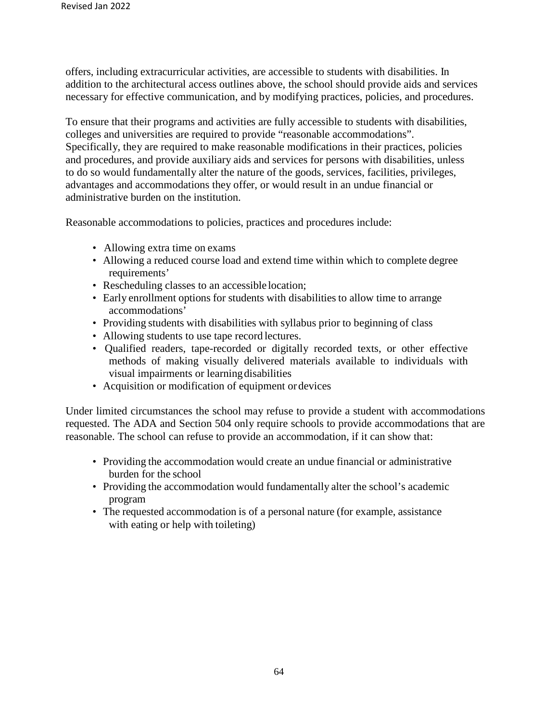offers, including extracurricular activities, are accessible to students with disabilities. In addition to the architectural access outlines above, the school should provide aids and services necessary for effective communication, and by modifying practices, policies, and procedures.

To ensure that their programs and activities are fully accessible to students with disabilities, colleges and universities are required to provide "reasonable accommodations". Specifically, they are required to make reasonable modifications in their practices, policies and procedures, and provide auxiliary aids and services for persons with disabilities, unless to do so would fundamentally alter the nature of the goods, services, facilities, privileges, advantages and accommodations they offer, or would result in an undue financial or administrative burden on the institution.

Reasonable accommodations to policies, practices and procedures include:

- Allowing extra time on exams
- Allowing a reduced course load and extend time within which to complete degree requirements'
- Rescheduling classes to an accessible location;
- Early enrollment options for students with disabilities to allow time to arrange accommodations'
- Providing students with disabilities with syllabus prior to beginning of class
- Allowing students to use tape record lectures.
- Qualified readers, tape-recorded or digitally recorded texts, or other effective methods of making visually delivered materials available to individuals with visual impairments or learningdisabilities
- Acquisition or modification of equipment or devices

Under limited circumstances the school may refuse to provide a student with accommodations requested. The ADA and Section 504 only require schools to provide accommodations that are reasonable. The school can refuse to provide an accommodation, if it can show that:

- Providing the accommodation would create an undue financial or administrative burden for the school
- Providing the accommodation would fundamentally alter the school's academic program
- The requested accommodation is of a personal nature (for example, assistance with eating or help with toileting)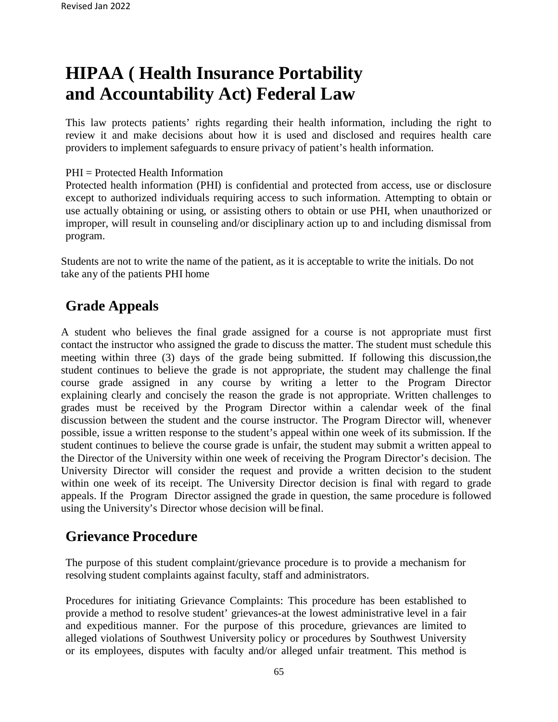# **HIPAA ( Health Insurance Portability and Accountability Act) Federal Law**

This law protects patients' rights regarding their health information, including the right to review it and make decisions about how it is used and disclosed and requires health care providers to implement safeguards to ensure privacy of patient's health information.

PHI = Protected Health Information

Protected health information (PHI) is confidential and protected from access, use or disclosure except to authorized individuals requiring access to such information. Attempting to obtain or use actually obtaining or using, or assisting others to obtain or use PHI, when unauthorized or improper, will result in counseling and/or disciplinary action up to and including dismissal from program.

Students are not to write the name of the patient, as it is acceptable to write the initials. Do not take any of the patients PHI home

### **Grade Appeals**

A student who believes the final grade assigned for a course is not appropriate must first contact the instructor who assigned the grade to discuss the matter. The student must schedule this meeting within three (3) days of the grade being submitted. If following this discussion,the student continues to believe the grade is not appropriate, the student may challenge the final course grade assigned in any course by writing a letter to the Program Director explaining clearly and concisely the reason the grade is not appropriate. Written challenges to grades must be received by the Program Director within a calendar week of the final discussion between the student and the course instructor. The Program Director will, whenever possible, issue a written response to the student's appeal within one week of its submission. If the student continues to believe the course grade is unfair, the student may submit a written appeal to the Director of the University within one week of receiving the Program Director's decision. The University Director will consider the request and provide a written decision to the student within one week of its receipt. The University Director decision is final with regard to grade appeals. If the Program Director assigned the grade in question, the same procedure is followed using the University's Director whose decision will be final.

### **Grievance Procedure**

The purpose of this student complaint/grievance procedure is to provide a mechanism for resolving student complaints against faculty, staff and administrators.

Procedures for initiating Grievance Complaints: This procedure has been established to provide a method to resolve student' grievances-at the lowest administrative level in a fair and expeditious manner. For the purpose of this procedure, grievances are limited to alleged violations of Southwest University policy or procedures by Southwest University or its employees, disputes with faculty and/or alleged unfair treatment. This method is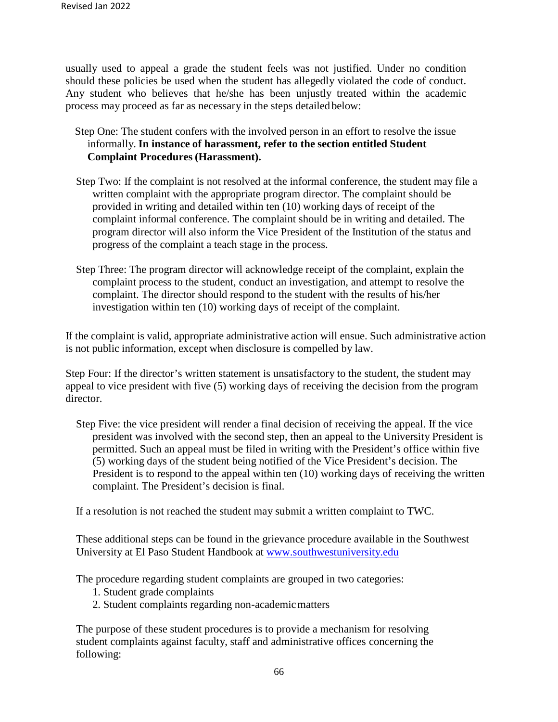usually used to appeal a grade the student feels was not justified. Under no condition should these policies be used when the student has allegedly violated the code of conduct. Any student who believes that he/she has been unjustly treated within the academic process may proceed as far as necessary in the steps detailed below:

- Step One: The student confers with the involved person in an effort to resolve the issue informally. **In instance of harassment, refer to the section entitled Student Complaint Procedures (Harassment).**
- Step Two: If the complaint is not resolved at the informal conference, the student may file a written complaint with the appropriate program director. The complaint should be provided in writing and detailed within ten (10) working days of receipt of the complaint informal conference. The complaint should be in writing and detailed. The program director will also inform the Vice President of the Institution of the status and progress of the complaint a teach stage in the process.
- Step Three: The program director will acknowledge receipt of the complaint, explain the complaint process to the student, conduct an investigation, and attempt to resolve the complaint. The director should respond to the student with the results of his/her investigation within ten (10) working days of receipt of the complaint.

If the complaint is valid, appropriate administrative action will ensue. Such administrative action is not public information, except when disclosure is compelled by law.

Step Four: If the director's written statement is unsatisfactory to the student, the student may appeal to vice president with five (5) working days of receiving the decision from the program director.

Step Five: the vice president will render a final decision of receiving the appeal. If the vice president was involved with the second step, then an appeal to the University President is permitted. Such an appeal must be filed in writing with the President's office within five (5) working days of the student being notified of the Vice President's decision. The President is to respond to the appeal within ten (10) working days of receiving the written complaint. The President's decision is final.

If a resolution is not reached the student may submit a written complaint to TWC.

These additional steps can be found in the grievance procedure available in the Southwest University at El Paso Student Handbook at [www.southwestuniversity.edu](http://www.southwestuniversity.edu/)

The procedure regarding student complaints are grouped in two categories:

- 1. Student grade complaints
- 2. Student complaints regarding non-academic matters

The purpose of these student procedures is to provide a mechanism for resolving student complaints against faculty, staff and administrative offices concerning the following: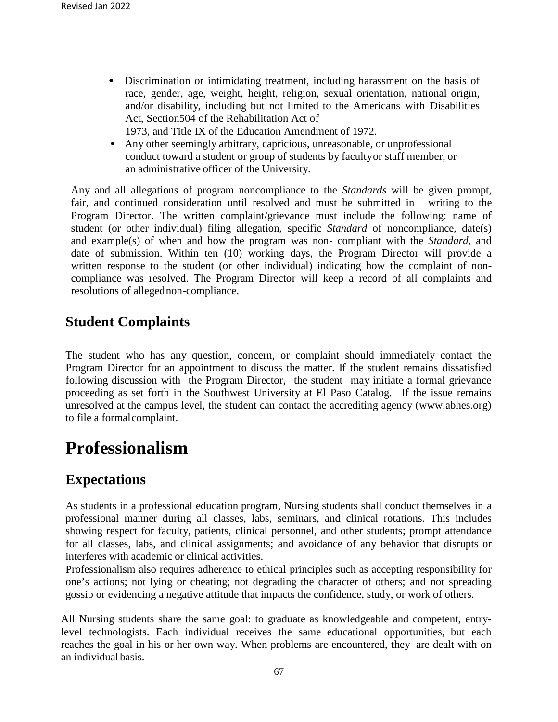• Discrimination or intimidating treatment, including harassment on the basis of race, gender, age, weight, height, religion, sexual orientation, national origin, and/or disability, including but not limited to the Americans with Disabilities Act, Section504 of the Rehabilitation Act of

1973, and Title IX of the Education Amendment of 1972.

• Any other seemingly arbitrary, capricious, unreasonable, or unprofessional conduct toward a student or group of students by facultyor staff member, or an administrative officer of the University.

Any and all allegations of program noncompliance to the *Standards* will be given prompt, fair, and continued consideration until resolved and must be submitted in writing to the Program Director. The written complaint/grievance must include the following: name of student (or other individual) filing allegation, specific *Standard* of noncompliance, date(s) and example(s) of when and how the program was non- compliant with the *Standard*, and date of submission. Within ten (10) working days, the Program Director will provide a written response to the student (or other individual) indicating how the complaint of noncompliance was resolved. The Program Director will keep a record of all complaints and resolutions of allegednon-compliance.

### **Student Complaints**

The student who has any question, concern, or complaint should immediately contact the Program Director for an appointment to discuss the matter. If the student remains dissatisfied following discussion with the Program Director, the student may initiate a formal grievance proceeding as set forth in the Southwest University at El Paso Catalog. If the issue remains unresolved at the campus level, the student can contact the accrediting agen[cy \(www.abhes.org\)](http://www.abhes.org/) to file a formalcomplaint.

## **Professionalism**

### **Expectations**

As students in a professional education program, Nursing students shall conduct themselves in a professional manner during all classes, labs, seminars, and clinical rotations. This includes showing respect for faculty, patients, clinical personnel, and other students; prompt attendance for all classes, labs, and clinical assignments; and avoidance of any behavior that disrupts or interferes with academic or clinical activities.

Professionalism also requires adherence to ethical principles such as accepting responsibility for one's actions; not lying or cheating; not degrading the character of others; and not spreading gossip or evidencing a negative attitude that impacts the confidence, study, or work of others.

All Nursing students share the same goal: to graduate as knowledgeable and competent, entrylevel technologists. Each individual receives the same educational opportunities, but each reaches the goal in his or her own way. When problems are encountered, they are dealt with on an individual basis.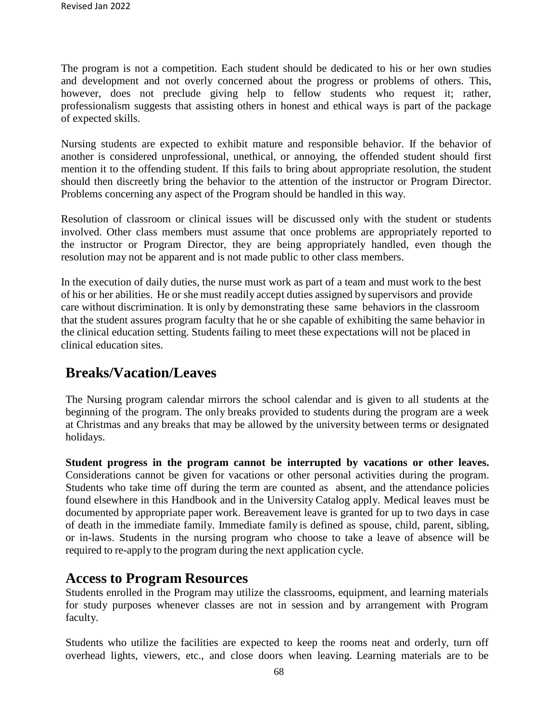The program is not a competition. Each student should be dedicated to his or her own studies and development and not overly concerned about the progress or problems of others. This, however, does not preclude giving help to fellow students who request it; rather, professionalism suggests that assisting others in honest and ethical ways is part of the package of expected skills.

Nursing students are expected to exhibit mature and responsible behavior. If the behavior of another is considered unprofessional, unethical, or annoying, the offended student should first mention it to the offending student. If this fails to bring about appropriate resolution, the student should then discreetly bring the behavior to the attention of the instructor or Program Director. Problems concerning any aspect of the Program should be handled in this way.

Resolution of classroom or clinical issues will be discussed only with the student or students involved. Other class members must assume that once problems are appropriately reported to the instructor or Program Director, they are being appropriately handled, even though the resolution may not be apparent and is not made public to other class members.

In the execution of daily duties, the nurse must work as part of a team and must work to the best of his or her abilities. He or she must readily accept duties assigned by supervisors and provide care without discrimination. It is only by demonstrating these same behaviors in the classroom that the student assures program faculty that he or she capable of exhibiting the same behavior in the clinical education setting. Students failing to meet these expectations will not be placed in clinical education sites.

### **Breaks/Vacation/Leaves**

The Nursing program calendar mirrors the school calendar and is given to all students at the beginning of the program. The only breaks provided to students during the program are a week at Christmas and any breaks that may be allowed by the university between terms or designated holidays.

**Student progress in the program cannot be interrupted by vacations or other leaves.**  Considerations cannot be given for vacations or other personal activities during the program. Students who take time off during the term are counted as absent, and the attendance policies found elsewhere in this Handbook and in the University Catalog apply. Medical leaves must be documented by appropriate paper work. Bereavement leave is granted for up to two days in case of death in the immediate family. Immediate family is defined as spouse, child, parent, sibling, or in-laws. Students in the nursing program who choose to take a leave of absence will be required to re-apply to the program during the next application cycle.

#### **Access to Program Resources**

Students enrolled in the Program may utilize the classrooms, equipment, and learning materials for study purposes whenever classes are not in session and by arrangement with Program faculty.

Students who utilize the facilities are expected to keep the rooms neat and orderly, turn off overhead lights, viewers, etc., and close doors when leaving. Learning materials are to be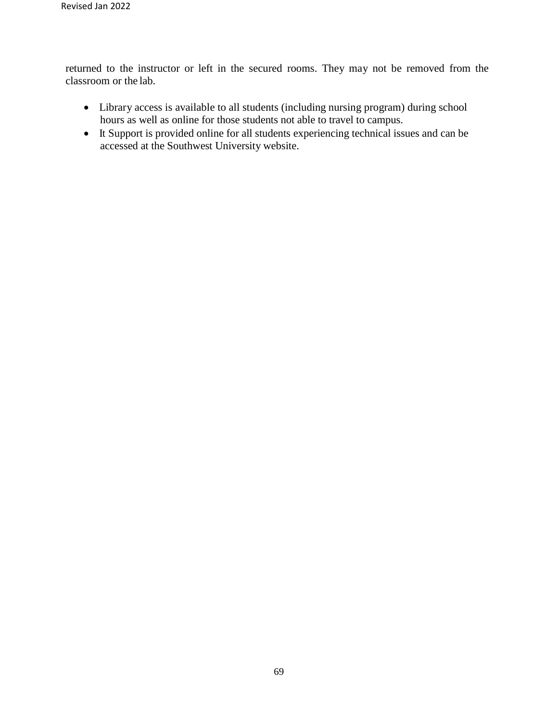returned to the instructor or left in the secured rooms. They may not be removed from the classroom or the lab.

- Library access is available to all students (including nursing program) during school hours as well as online for those students not able to travel to campus.
- It Support is provided online for all students experiencing technical issues and can be accessed at the Southwest University website.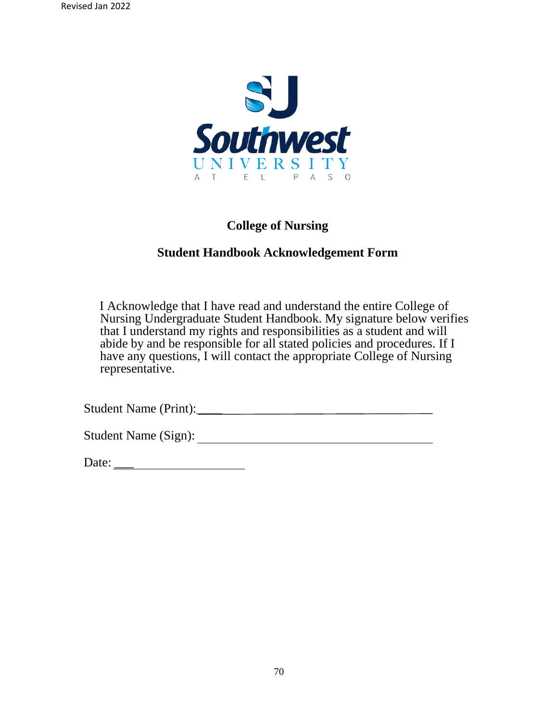

#### **College of Nursing**

#### **Student Handbook Acknowledgement Form**

 I Acknowledge that I have read and understand the entire College of Nursing Undergraduate Student Handbook. My signature below verifies that I understand my rights and responsibilities as a student and will abide by and be responsible for all stated policies and procedures. If I have any questions, I will contact the appropriate College of Nursing representative.

Student Name (Print):\_\_\_\_

Student Name (Sign):

Date: \_\_\_